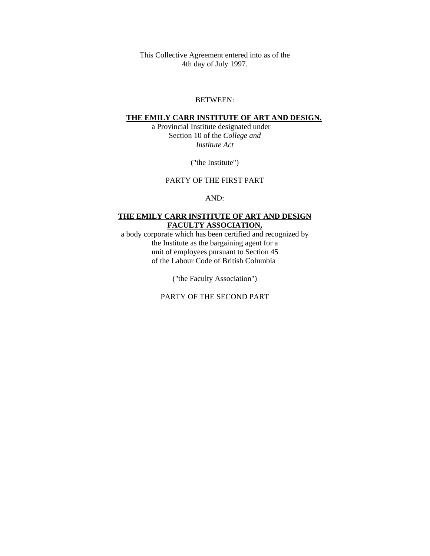This Collective Agreement entered into as of the 4th day of July 1997.

#### BETWEEN:

#### **THE EMILY CARR INSTITUTE OF ART AND DESIGN.**

 a Provincial Institute designated under Section 10 of the *College and Institute Act*

("the Institute")

#### PARTY OF THE FIRST PART

AND:

### **THE EMILY CARR INSTITUTE OF ART AND DESIGN FACULTY ASSOCIATION,**

a body corporate which has been certified and recognized by the Institute as the bargaining agent for a unit of employees pursuant to Section 45 of the Labour Code of British Columbia

("the Faculty Association")

PARTY OF THE SECOND PART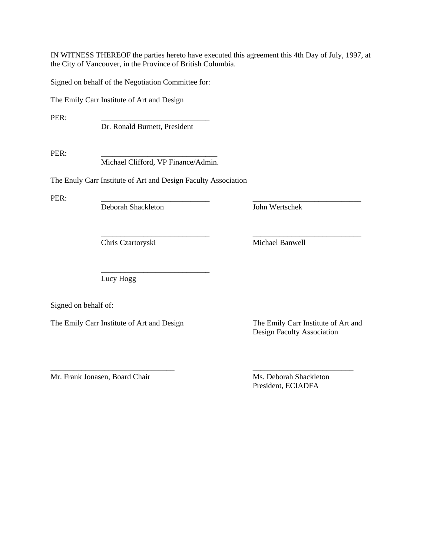IN WITNESS THEREOF the parties hereto have executed this agreement this 4th Day of July, 1997, at the City of Vancouver, in the Province of British Columbia.

\_\_\_\_\_\_\_\_\_\_\_\_\_\_\_\_\_\_\_\_\_\_\_\_\_\_\_\_ \_\_\_\_\_\_\_\_\_\_\_\_\_\_\_\_\_\_\_\_\_\_\_\_\_\_\_\_

Signed on behalf of the Negotiation Committee for:

The Emily Carr Institute of Art and Design

PER: \_\_\_\_\_\_\_\_\_\_\_\_\_\_\_\_\_\_\_\_\_\_\_\_\_\_\_\_

Dr. Ronald Burnett, President

PER: \_\_\_\_\_\_\_\_\_\_\_\_\_\_\_\_\_\_\_\_\_\_\_\_\_\_\_\_\_\_

Michael Clifford, VP Finance/Admin.

The Enuly Carr Institute of Art and Design Faculty Association

PER: \_\_\_\_\_\_\_\_\_\_\_\_\_\_\_\_\_\_\_\_\_\_\_\_\_\_\_\_ \_\_\_\_\_\_\_\_\_\_\_\_\_\_\_\_\_\_\_\_\_\_\_\_\_\_\_\_

Deborah Shackleton John Wertschek

Chris Czartoryski Michael Banwell

 $\overline{\phantom{a}}$  ,  $\overline{\phantom{a}}$  ,  $\overline{\phantom{a}}$  ,  $\overline{\phantom{a}}$  ,  $\overline{\phantom{a}}$  ,  $\overline{\phantom{a}}$  ,  $\overline{\phantom{a}}$  ,  $\overline{\phantom{a}}$  ,  $\overline{\phantom{a}}$  ,  $\overline{\phantom{a}}$  ,  $\overline{\phantom{a}}$  ,  $\overline{\phantom{a}}$  ,  $\overline{\phantom{a}}$  ,  $\overline{\phantom{a}}$  ,  $\overline{\phantom{a}}$  ,  $\overline{\phantom{a}}$ 

Lucy Hogg

Signed on behalf of:

The Emily Carr Institute of Art and Design The Emily Carr Institute of Art and

Design Faculty Association

\_\_\_\_\_\_\_\_\_\_\_\_\_\_\_\_\_\_\_\_\_\_\_\_\_\_\_\_\_\_\_\_ \_\_\_\_\_\_\_\_\_\_\_\_\_\_\_\_\_\_\_\_\_\_\_\_\_\_ Mr. Frank Jonasen, Board Chair Ms. Deborah Shackleton

President, ECIADFA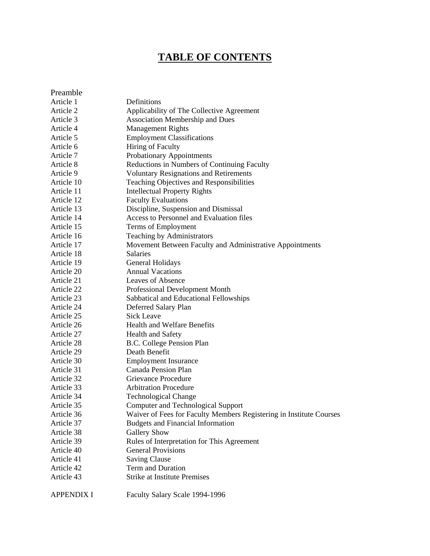# **TABLE OF CONTENTS**

| Preamble   |                                                                     |
|------------|---------------------------------------------------------------------|
| Article 1  | Definitions                                                         |
| Article 2  | Applicability of The Collective Agreement                           |
| Article 3  | <b>Association Membership and Dues</b>                              |
| Article 4  | <b>Management Rights</b>                                            |
| Article 5  | <b>Employment Classifications</b>                                   |
| Article 6  | Hiring of Faculty                                                   |
| Article 7  | Probationary Appointments                                           |
| Article 8  | Reductions in Numbers of Continuing Faculty                         |
| Article 9  | <b>Voluntary Resignations and Retirements</b>                       |
| Article 10 | Teaching Objectives and Responsibilities                            |
| Article 11 | <b>Intellectual Property Rights</b>                                 |
| Article 12 | <b>Faculty Evaluations</b>                                          |
| Article 13 | Discipline, Suspension and Dismissal                                |
| Article 14 | Access to Personnel and Evaluation files                            |
| Article 15 | Terms of Employment                                                 |
| Article 16 | Teaching by Administrators                                          |
| Article 17 | Movement Between Faculty and Administrative Appointments            |
| Article 18 | <b>Salaries</b>                                                     |
| Article 19 | General Holidays                                                    |
| Article 20 | <b>Annual Vacations</b>                                             |
| Article 21 | Leaves of Absence                                                   |
| Article 22 | Professional Development Month                                      |
| Article 23 | Sabbatical and Educational Fellowships                              |
| Article 24 | Deferred Salary Plan                                                |
| Article 25 | Sick Leave                                                          |
| Article 26 | <b>Health and Welfare Benefits</b>                                  |
| Article 27 | <b>Health and Safety</b>                                            |
| Article 28 | B.C. College Pension Plan                                           |
| Article 29 | Death Benefit                                                       |
| Article 30 | <b>Employment Insurance</b>                                         |
| Article 31 | <b>Canada Pension Plan</b>                                          |
| Article 32 | Grievance Procedure                                                 |
| Article 33 | <b>Arbitration Procedure</b>                                        |
| Article 34 | <b>Technological Change</b>                                         |
| Article 35 | <b>Computer and Technological Support</b>                           |
| Article 36 | Waiver of Fees for Faculty Members Registering in Institute Courses |
| Article 37 | <b>Budgets and Financial Information</b>                            |
| Article 38 | <b>Gallery Show</b>                                                 |
| Article 39 | Rules of Interpretation for This Agreement                          |
| Article 40 | <b>General Provisions</b>                                           |
| Article 41 | <b>Saving Clause</b>                                                |
| Article 42 | Term and Duration                                                   |
| Article 43 | <b>Strike at Institute Premises</b>                                 |
|            |                                                                     |

APPENDIX I Faculty Salary Scale 1994-1996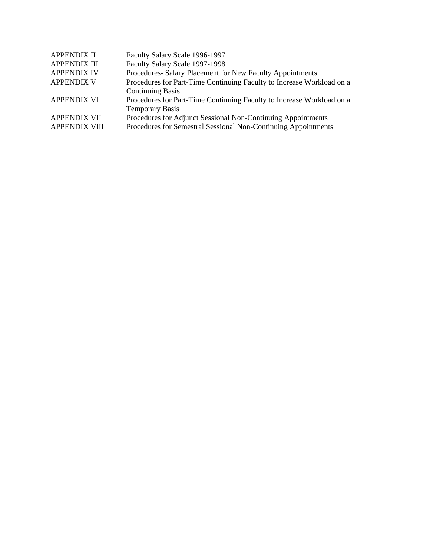| <b>APPENDIX II</b>   | Faculty Salary Scale 1996-1997                                        |
|----------------------|-----------------------------------------------------------------------|
| <b>APPENDIX III</b>  | Faculty Salary Scale 1997-1998                                        |
| <b>APPENDIX IV</b>   | Procedures- Salary Placement for New Faculty Appointments             |
| <b>APPENDIX V</b>    | Procedures for Part-Time Continuing Faculty to Increase Workload on a |
|                      | <b>Continuing Basis</b>                                               |
| <b>APPENDIX VI</b>   | Procedures for Part-Time Continuing Faculty to Increase Workload on a |
|                      | <b>Temporary Basis</b>                                                |
| <b>APPENDIX VII</b>  | Procedures for Adjunct Sessional Non-Continuing Appointments          |
| <b>APPENDIX VIII</b> | Procedures for Semestral Sessional Non-Continuing Appointments        |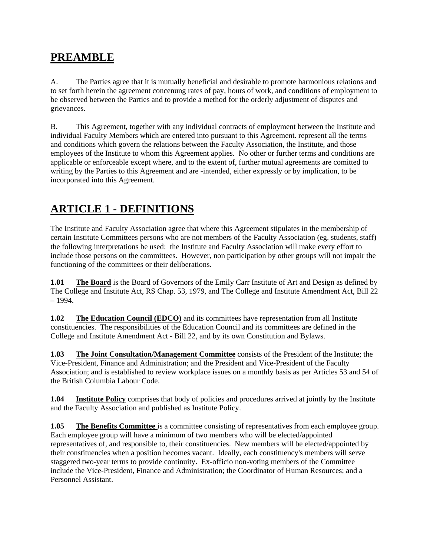# **PREAMBLE**

A. The Parties agree that it is mutually beneficial and desirable to promote harmonious relations and to set forth herein the agreement concenung rates of pay, hours of work, and conditions of employment to be observed between the Parties and to provide a method for the orderly adjustment of disputes and grievances.

B. This Agreement, together with any individual contracts of employment between the Institute and individual Faculty Members which are entered into pursuant to this Agreement. represent all the terms and conditions which govern the relations between the Faculty Association, the Institute, and those employees of the Institute to whom this Agreement applies. No other or further terms and conditions are applicable or enforceable except where, and to the extent of, further mutual agreements are comitted to writing by the Parties to this Agreement and are -intended, either expressly or by implication, to be incorporated into this Agreement.

# **ARTICLE 1 - DEFINITIONS**

The Institute and Faculty Association agree that where this Agreement stipulates in the membership of certain Institute Committees persons who are not members of the Faculty Association (eg. students, staff) the following interpretations be used: the Institute and Faculty Association will make every effort to include those persons on the committees. However, non participation by other groups will not impair the functioning of the committees or their deliberations.

**1.01 The Board** is the Board of Governors of the Emily Carr Institute of Art and Design as defined by The College and Institute Act, RS Chap. 53, 1979, and The College and Institute Amendment Act, Bill 22 – 1994.

**1.02 The Education Council (EDCO)** and its committees have representation from all Institute constituencies. The responsibilities of the Education Council and its committees are defined in the College and Institute Amendment Act - Bill 22, and by its own Constitution and Bylaws.

**1.03 The Joint Consultation/Management Committee** consists of the President of the Institute; the Vice-President, Finance and Administration; and the President and Vice-President of the Faculty Association; and is established to review workplace issues on a monthly basis as per Articles 53 and 54 of the British Columbia Labour Code.

**1.04 Institute Policy** comprises that body of policies and procedures arrived at jointly by the Institute and the Faculty Association and published as Institute Policy.

**1.05 The Benefits Committee** is a committee consisting of representatives from each employee group. Each employee group will have a minimum of two members who will be elected/appointed representatives of, and responsible to, their constituencies. New members will be elected/appointed by their constituencies when a position becomes vacant. Ideally, each constituency's members will serve staggered two-year terms to provide continuity. Ex-officio non-voting members of the Committee include the Vice-President, Finance and Administration; the Coordinator of Human Resources; and a Personnel Assistant.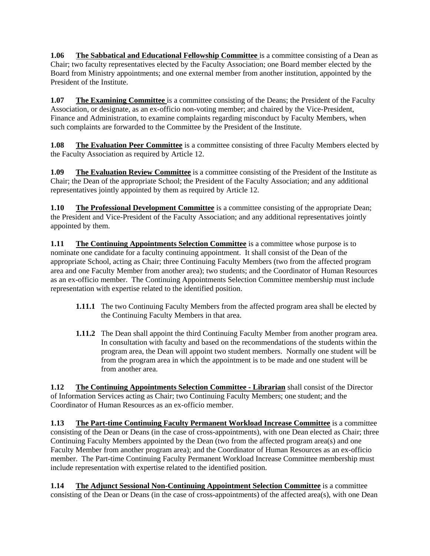**1.06 The Sabbatical and Educational Fellowship Committee** is a committee consisting of a Dean as Chair; two faculty representatives elected by the Faculty Association; one Board member elected by the Board from Ministry appointments; and one external member from another institution, appointed by the President of the Institute.

**1.07 The Examining Committee** is a committee consisting of the Deans; the President of the Faculty Association, or designate, as an ex-officio non-voting member; and chaired by the Vice-President, Finance and Administration, to examine complaints regarding misconduct by Faculty Members, when such complaints are forwarded to the Committee by the President of the Institute.

**1.08 The Evaluation Peer Committee** is a committee consisting of three Faculty Members elected by the Faculty Association as required by Article 12.

**1.09** The Evaluation Review Committee is a committee consisting of the President of the Institute as Chair; the Dean of the appropriate School; the President of the Faculty Association; and any additional representatives jointly appointed by them as required by Article 12.

**1.10 The Professional Development Committee** is a committee consisting of the appropriate Dean; the President and Vice-President of the Faculty Association; and any additional representatives jointly appointed by them.

**1.11 The Continuing Appointments Selection Committee** is a committee whose purpose is to nominate one candidate for a faculty continuing appointment. It shall consist of the Dean of the appropriate School, acting as Chair; three Continuing Faculty Members (two from the affected program area and one Faculty Member from another area); two students; and the Coordinator of Human Resources as an ex-officio member. The Continuing Appointments Selection Committee membership must include representation with expertise related to the identified position.

- **1.11.1** The two Continuing Faculty Members from the affected program area shall be elected by the Continuing Faculty Members in that area.
- **1.11.2** The Dean shall appoint the third Continuing Faculty Member from another program area. In consultation with faculty and based on the recommendations of the students within the program area, the Dean will appoint two student members. Normally one student will be from the program area in which the appointment is to be made and one student will be from another area.

**1.12 The Continuing Appointments Selection Committee - Librarian** shall consist of the Director of Information Services acting as Chair; two Continuing Faculty Members; one student; and the Coordinator of Human Resources as an ex-officio member.

**1.13 The Part-time Continuing Faculty Permanent Workload Increase Committee** is a committee consisting of the Dean or Deans (in the case of cross-appointments), with one Dean elected as Chair; three Continuing Faculty Members appointed by the Dean (two from the affected program area(s) and one Faculty Member from another program area); and the Coordinator of Human Resources as an ex-officio member. The Part-time Continuing Faculty Permanent Workload Increase Committee membership must include representation with expertise related to the identified position.

**1.14** The Adjunct Sessional Non-Continuing Appointment Selection Committee is a committee consisting of the Dean or Deans (in the case of cross-appointments) of the affected area(s), with one Dean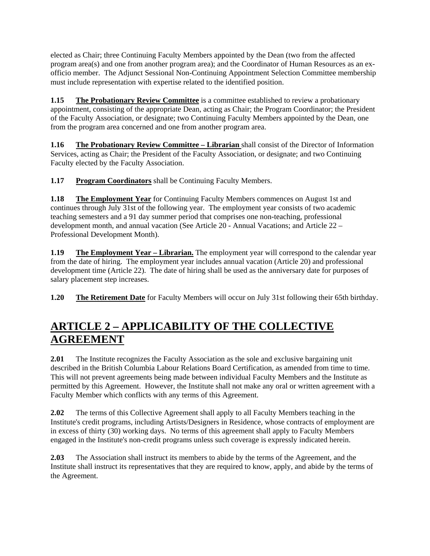elected as Chair; three Continuing Faculty Members appointed by the Dean (two from the affected program area(s) and one from another program area); and the Coordinator of Human Resources as an exofficio member. The Adjunct Sessional Non-Continuing Appointment Selection Committee membership must include representation with expertise related to the identified position.

**1.15 The Probationary Review Committee** is a committee established to review a probationary appointment, consisting of the appropriate Dean, acting as Chair; the Program Coordinator; the President of the Faculty Association, or designate; two Continuing Faculty Members appointed by the Dean, one from the program area concerned and one from another program area.

**1.16 The Probationary Review Committee – Librarian** shall consist of the Director of Information Services, acting as Chair; the President of the Faculty Association, or designate; and two Continuing Faculty elected by the Faculty Association.

**1.17 Program Coordinators** shall be Continuing Faculty Members.

**1.18 The Employment Year** for Continuing Faculty Members commences on August 1st and continues through July 31st of the following year. The employment year consists of two academic teaching semesters and a 91 day summer period that comprises one non-teaching, professional development month, and annual vacation (See Article 20 - Annual Vacations; and Article 22 – Professional Development Month).

**1.19 The Employment Year – Librarian.** The employment year will correspond to the calendar year from the date of hiring. The employment year includes annual vacation (Article 20) and professional development time (Article 22). The date of hiring shall be used as the anniversary date for purposes of salary placement step increases.

**1.20 The Retirement Date** for Faculty Members will occur on July 31st following their 65th birthday.

# **ARTICLE 2 – APPLICABILITY OF THE COLLECTIVE AGREEMENT**

**2.01** The Institute recognizes the Faculty Association as the sole and exclusive bargaining unit described in the British Columbia Labour Relations Board Certification, as amended from time to time. This will not prevent agreements being made between individual Faculty Members and the Institute as permitted by this Agreement. However, the Institute shall not make any oral or written agreement with a Faculty Member which conflicts with any terms of this Agreement.

**2.02** The terms of this Collective Agreement shall apply to all Faculty Members teaching in the Institute's credit programs, including Artists/Designers in Residence, whose contracts of employment are in excess of thirty (30) working days. No terms of this agreement shall apply to Faculty Members engaged in the Institute's non-credit programs unless such coverage is expressly indicated herein.

**2.03** The Association shall instruct its members to abide by the terms of the Agreement, and the Institute shall instruct its representatives that they are required to know, apply, and abide by the terms of the Agreement.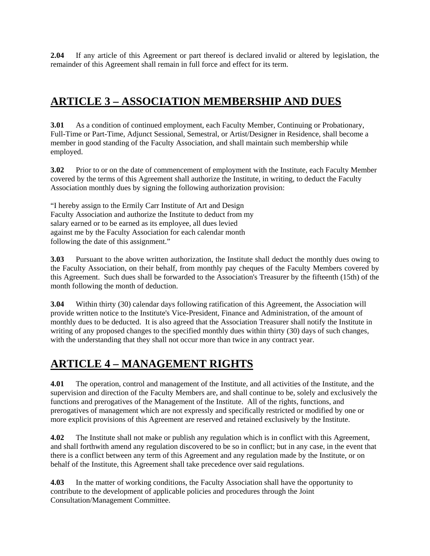**2.04** If any article of this Agreement or part thereof is declared invalid or altered by legislation, the remainder of this Agreement shall remain in full force and effect for its term.

# **ARTICLE 3 – ASSOCIATION MEMBERSHIP AND DUES**

**3.01** As a condition of continued employment, each Faculty Member, Continuing or Probationary, Full-Time or Part-Time, Adjunct Sessional, Semestral, or Artist/Designer in Residence, shall become a member in good standing of the Faculty Association, and shall maintain such membership while employed.

**3.02** Prior to or on the date of commencement of employment with the Institute, each Faculty Member covered by the terms of this Agreement shall authorize the Institute, in writing, to deduct the Faculty Association monthly dues by signing the following authorization provision:

"I hereby assign to the Ermily Carr Institute of Art and Design Faculty Association and authorize the Institute to deduct from my salary earned or to be earned as its employee, all dues levied against me by the Faculty Association for each calendar month following the date of this assignment."

**3.03** Pursuant to the above written authorization, the Institute shall deduct the monthly dues owing to the Faculty Association, on their behalf, from monthly pay cheques of the Faculty Members covered by this Agreement. Such dues shall be forwarded to the Association's Treasurer by the fifteenth (15th) of the month following the month of deduction.

**3.04** Within thirty (30) calendar days following ratification of this Agreement, the Association will provide written notice to the Institute's Vice-President, Finance and Administration, of the amount of monthly dues to be deducted. It is also agreed that the Association Treasurer shall notify the Institute in writing of any proposed changes to the specified monthly dues within thirty (30) days of such changes, with the understanding that they shall not occur more than twice in any contract year.

## **ARTICLE 4 – MANAGEMENT RIGHTS**

**4.01** The operation, control and management of the Institute, and all activities of the Institute, and the supervision and direction of the Faculty Members are, and shall continue to be, solely and exclusively the functions and prerogatives of the Management of the Institute. All of the rights, functions, and prerogatives of management which are not expressly and specifically restricted or modified by one or more explicit provisions of this Agreement are reserved and retained exclusively by the Institute.

**4.02** The Institute shall not make or publish any regulation which is in conflict with this Agreement, and shall forthwith amend any regulation discovered to be so in conflict; but in any case, in the event that there is a conflict between any term of this Agreement and any regulation made by the Institute, or on behalf of the Institute, this Agreement shall take precedence over said regulations.

**4.03** In the matter of working conditions, the Faculty Association shall have the opportunity to contribute to the development of applicable policies and procedures through the Joint Consultation/Management Committee.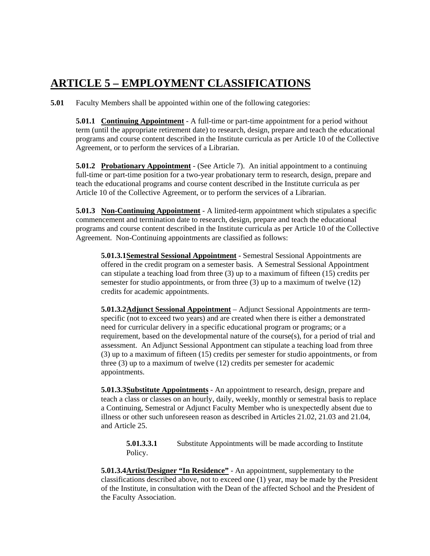# **ARTICLE 5 – EMPLOYMENT CLASSIFICATIONS**

**5.01** Faculty Members shall be appointed within one of the following categories:

**5.01.1 Continuing Appointment** - A full-time or part-time appointment for a period without term (until the appropriate retirement date) to research, design, prepare and teach the educational programs and course content described in the Institute curricula as per Article 10 of the Collective Agreement, or to perform the services of a Librarian.

**5.01.2 Probationary Appointment** - (See Article 7). An initial appointment to a continuing full-time or part-time position for a two-year probationary term to research, design, prepare and teach the educational programs and course content described in the Institute curricula as per Article 10 of the Collective Agreement, or to perform the services of a Librarian.

**5.01.3 Non-Continuing Appointment** - A limited-term appointment which stipulates a specific commencement and termination date to research, design, prepare and teach the educational programs and course content described in the Institute curricula as per Article 10 of the Collective Agreement. Non-Continuing appointments are classified as follows:

**5.01.3.1Semestral Sessional Appointment** - Semestral Sessional Appointments are offered in the credit program on a semester basis. A Semestral Sessional Appointment can stipulate a teaching load from three (3) up to a maximum of fifteen (15) credits per semester for studio appointments, or from three (3) up to a maximum of twelve (12) credits for academic appointments.

**5.01.3.2Adjunct Sessional Appointment** – Adjunct Sessional Appointments are termspecific (not to exceed two years) and are created when there is either a demonstrated need for curricular delivery in a specific educational program or programs; or a requirement, based on the developmental nature of the course(s), for a period of trial and assessment. An Adjunct Sessional Appontment can stipulate a teaching load from three (3) up to a maximum of fifteen (15) credits per semester for studio appointments, or from three (3) up to a maximum of twelve (12) credits per semester for academic appointments.

**5.01.3.3Substitute Appointments** - An appointment to research, design, prepare and teach a class or classes on an hourly, daily, weekly, monthly or semestral basis to replace a Continuing, Semestral or Adjunct Faculty Member who is unexpectedly absent due to illness or other such unforeseen reason as described in Articles 21.02, 21.03 and 21.04, and Article 25.

**5.01.3.3.1** Substitute Appointments will be made according to Institute Policy.

**5.01.3.4 Artist/Designer "In Residence"** - An appointment, supplementary to the classifications described above, not to exceed one (1) year, may be made by the President of the Institute, in consultation with the Dean of the affected School and the President of the Faculty Association.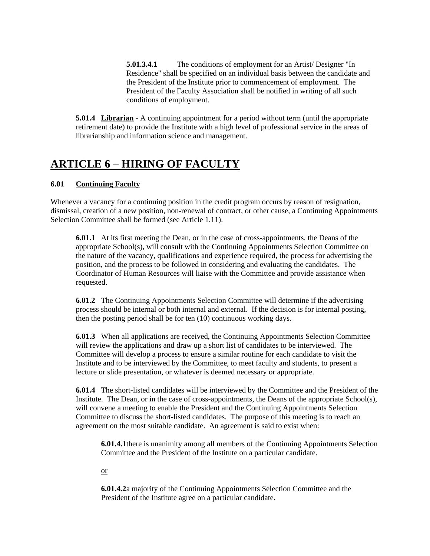**5.01.3.4.1** The conditions of employment for an Artist/ Designer "In Residence" shall be specified on an individual basis between the candidate and the President of the Institute prior to commencement of employment. The President of the Faculty Association shall be notified in writing of all such conditions of employment.

**5.01.4 Librarian** - A continuing appointment for a period without term (until the appropriate retirement date) to provide the Institute with a high level of professional service in the areas of librarianship and information science and management.

## **ARTICLE 6 – HIRING OF FACULTY**

## **6.01 Continuing Faculty**

Whenever a vacancy for a continuing position in the credit program occurs by reason of resignation, dismissal, creation of a new position, non-renewal of contract, or other cause, a Continuing Appointments Selection Committee shall be formed (see Article 1.11).

**6.01.1** At its first meeting the Dean, or in the case of cross-appointments, the Deans of the appropriate School(s), will consult with the Continuing Appointments Selection Committee on the nature of the vacancy, qualifications and experience required, the process for advertising the position, and the process to be followed in considering and evaluating the candidates. The Coordinator of Human Resources will liaise with the Committee and provide assistance when requested.

**6.01.2** The Continuing Appointments Selection Committee will determine if the advertising process should be internal or both internal and external. If the decision is for internal posting, then the posting period shall be for ten (10) continuous working days.

**6.01.3** When all applications are received, the Continuing Appointments Selection Committee will review the applications and draw up a short list of candidates to be interviewed. The Committee will develop a process to ensure a similar routine for each candidate to visit the Institute and to be interviewed by the Committee, to meet faculty and students, to present a lecture or slide presentation, or whatever is deemed necessary or appropriate.

**6.01.4** The short-listed candidates will be interviewed by the Committee and the President of the Institute. The Dean, or in the case of cross-appointments, the Deans of the appropriate School(s), will convene a meeting to enable the President and the Continuing Appointments Selection Committee to discuss the short-listed candidates. The purpose of this meeting is to reach an agreement on the most suitable candidate. An agreement is said to exist when:

**6.01.4.1** there is unanimity among all members of the Continuing Appointments Selection Committee and the President of the Institute on a particular candidate.

or

**6.01.4.2** a majority of the Continuing Appointments Selection Committee and the President of the Institute agree on a particular candidate.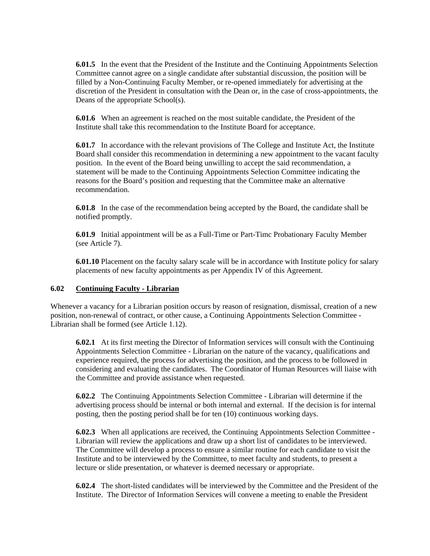**6.01.5** In the event that the President of the Institute and the Continuing Appointments Selection Committee cannot agree on a single candidate after substantial discussion, the position will be filled by a Non-Continuing Faculty Member, or re-opened immediately for advertising at the discretion of the President in consultation with the Dean or, in the case of cross-appointments, the Deans of the appropriate School(s).

**6.01.6** When an agreement is reached on the most suitable candidate, the President of the Institute shall take this recommendation to the Institute Board for acceptance.

**6.01.7** In accordance with the relevant provisions of The College and Institute Act, the Institute Board shall consider this recommendation in determining a new appointment to the vacant faculty position. In the event of the Board being unwilling to accept the said recommendation, a statement will be made to the Continuing Appointments Selection Committee indicating the reasons for the Board's position and requesting that the Committee make an alternative recommendation.

**6.01.8** In the case of the recommendation being accepted by the Board, the candidate shall be notified promptly.

**6.01.9** Initial appointment will be as a Full-Time or Part-Timc Probationary Faculty Member (see Article 7).

**6.01.10** Placement on the faculty salary scale will be in accordance with Institute policy for salary placements of new faculty appointments as per Appendix IV of this Agreement.

### **6.02 Continuing Faculty - Librarian**

Whenever a vacancy for a Librarian position occurs by reason of resignation, dismissal, creation of a new position, non-renewal of contract, or other cause, a Continuing Appointments Selection Committee - Librarian shall be formed (see Article 1.12).

**6.02.1** At its first meeting the Director of Information services will consult with the Continuing Appointments Selection Committee - Librarian on the nature of the vacancy, qualifications and experience required, the process for advertising the position, and the process to be followed in considering and evaluating the candidates. The Coordinator of Human Resources will liaise with the Committee and provide assistance when requested.

**6.02.2** The Continuing Appointments Selection Committee - Librarian will determine if the advertising process should be internal or both internal and external. If the decision is for internal posting, then the posting period shall be for ten (10) continuous working days.

**6.02.3** When all applications are received, the Continuing Appointments Selection Committee - Librarian will review the applications and draw up a short list of candidates to be interviewed. The Committee will develop a process to ensure a similar routine for each candidate to visit the Institute and to be interviewed by the Committee, to meet faculty and students, to present a lecture or slide presentation, or whatever is deemed necessary or appropriate.

**6.02.4** The short-listed candidates will be interviewed by the Committee and the President of the Institute. The Director of Information Services will convene a meeting to enable the President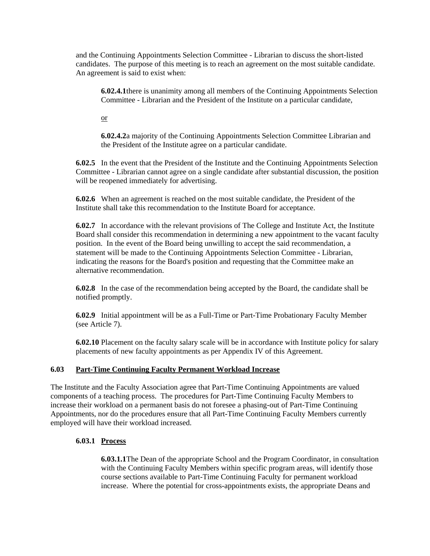and the Continuing Appointments Selection Committee - Librarian to discuss the short-listed candidates. The purpose of this meeting is to reach an agreement on the most suitable candidate. An agreement is said to exist when:

**6.02.4.1** there is unanimity among all members of the Continuing Appointments Selection Committee - Librarian and the President of the Institute on a particular candidate,

or

**6.02.4.2** a majority of the Continuing Appointments Selection Committee Librarian and the President of the Institute agree on a particular candidate.

**6.02.5** In the event that the President of the Institute and the Continuing Appointments Selection Committee - Librarian cannot agree on a single candidate after substantial discussion, the position will be reopened immediately for advertising.

**6.02.6** When an agreement is reached on the most suitable candidate, the President of the Institute shall take this recommendation to the Institute Board for acceptance.

**6.02.7** In accordance with the relevant provisions of The College and Institute Act, the Institute Board shall consider this recommendation in determining a new appointment to the vacant faculty position. In the event of the Board being unwilling to accept the said recommendation, a statement will be made to the Continuing Appointments Selection Committee - Librarian, indicating the reasons for the Board's position and requesting that the Committee make an alternative recommendation.

**6.02.8** In the case of the recommendation being accepted by the Board, the candidate shall be notified promptly.

**6.02.9** Initial appointment will be as a Full-Time or Part-Time Probationary Faculty Member (see Article 7).

**6.02.10** Placement on the faculty salary scale will be in accordance with Institute policy for salary placements of new faculty appointments as per Appendix IV of this Agreement.

### **6.03 Part-Time Continuing Faculty Permanent Workload Increase**

The Institute and the Faculty Association agree that Part-Time Continuing Appointments are valued components of a teaching process. The procedures for Part-Time Continuing Faculty Members to increase their workload on a permanent basis do not foresee a phasing-out of Part-Time Continuing Appointments, nor do the procedures ensure that all Part-Time Continuing Faculty Members currently employed will have their workload increased.

### **6.03.1 Process**

**6.03.1.1** The Dean of the appropriate School and the Program Coordinator, in consultation with the Continuing Faculty Members within specific program areas, will identify those course sections available to Part-Time Continuing Faculty for permanent workload increase. Where the potential for cross-appointments exists, the appropriate Deans and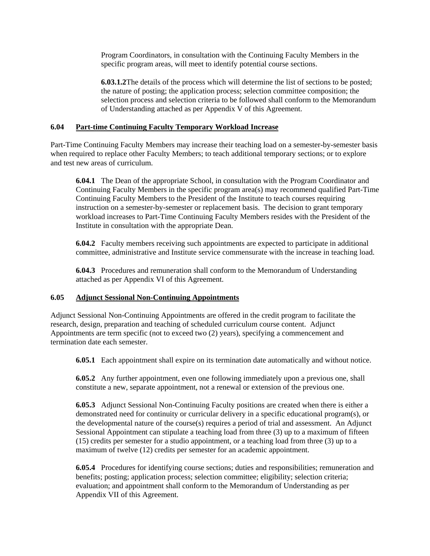Program Coordinators, in consultation with the Continuing Faculty Members in the specific program areas, will meet to identify potential course sections.

**6.03.1.2** The details of the process which will determine the list of sections to be posted; the nature of posting; the application process; selection committee composition; the selection process and selection criteria to be followed shall conform to the Memorandum of Understanding attached as per Appendix V of this Agreement.

### **6.04 Part-time Continuing Faculty Temporary Workload Increase**

Part-Time Continuing Faculty Members may increase their teaching load on a semester-by-semester basis when required to replace other Faculty Members; to teach additional temporary sections; or to explore and test new areas of curriculum.

**6.04.1** The Dean of the appropriate School, in consultation with the Program Coordinator and Continuing Faculty Members in the specific program area(s) may recommend qualified Part-Time Continuing Faculty Members to the President of the Institute to teach courses requiring instruction on a semester-by-semester or replacement basis. The decision to grant temporary workload increases to Part-Time Continuing Faculty Members resides with the President of the Institute in consultation with the appropriate Dean.

**6.04.2** Faculty members receiving such appointments are expected to participate in additional committee, administrative and Institute service commensurate with the increase in teaching load.

**6.04.3** Procedures and remuneration shall conform to the Memorandum of Understanding attached as per Appendix VI of this Agreement.

#### **6.05 Adjunct Sessional Non-Continuing Appointments**

Adjunct Sessional Non-Continuing Appointments are offered in the credit program to facilitate the research, design, preparation and teaching of scheduled curriculum course content. Adjunct Appointments are term specific (not to exceed two (2) years), specifying a commencement and termination date each semester.

**6.05.1** Each appointment shall expire on its termination date automatically and without notice.

**6.05.2** Any further appointment, even one following immediately upon a previous one, shall constitute a new, separate appointment, not a renewal or extension of the previous one.

**6.05.3** Adjunct Sessional Non-Continuing Faculty positions are created when there is either a demonstrated need for continuity or curricular delivery in a specific educational program(s), or the developmental nature of the course(s) requires a period of trial and assessment. An Adjunct Sessional Appointment can stipulate a teaching load from three (3) up to a maximum of fifteen (15) credits per semester for a studio appointment, or a teaching load from three (3) up to a maximum of twelve (12) credits per semester for an academic appointment.

**6.05.4** Procedures for identifying course sections; duties and responsibilities; remuneration and benefits; posting; application process; selection committee; eligibility; selection criteria; evaluation; and appointment shall conform to the Memorandum of Understanding as per Appendix VII of this Agreement.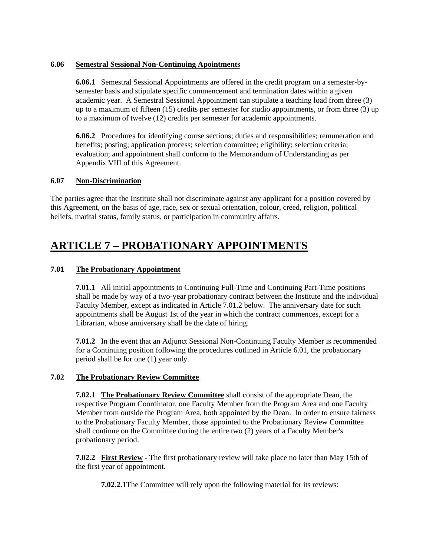### **6.06 Semestral Sessional Non-Continuing Apointments**

**6.06.1** Semestral Sessional Appointments are offered in the credit program on a semester-bysemester basis and stipulate specific commencement and termination dates within a given academic year. A Semestral Sessional Appointment can stipulate a teaching load from three (3) up to a maximum of fifteen (15) credits per semester for studio appointments, or from three (3) up to a maximum of twelve (12) credits per semester for academic appointments.

**6.06.2** Procedures for identifying course sections; duties and responsibilities; remuneration and benefits; posting; application process; selection committee; eligibility; selection criteria; evaluation; and appointment shall conform to the Memorandum of Understanding as per Appendix VIII of this Agreement.

### **6.07 Non-Discrimination**

The parties agree that the Institute shall not discriminate against any applicant for a position covered by this Agreement, on the basis of age, race, sex or sexual orientation, colour, creed, religion, political beliefs, marital status, family status, or participation in community affairs.

# **ARTICLE 7 – PROBATIONARY APPOINTMENTS**

## **7.01 The Probationary Appointment**

**7.01.1** All initial appointments to Continuing Full-Time and Continuing Part-Time positions shall be made by way of a two-year probationary contract between the Institute and the individual Faculty Member, except as indicated in Article 7.01.2 below. The anniversary date for such appointments shall be August 1st of the year in which the contract commences, except for a Librarian, whose anniversary shall be the date of hiring.

**7.01.2** In the event that an Adjunct Sessional Non-Continuing Faculty Member is recommended for a Continuing position following the procedures outlined in Article 6.01, the probationary period shall be for one (1) year only.

### **7.02 The Probationary Review Committee**

**7.02.1 The Probationary Review Committee** shall consist of the appropriate Dean, the respective Program Coordinator, one Faculty Member from the Program Area and one Faculty Member from outside the Program Area, both appointed by the Dean. In order to ensure fairness to the Probationary Faculty Member, those appointed to the Probationary Review Committee shall continue on the Committee during the entire two (2) years of a Faculty Member's probationary period.

**7.02.2 First Review -** The first probationary review will take place no later than May 15th of the first year of appointment.

**7.02.2.1** The Committee will rely upon the following material for its reviews: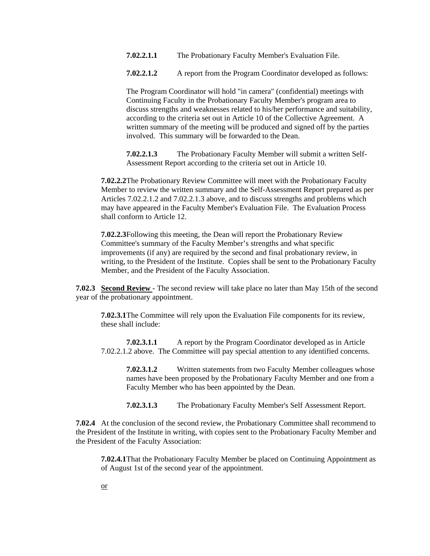- **7.02.2.1.1** The Probationary Faculty Member's Evaluation File.
- **7.02.2.1.2** A report from the Program Coordinator developed as follows:

The Program Coordinator will hold "in camera" (confidential) meetings with Continuing Faculty in the Probationary Faculty Member's program area to discuss strengths and weaknesses related to his/her performance and suitability, according to the criteria set out in Article 10 of the Collective Agreement. A written summary of the meeting will be produced and signed off by the parties involved. This summary will be forwarded to the Dean.

**7.02.2.1.3** The Probationary Faculty Member will submit a written Self-Assessment Report according to the criteria set out in Article 10.

**7.02.2.2** The Probationary Review Committee will meet with the Probationary Faculty Member to review the written summary and the Self-Assessment Report prepared as per Articles 7.02.2.1.2 and 7.02.2.1.3 above, and to discuss strengths and problems which may have appeared in the Faculty Member's Evaluation File. The Evaluation Process shall conform to Article 12.

**7.02.2.3** Following this meeting, the Dean will report the Probationary Review Committee's summary of the Faculty Member's strengths and what specific improvements (if any) are required by the second and final probationary review, in writing, to the President of the Institute. Copies shall be sent to the Probationary Faculty Member, and the President of the Faculty Association.

**7.02.3 Second Review** - The second review will take place no later than May 15th of the second year of the probationary appointment.

**7.02.3.1** The Committee will rely upon the Evaluation File components for its review, these shall include:

**7.02.3.1.1** A report by the Program Coordinator developed as in Article 7.02.2.1.2 above. The Committee will pay special attention to any identified concerns.

**7.02.3.1.2** Written statements from two Faculty Member colleagues whose names have been proposed by the Probationary Faculty Member and one from a Faculty Member who has been appointed by the Dean.

**7.02.3.1.3** The Probationary Faculty Member's Self Assessment Report.

**7.02.4** At the conclusion of the second review, the Probationary Committee shall recommend to the President of the Institute in writing, with copies sent to the Probationary Faculty Member and the President of the Faculty Association:

**7.02.4.1** That the Probationary Faculty Member be placed on Continuing Appointment as of August 1st of the second year of the appointment.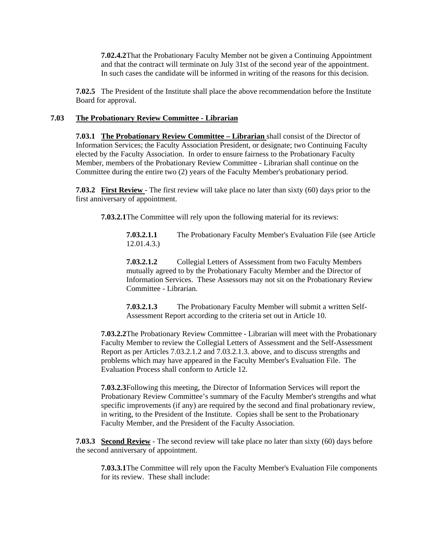**7.02.4.2** That the Probationary Faculty Member not be given a Continuing Appointment and that the contract will terminate on July 31st of the second year of the appointment. In such cases the candidate will be informed in writing of the reasons for this decision.

**7.02.5** The President of the Institute shall place the above recommendation before the Institute Board for approval.

### **7.03 The Probationary Review Committee - Librarian**

**7.03.1 The Probationary Review Committee – Librarian** shall consist of the Director of Information Services; the Faculty Association President, or designate; two Continuing Faculty elected by the Faculty Association. In order to ensure fairness to the Probationary Faculty Member, members of the Probationary Review Committee - Librarian shall continue on the Committee during the entire two (2) years of the Faculty Member's probationary period.

**7.03.2 First Review** - The first review will take place no later than sixty (60) days prior to the first anniversary of appointment.

**7.03.2.1** The Committee will rely upon the following material for its reviews:

**7.03.2.1.1** The Probationary Faculty Member's Evaluation File (see Article 12.01.4.3.)

**7.03.2.1.2** Collegial Letters of Assessment from two Faculty Members mutually agreed to by the Probationary Faculty Member and the Director of Information Services. These Assessors may not sit on the Probationary Review Committee - Librarian.

**7.03.2.1.3** The Probationary Faculty Member will submit a written Self-Assessment Report according to the criteria set out in Article 10.

**7.03.2.2** The Probationary Review Committee - Librarian will meet with the Probationary Faculty Member to review the Collegial Letters of Assessment and the Self-Assessment Report as per Articles 7.03.2.1.2 and 7.03.2.1.3. above, and to discuss strengths and problems which may have appeared in the Faculty Member's Evaluation File. The Evaluation Process shall conform to Article 12.

**7.03.2.3** Following this meeting, the Director of Information Services will report the Probationary Review Committee's summary of the Faculty Member's strengths and what specific improvements (if any) are required by the second and final probationary review, in writing, to the President of the Institute. Copies shall be sent to the Probationary Faculty Member, and the President of the Faculty Association.

**7.03.3 Second Review** - The second review will take place no later than sixty (60) days before the second anniversary of appointment.

**7.03.3.1** The Committee will rely upon the Faculty Member's Evaluation File components for its review. These shall include: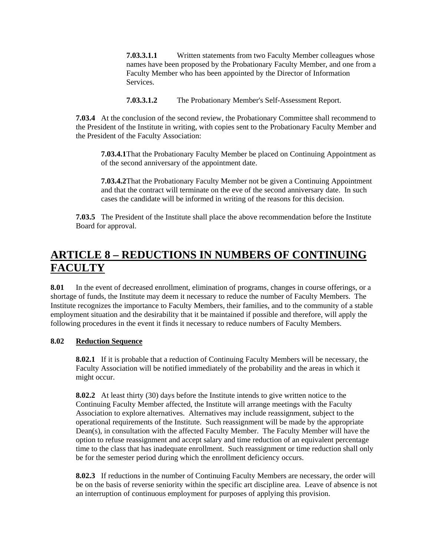**7.03.3.1.1** Written statements from two Faculty Member colleagues whose names have been proposed by the Probationary Faculty Member, and one from a Faculty Member who has been appointed by the Director of Information Services.

**7.03.3.1.2** The Probationary Member's Self-Assessment Report.

**7.03.4** At the conclusion of the second review, the Probationary Committee shall recommend to the President of the Institute in writing, with copies sent to the Probationary Faculty Member and the President of the Faculty Association:

**7.03.4.1** That the Probationary Faculty Member be placed on Continuing Appointment as of the second anniversary of the appointment date.

**7.03.4.2** That the Probationary Faculty Member not be given a Continuing Appointment and that the contract will terminate on the eve of the second anniversary date. In such cases the candidate will be informed in writing of the reasons for this decision.

**7.03.5** The President of the Institute shall place the above recommendation before the Institute Board for approval.

# **ARTICLE 8 – REDUCTIONS IN NUMBERS OF CONTINUING FACULTY**

**8.01** In the event of decreased enrollment, elimination of programs, changes in course offerings, or a shortage of funds, the Institute may deem it necessary to reduce the number of Faculty Members. The Institute recognizes the importance to Faculty Members, their families, and to the community of a stable employment situation and the desirability that it be maintained if possible and therefore, will apply the following procedures in the event it finds it necessary to reduce numbers of Faculty Members.

## **8.02 Reduction Sequence**

**8.02.1** If it is probable that a reduction of Continuing Faculty Members will be necessary, the Faculty Association will be notified immediately of the probability and the areas in which it might occur.

**8.02.2** At least thirty (30) days before the Institute intends to give written notice to the Continuing Faculty Member affected, the Institute will arrange meetings with the Faculty Association to explore alternatives. Alternatives may include reassignment, subject to the operational requirements of the Institute. Such reassignment will be made by the appropriate Dean(s), in consultation with the affected Faculty Member. The Faculty Member will have the option to refuse reassignment and accept salary and time reduction of an equivalent percentage time to the class that has inadequate enrollment. Such reassignment or time reduction shall only be for the semester period during which the enrollment deficiency occurs.

**8.02.3** If reductions in the number of Continuing Faculty Members are necessary, the order will be on the basis of reverse seniority within the specific art discipline area. Leave of absence is not an interruption of continuous employment for purposes of applying this provision.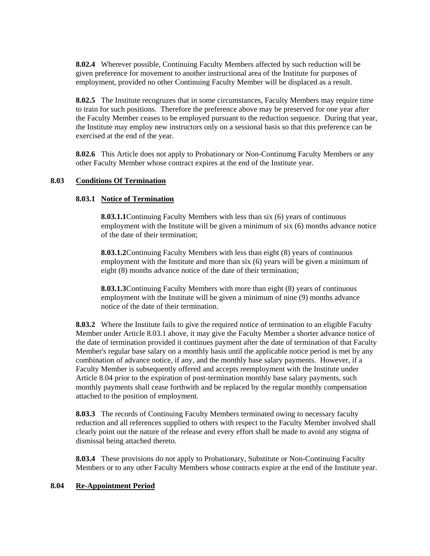**8.02.4** Wherever possible, Continuing Faculty Members affected by such reduction will be given preference for movement to another instructional area of the Institute for purposes of employment, provided no other Continuing Faculty Member will be displaced as a result.

**8.02.5** The Institute recogruzes that in some circumstances, Faculty Members may require time to train for such positions. Therefore the preference above may be preserved for one year after the Faculty Member ceases to be employed pursuant to the reduction sequence. During that year, the Institute may employ new instructors only on a sessional basis so that this preference can be exercised at the end of the year.

**8.02.6** This Article does not apply to Probationary or Non-Continumg Faculty Members or any other Faculty Member whose contract expires at the end of the Institute year.

#### **8.03 Conditions Of Termination**

### **8.03.1 Notice of Termination**

**8.03.1.1** Continuing Faculty Members with less than six (6) years of continuous employment with the Institute will be given a minimum of six (6) months advance notice of the date of their termination;

**8.03.1.2** Continuing Faculty Members with less than eight (8) years of continuous employment with the Institute and more than six (6) years will be given a minimum of eight (8) months advance notice of the date of their termination;

**8.03.1.3** Continuing Faculty Members with more than eight (8) years of continuous employment with the Institute will be given a minimum of nine (9) months advance notice of the date of their termination.

**8.03.2** Where the Institute fails to give the required notice of termination to an eligible Faculty Member under Article 8.03.1 above, it may give the Faculty Member a shorter advance notice of the date of termination provided it continues payment after the date of termination of that Faculty Member's regular base salary on a monthly basis until the applicable notice period is met by any combination of advance notice, if any, and the monthly base salary payments. However, if a Faculty Member is subsequently offered and accepts reemployment with the Institute under Article 8.04 prior to the expiration of post-termination monthly base salary payments, such monthly payments shall cease forthwith and be replaced by the regular monthly compensation attached to the position of employment.

**8.03.3** The records of Continuing Faculty Members terminated owing to necessary faculty reduction and all references supplied to others with respect to the Faculty Member involved shall clearly point out the nature of the release and every effort shall be made to avoid any stigma of dismissal being attached thereto.

**8.03.4** These provisions do not apply to Probationary, Substitute or Non-Continuing Faculty Members or to any other Faculty Members whose contracts expire at the end of the Institute year.

#### **8.04 Re-Appointment Period**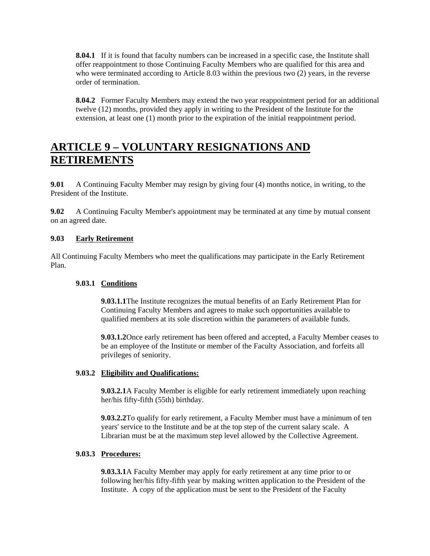**8.04.1** If it is found that faculty numbers can be increased in a specific case, the Institute shall offer reappointment to those Continuing Faculty Members who are qualified for this area and who were terminated according to Article 8.03 within the previous two (2) years, in the reverse order of termination.

**8.04.2** Former Faculty Members may extend the two year reappointment period for an additional twelve (12) months, provided they apply in writing to the President of the Institute for the extension, at least one (1) month prior to the expiration of the initial reappointment period.

# **ARTICLE 9 – VOLUNTARY RESIGNATIONS AND RETIREMENTS**

**9.01** A Continuing Faculty Member may resign by giving four (4) months notice, in writing, to the President of the Institute.

**9.02** A Continuing Faculty Member's appointment may be terminated at any time by mutual consent on an agreed date.

### **9.03 Early Retirement**

All Continuing Faculty Members who meet the qualifications may participate in the Early Retirement Plan.

### **9.03.1 Conditions**

**9.03.1.1** The Institute recognizes the mutual benefits of an Early Retirement Plan for Continuing Faculty Members and agrees to make such opportunities available to qualified members at its sole discretion within the parameters of available funds.

**9.03.1.2** Once early retirement has been offered and accepted, a Faculty Member ceases to be an employee of the Institute or member of the Faculty Association, and forfeits all privileges of seniority.

### **9.03.2 Eligibility and Qualifications:**

**9.03.2.1** A Faculty Member is eligible for early retirement immediately upon reaching her/his fifty-fifth (55th) birthday.

**9.03.2.2** To qualify for early retirement, a Faculty Member must have a minimum of ten years' service to the Institute and be at the top step of the current salary scale. A Librarian must be at the maximum step level allowed by the Collective Agreement.

### **9.03.3 Procedures:**

**9.03.3.1** A Faculty Member may apply for early retirement at any time prior to or following her/his fifty-fifth year by making written application to the President of the Institute. A copy of the application must be sent to the President of the Faculty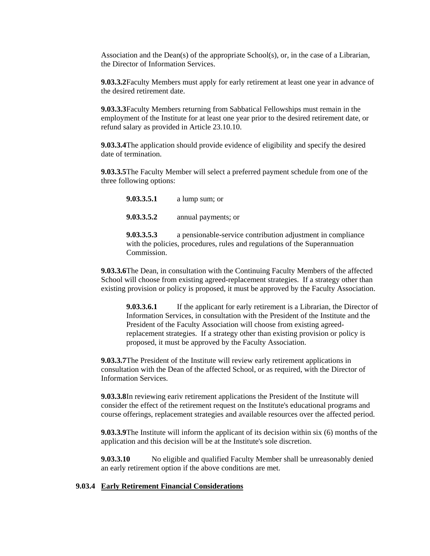Association and the Dean(s) of the appropriate School(s), or, in the case of a Librarian, the Director of Information Services.

**9.03.3.2** Faculty Members must apply for early retirement at least one year in advance of the desired retirement date.

**9.03.3.3** Faculty Members returning from Sabbatical Fellowships must remain in the employment of the Institute for at least one year prior to the desired retirement date, or refund salary as provided in Article 23.10.10.

**9.03.3.4** The application should provide evidence of eligibility and specify the desired date of termination.

**9.03.3.5** The Faculty Member will select a preferred payment schedule from one of the three following options:

**9.03.3.5.1** a lump sum; or **9.03.3.5.2** annual payments; or

**9.03.3.5.3** a pensionable-service contribution adjustment in compliance with the policies, procedures, rules and regulations of the Superannuation Commission.

**9.03.3.6** The Dean, in consultation with the Continuing Faculty Members of the affected School will choose from existing agreed-replacement strategies. If a strategy other than existing provision or policy is proposed, it must be approved by the Faculty Association.

**9.03.3.6.1** If the applicant for early retirement is a Librarian, the Director of Information Services, in consultation with the President of the Institute and the President of the Faculty Association will choose from existing agreedreplacement strategies. If a strategy other than existing provision or policy is proposed, it must be approved by the Faculty Association.

**9.03.3.7** The President of the Institute will review early retirement applications in consultation with the Dean of the affected School, or as required, with the Director of Information Services.

**9.03.3.8** In reviewing eariv retirement applications the President of the Institute will consider the effect of the retirement request on the Institute's educational programs and course offerings, replacement strategies and available resources over the affected period.

**9.03.3.9** The Institute will inform the applicant of its decision within six (6) months of the application and this decision will be at the Institute's sole discretion.

**9.03.3.10** No eligible and qualified Faculty Member shall be unreasonably denied an early retirement option if the above conditions are met.

#### **9.03.4 Early Retirement Financial Considerations**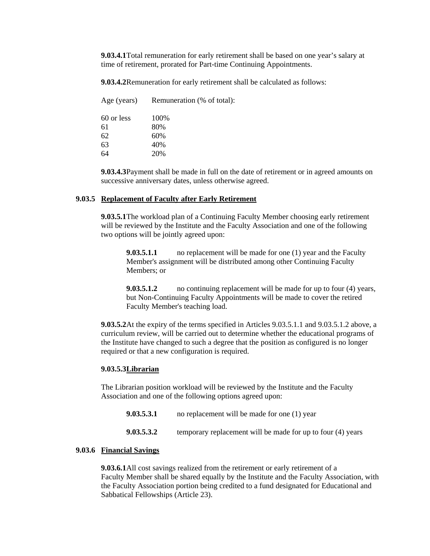**9.03.4.1** Total remuneration for early retirement shall be based on one year's salary at time of retirement, prorated for Part-time Continuing Appointments.

**9.03.4.2** Remuneration for early retirement shall be calculated as follows:

| Age (years) | Remuneration (% of total): |
|-------------|----------------------------|
| 60 or less  | 100\%                      |
| 61          | 80%                        |
| 62          | 60%                        |
| 63          | 40%                        |
| 64          | 20%                        |

**9.03.4.3** Payment shall be made in full on the date of retirement or in agreed amounts on successive anniversary dates, unless otherwise agreed.

#### **9.03.5 Replacement of Faculty after Early Retirement**

**9.03.5.1** The workload plan of a Continuing Faculty Member choosing early retirement will be reviewed by the Institute and the Faculty Association and one of the following two options will be jointly agreed upon:

**9.03.5.1.1** no replacement will be made for one (1) year and the Faculty Member's assignment will be distributed among other Continuing Faculty Members; or

**9.03.5.1.2** no continuing replacement will be made for up to four (4) years, but Non-Continuing Faculty Appointments will be made to cover the retired Faculty Member's teaching load.

**9.03.5.2** At the expiry of the terms specified in Articles 9.03.5.1.1 and 9.03.5.1.2 above, a curriculum review, will be carried out to determine whether the educational programs of the Institute have changed to such a degree that the position as configured is no longer required or that a new configuration is required.

#### **9.03.5.3Librarian**

The Librarian position workload will be reviewed by the Institute and the Faculty Association and one of the following options agreed upon:

**9.03.5.3.1** no replacement will be made for one (1) year

**9.03.5.3.2** temporary replacement will be made for up to four (4) years

#### **9.03.6 Financial Savings**

**9.03.6.1** All cost savings realized from the retirement or early retirement of a Faculty Member shall be shared equally by the Institute and the Faculty Association, with the Faculty Association portion being credited to a fund designated for Educational and Sabbatical Fellowships (Article 23).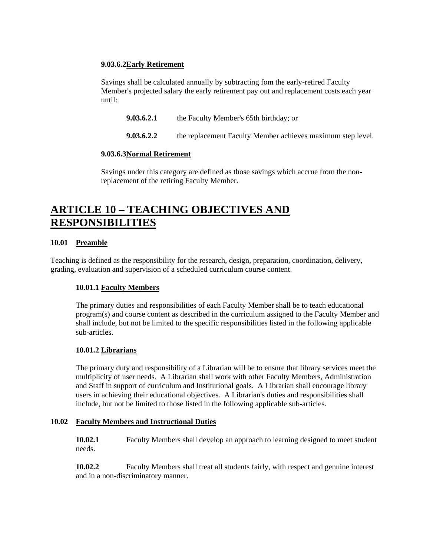### **9.03.6.2Early Retirement**

Savings shall be calculated annually by subtracting fom the early-retired Faculty Member's projected salary the early retirement pay out and replacement costs each year until:

**9.03.6.2.1** the Faculty Member's 65th birthday; or

**9.03.6.2.2** the replacement Faculty Member achieves maximum step level.

### **9.03.6.3Normal Retirement**

Savings under this category are defined as those savings which accrue from the nonreplacement of the retiring Faculty Member.

# **ARTICLE 10 – TEACHING OBJECTIVES AND RESPONSIBILITIES**

### **10.01 Preamble**

Teaching is defined as the responsibility for the research, design, preparation, coordination, delivery, grading, evaluation and supervision of a scheduled curriculum course content.

### **10.01.1 Faculty Members**

The primary duties and responsibilities of each Faculty Member shall be to teach educational program(s) and course content as described in the curriculum assigned to the Faculty Member and shall include, but not be limited to the specific responsibilities listed in the following applicable sub-articles.

### **10.01.2 Librarians**

The primary duty and responsibility of a Librarian will be to ensure that library services meet the multiplicity of user needs. A Librarian shall work with other Faculty Members, Administration and Staff in support of curriculum and Institutional goals. A Librarian shall encourage library users in achieving their educational objectives. A Librarian's duties and responsibilities shall include, but not be limited to those listed in the following applicable sub-articles.

### **10.02 Faculty Members and Instructional Duties**

**10.02.1** Faculty Members shall develop an approach to learning designed to meet student needs.

**10.02.2** Faculty Members shall treat all students fairly, with respect and genuine interest and in a non-discriminatory manner.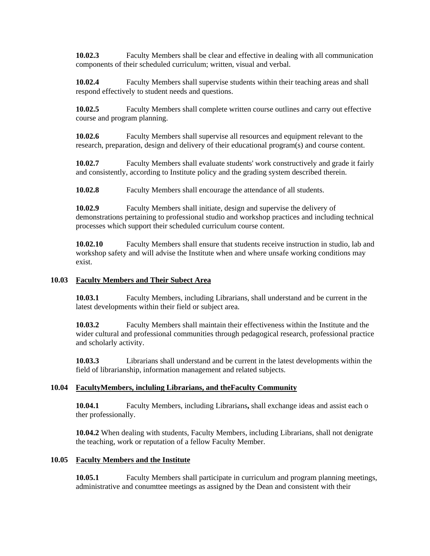**10.02.3** Faculty Members shall be clear and effective in dealing with all communication components of their scheduled curriculum; written, visual and verbal.

**10.02.4** Faculty Members shall supervise students within their teaching areas and shall respond effectively to student needs and questions.

**10.02.5** Faculty Members shall complete written course outlines and carry out effective course and program planning.

**10.02.6** Faculty Members shall supervise all resources and equipment relevant to the research, preparation, design and delivery of their educational program(s) and course content.

**10.02.7** Faculty Members shall evaluate students' work constructively and grade it fairly and consistently, according to Institute policy and the grading system described therein.

**10.02.8** Faculty Members shall encourage the attendance of all students.

**10.02.9** Faculty Members shall initiate, design and supervise the delivery of demonstrations pertaining to professional studio and workshop practices and including technical processes which support their scheduled curriculum course content.

**10.02.10** Faculty Members shall ensure that students receive instruction in studio, lab and workshop safety and will advise the Institute when and where unsafe working conditions may exist.

#### **10.03 Faculty Members and Their Subect Area**

**10.03.1** Faculty Members, including Librarians, shall understand and be current in the latest developments within their field or subject area.

**10.03.2** Faculty Members shall maintain their effectiveness within the Institute and the wider cultural and professional communities through pedagogical research, professional practice and scholarly activity.

**10.03.3** Librarians shall understand and be current in the latest developments within the field of librarianship, information management and related subjects.

### **10.04 FacultyMembers, incluling Librarians, and theFaculty Community**

**10.04.1** Faculty Members, including Librarians**,** shall exchange ideas and assist each o ther professionally.

**10.04.2** When dealing with students, Faculty Members, including Librarians, shall not denigrate the teaching, work or reputation of a fellow Faculty Member.

#### **10.05 Faculty Members and the Institute**

**10.05.1** Faculty Members shall participate in curriculum and program planning meetings, administrative and conumttee meetings as assigned by the Dean and consistent with their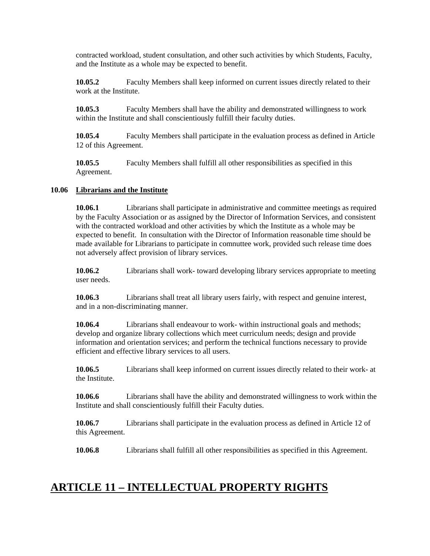contracted workload, student consultation, and other such activities by which Students, Faculty, and the Institute as a whole may be expected to benefit.

**10.05.2** Faculty Members shall keep informed on current issues directly related to their work at the Institute.

**10.05.3** Faculty Members shall have the ability and demonstrated willingness to work within the Institute and shall conscientiously fulfill their faculty duties.

**10.05.4** Faculty Members shall participate in the evaluation process as defined in Article 12 of this Agreement.

**10.05.5** Faculty Members shall fulfill all other responsibilities as specified in this Agreement.

### **10.06 Librarians and the Institute**

**10.06.1** Librarians shall participate in administrative and committee meetings as required by the Faculty Association or as assigned by the Director of Information Services, and consistent with the contracted workload and other activities by which the Institute as a whole may be expected to benefit. In consultation with the Director of Information reasonable time should be made available for Librarians to participate in comnuttee work, provided such release time does not adversely affect provision of library services.

**10.06.2** Librarians shall work- toward developing library services appropriate to meeting user needs.

**10.06.3** Librarians shall treat all library users fairly, with respect and genuine interest, and in a non-discriminating manner.

**10.06.4** Librarians shall endeavour to work- within instructional goals and methods; develop and organize library collections which meet curriculum needs; design and provide information and orientation services; and perform the technical functions necessary to provide efficient and effective library services to all users.

**10.06.5** Librarians shall keep informed on current issues directly related to their work- at the Institute.

**10.06.6** Librarians shall have the ability and demonstrated willingness to work within the Institute and shall conscientiously fulfill their Faculty duties.

**10.06.7** Librarians shall participate in the evaluation process as defined in Article 12 of this Agreement.

**10.06.8** Librarians shall fulfill all other responsibilities as specified in this Agreement.

## **ARTICLE 11 – INTELLECTUAL PROPERTY RIGHTS**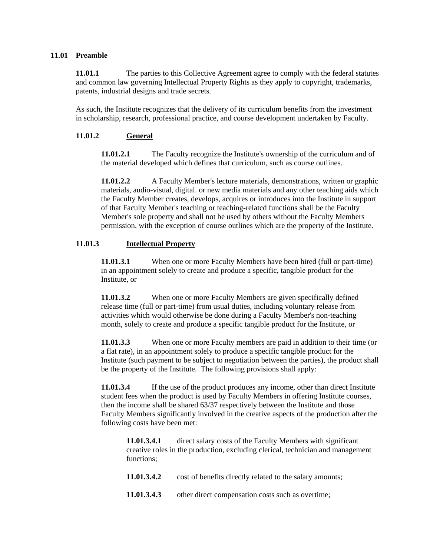#### **11.01 Preamble**

11.01.1 The parties to this Collective Agreement agree to comply with the federal statutes and common law governing Intellectual Property Rights as they apply to copyright, trademarks, patents, industrial designs and trade secrets.

As such, the Institute recognizes that the delivery of its curriculum benefits from the investment in scholarship, research, professional practice, and course development undertaken by Faculty.

### **11.01.2 General**

**11.01.2.1** The Faculty recognize the Institute's ownership of the curriculum and of the material developed which defines that curriculum, such as course outlines.

**11.01.2.2** A Faculty Member's lecture materials, demonstrations, written or graphic materials, audio-visual, digital. or new media materials and any other teaching aids which the Faculty Member creates, develops, acquires or introduces into the Institute in support of that Faculty Member's teaching or teaching-relatcd functions shall be the Faculty Member's sole property and shall not be used by others without the Faculty Members permission, with the exception of course outlines which are the property of the Institute.

#### **11.01.3 Intellectual Property**

**11.01.3.1** When one or more Faculty Members have been hired (full or part-time) in an appointment solely to create and produce a specific, tangible product for the Institute, or

**11.01.3.2** When one or more Faculty Members are given specifically defined release time (full or part-time) from usual duties, including voluntary release from activities which would otherwise be done during a Faculty Member's non-teaching month, solely to create and produce a specific tangible product for the Institute, or

**11.01.3.3** When one or more Faculty members are paid in addition to their time (or a flat rate), in an appointment solely to produce a specific tangible product for the Institute (such payment to be subject to negotiation between the parties), the product shall be the property of the Institute. The following provisions shall apply:

**11.01.3.4** If the use of the product produces any income, other than direct Institute student fees when the product is used by Faculty Members in offering Institute courses, then the income shall be shared 63/37 respectively between the Institute and those Faculty Members significantly involved in the creative aspects of the production after the following costs have been met:

**11.01.3.4.1** direct salary costs of the Faculty Members with significant creative roles in the production, excluding clerical, technician and management functions;

- **11.01.3.4.2** cost of benefits directly related to the salary amounts;
- **11.01.3.4.3** other direct compensation costs such as overtime;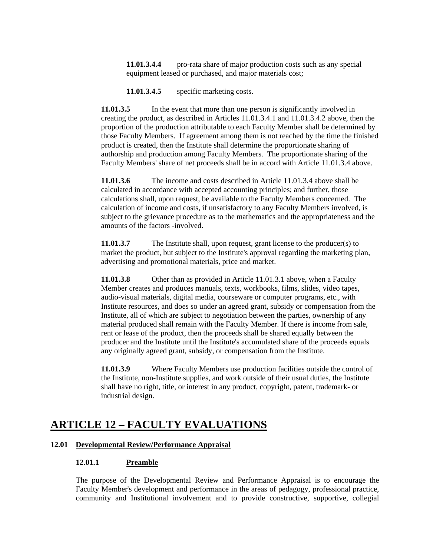**11.01.3.4.4** pro-rata share of major production costs such as any special equipment leased or purchased, and major materials cost;

**11.01.3.4.5** specific marketing costs.

**11.01.3.5** In the event that more than one person is significantly involved in creating the product, as described in Articles 11.01.3.4.1 and 11.01.3.4.2 above, then the proportion of the production attributable to each Faculty Member shall be determined by those Faculty Members. If agreement among them is not reached by the time the finished product is created, then the Institute shall determine the proportionate sharing of authorship and production among Faculty Members. The proportionate sharing of the Faculty Members' share of net proceeds shall be in accord with Article 11.01.3.4 above.

**11.01.3.6** The income and costs described in Article 11.01.3.4 above shall be calculated in accordance with accepted accounting principles; and further, those calculations shall, upon request, be available to the Faculty Members concerned. The calculation of income and costs, if unsatisfactory to any Faculty Members involved, is subject to the grievance procedure as to the mathematics and the appropriateness and the amounts of the factors -involved.

**11.01.3.7** The Institute shall, upon request, grant license to the producer(s) to market the product, but subject to the Institute's approval regarding the marketing plan, advertising and promotional materials, price and market.

**11.01.3.8** Other than as provided in Article 11.01.3.1 above, when a Faculty Member creates and produces manuals, texts, workbooks, films, slides, video tapes, audio-visual materials, digital media, courseware or computer programs, etc., with Institute resources, and does so under an agreed grant, subsidy or compensation from the Institute, all of which are subject to negotiation between the parties, ownership of any material produced shall remain with the Faculty Member. If there is income from sale, rent or lease of the product, then the proceeds shall be shared equally between the producer and the Institute until the Institute's accumulated share of the proceeds equals any originally agreed grant, subsidy, or compensation from the Institute.

**11.01.3.9** Where Faculty Members use production facilities outside the control of the Institute, non-Institute supplies, and work outside of their usual duties, the Institute shall have no right, title, or interest in any product, copyright, patent, trademark- or industrial design.

## **ARTICLE 12 – FACULTY EVALUATIONS**

### **12.01 Developmental Review/Performance Appraisal**

#### **12.01.1 Preamble**

The purpose of the Developmental Review and Performance Appraisal is to encourage the Faculty Member's development and performance in the areas of pedagogy, professional practice, community and Institutional involvement and to provide constructive, supportive, collegial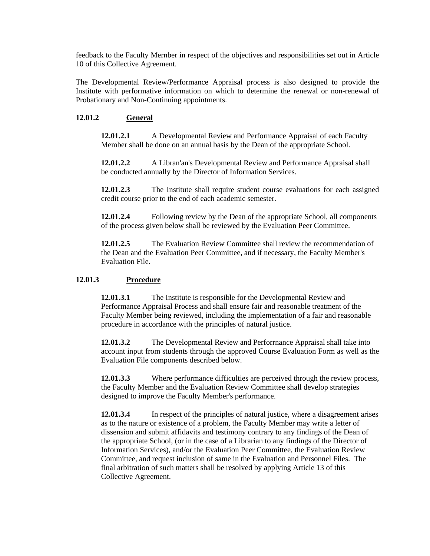feedback to the Faculty Mernber in respect of the objectives and responsibilities set out in Article 10 of this Collective Agreement.

The Developmental Review/Performance Appraisal process is also designed to provide the Institute with performative information on which to determine the renewal or non-renewal of Probationary and Non-Continuing appointments.

### **12.01.2 General**

**12.01.2.1** A Developmental Review and Performance Appraisal of each Faculty Member shall be done on an annual basis by the Dean of the appropriate School.

**12.01.2.2** A Libran'an's Developmental Review and Performance Appraisal shall be conducted annually by the Director of Information Services.

**12.01.2.3** The Institute shall require student course evaluations for each assigned credit course prior to the end of each academic semester.

**12.01.2.4** Following review by the Dean of the appropriate School, all components of the process given below shall be reviewed by the Evaluation Peer Committee.

**12.01.2.5** The Evaluation Review Committee shall review the recommendation of the Dean and the Evaluation Peer Committee, and if necessary, the Faculty Member's Evaluation File.

#### **12.01.3 Procedure**

**12.01.3.1** The Institute is responsible for the Developmental Review and Performance Appraisal Process and shall ensure fair and reasonable treatment of the Faculty Member being reviewed, including the implementation of a fair and reasonable procedure in accordance with the principles of natural justice.

**12.01.3.2** The Developmental Review and Perforrnance Appraisal shall take into account input from students through the approved Course Evaluation Form as well as the Evaluation File components described below.

**12.01.3.3** Where performance difficulties are perceived through the review process, the Faculty Member and the Evaluation Review Committee shall develop strategies designed to improve the Faculty Member's performance.

**12.01.3.4** In respect of the principles of natural justice, where a disagreement arises as to the nature or existence of a problem, the Faculty Member may write a letter of dissension and submit affidavits and testimony contrary to any findings of the Dean of the appropriate School, (or in the case of a Librarian to any findings of the Director of Information Services), and/or the Evaluation Peer Committee, the Evaluation Review Committee, and request inclusion of same in the Evaluation and Personnel Files. The final arbitration of such matters shall be resolved by applying Article 13 of this Collective Agreement.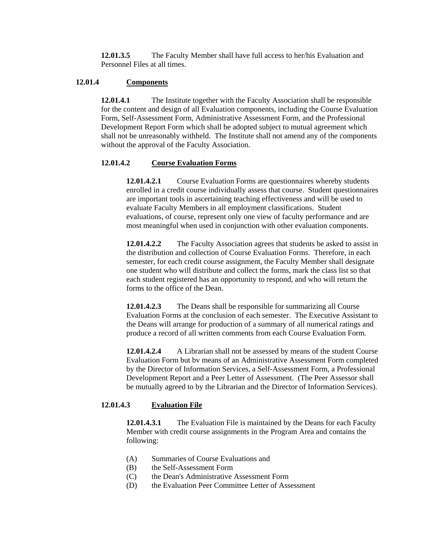**12.01.3.5** The Faculty Member shall have full access to her/his Evaluation and Personnel Files at all times.

### **12.01.4 Components**

**12.01.4.1** The Institute together with the Faculty Association shall be responsible for the content and design of all Evaluation components, including the Course Evaluation Form, Self-Assessment Form, Administrative Assessment Form, and the Professional Development Report Form which shall be adopted subject to mutual agreement which shall not be unreasonably withheld. The Institute shall not amend any of the components without the approval of the Faculty Association.

#### **12.01.4.2 Course Evaluation Forms**

**12.01.4.2.1** Course Evaluation Forms are questionnaires whereby students enrolled in a credit course individually assess that course. Student questionnaires are important tools in ascertaining teaching effectiveness and will be used to evaluate Faculty Members in all employment classifications. Student evaluations, of course, represent only one view of faculty performance and are most meaningful when used in conjunction with other evaluation components.

**12.01.4.2.2** The Faculty Association agrees that students be asked to assist in the distribution and collection of Course Evaluation Forms. Therefore, in each semester, for each credit course assignment, the Faculty Member shall designate one student who will distribute and collect the forms, mark the class list so that each student registered has an opportunity to respond, and who will return the forms to the office of the Dean.

**12.01.4.2.3** The Deans shall be responsible for summarizing all Course Evaluation Forms at the conclusion of each semester. The Executive Assistant to the Deans will arrange for production of a summary of all numerical ratings and produce a record of all written comments from each Course Evaluation Form.

**12.01.4.2.4** A Librarian shall not be assessed by means of the student Course Evaluation Form but bv means of an Administrative Assessment Form completed by the Director of Information Services, a Self-Assessment Form, a Professional Development Report and a Peer Letter of Assessment. (The Peer Assessor shall be mutually agreed to by the Librarian and the Director of Information Services).

### **12.01.4.3 Evaluation File**

**12.01.4.3.1** The Evaluation File is maintained by the Deans for each Faculty Member with credit course assignments in the Program Area and contains the following:

- (A) Summaries of Course Evaluations and
- (B) the Self-Assessment Form
- (C) the Dean's Administrative Assessment Form
- (D) the Evaluation Peer Committee Letter of Assessment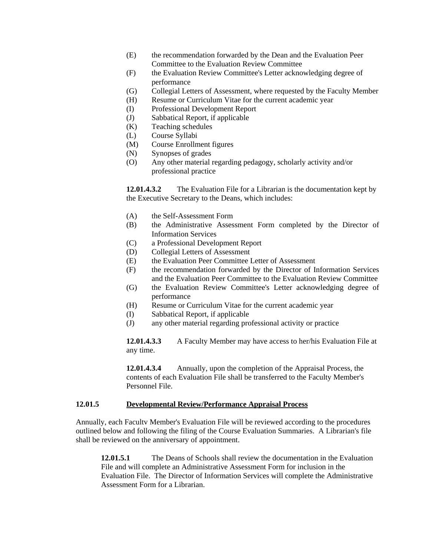- (E) the recommendation forwarded by the Dean and the Evaluation Peer Committee to the Evaluation Review Committee
- (F) the Evaluation Review Committee's Letter acknowledging degree of performance
- (G) Collegial Letters of Assessment, where requested by the Faculty Member
- (H) Resume or Curriculum Vitae for the current academic year
- (I) Professional Development Report
- (J) Sabbatical Report, if applicable
- (K) Teaching schedules
- (L) Course Syllabi
- (M) Course Enrollment figures
- (N) Synopses of grades
- (O) Any other material regarding pedagogy, scholarly activity and/or professional practice

**12.01.4.3.2** The Evaluation File for a Librarian is the documentation kept by the Executive Secretary to the Deans, which includes:

- (A) the Self-Assessment Form
- (B) the Administrative Assessment Form completed by the Director of Information Services
- (C) a Professional Development Report
- (D) Collegial Letters of Assessment
- (E) the Evaluation Peer Committee Letter of Assessment
- (F) the recommendation forwarded by the Director of Information Services and the Evaluation Peer Committee to the Evaluation Review Committee
- (G) the Evaluation Review Committee's Letter acknowledging degree of performance
- (H) Resume or Curriculum Vitae for the current academic year
- (I) Sabbatical Report, if applicable
- (J) any other material regarding professional activity or practice

**12.01.4.3.3** A Faculty Member may have access to her/his Evaluation File at any time.

**12.01.4.3.4** Annually, upon the completion of the Appraisal Process, the contents of each Evaluation File shall be transferred to the Faculty Member's Personnel File.

#### **12.01.5 Developmental Review/Performance Appraisal Process**

Annually, each Facultv Member's Evaluation File will be reviewed according to the procedures outlined below and following the filing of the Course Evaluation Summaries. A Librarian's file shall be reviewed on the anniversary of appointment.

**12.01.5.1** The Deans of Schools shall review the documentation in the Evaluation File and will complete an Administrative Assessment Form for inclusion in the Evaluation File. The Director of Information Services will complete the Administrative Assessment Form for a Librarian.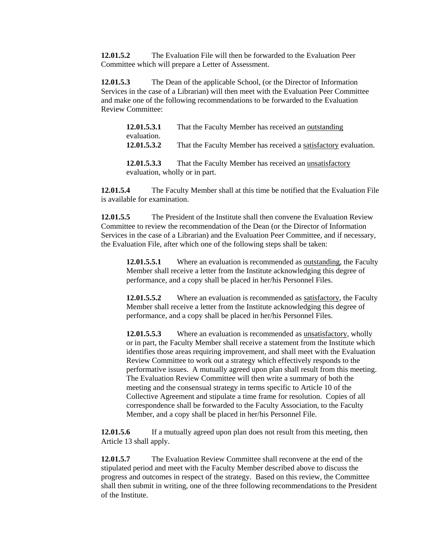**12.01.5.2** The Evaluation File will then be forwarded to the Evaluation Peer Committee which will prepare a Letter of Assessment.

**12.01.5.3** The Dean of the applicable School, (or the Director of Information Services in the case of a Librarian) will then meet with the Evaluation Peer Committee and make one of the following recommendations to be forwarded to the Evaluation Review Committee:

| 12.01.5.3.1 | That the Faculty Member has received an outstanding             |
|-------------|-----------------------------------------------------------------|
| evaluation. |                                                                 |
| 12.01.5.3.2 | That the Faculty Member has received a satisfactory evaluation. |
|             |                                                                 |

**12.01.5.3.3** That the Faculty Member has received an unsatisfactory evaluation, wholly or in part.

**12.01.5.4** The Faculty Member shall at this time be notified that the Evaluation File is available for examination.

**12.01.5.5** The President of the Institute shall then convene the Evaluation Review Committee to review the recommendation of the Dean (or the Director of Information Services in the case of a Librarian) and the Evaluation Peer Committee, and if necessary, the Evaluation File, after which one of the following steps shall be taken:

**12.01.5.5.1** Where an evaluation is recommended as <u>outstanding</u>, the Faculty Member shall receive a letter from the Institute acknowledging this degree of performance, and a copy shall be placed in her/his Personnel Files.

**12.01.5.5.2** Where an evaluation is recommended as satisfactory, the Faculty Member shall receive a letter from the Institute acknowledging this degree of performance, and a copy shall be placed in her/his Personnel Files.

**12.01.5.5.3** Where an evaluation is recommended as unsatisfactory, wholly or in part, the Faculty Member shall receive a statement from the Institute which identifies those areas requiring improvement, and shall meet with the Evaluation Review Committee to work out a strategy which effectively responds to the performative issues. A mutually agreed upon plan shall result from this meeting. The Evaluation Review Committee will then write a summary of both the meeting and the consensual strategy in terms specific to Article 10 of the Collective Agreement and stipulate a time frame for resolution. Copies of all correspondence shall be forwarded to the Faculty Association, to the Faculty Member, and a copy shall be placed in her/his Personnel File.

**12.01.5.6** If a mutually agreed upon plan does not result from this meeting, then Article 13 shall apply.

**12.01.5.7** The Evaluation Review Committee shall reconvene at the end of the stipulated period and meet with the Faculty Member described above to discuss the progress and outcomes in respect of the strategy. Based on this review, the Committee shall then submit in writing, one of the three following recommendations to the President of the Institute.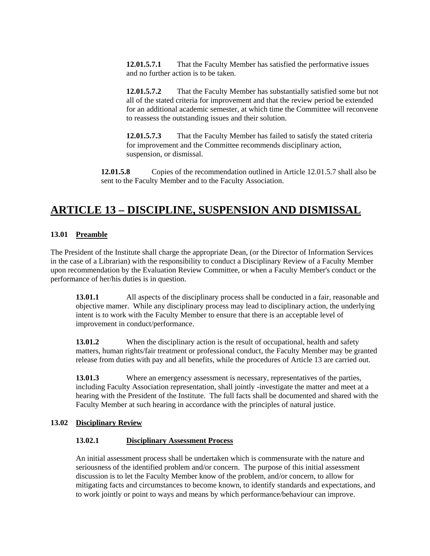**12.01.5.7.1** That the Faculty Member has satisfied the performative issues and no further action is to be taken.

**12.01.5.7.2** That the Faculty Member has substantially satisfied some but not all of the stated criteria for improvement and that the review period be extended for an additional academic semester, at which time the Committee will reconvene to reassess the outstanding issues and their solution.

**12.01.5.7.3** That the Faculty Member has failed to satisfy the stated criteria for improvement and the Committee recommends disciplinary action, suspension, or dismissal.

**12.01.5.8** Copies of the recommendation outlined in Article 12.01.5.7 shall also be sent to the Faculty Member and to the Faculty Association.

# **ARTICLE 13 – DISCIPLINE, SUSPENSION AND DISMISSAL**

### **13.01 Preamble**

The President of the Institute shall charge the appropriate Dean, (or the Director of Information Services in the case of a Librarian) with the responsibility to conduct a Disciplinary Review of a Faculty Member upon recommendation by the Evaluation Review Committee, or when a Faculty Member's conduct or the performance of her/his duties is in question.

**13.01.1** All aspects of the disciplinary process shall be conducted in a fair, reasonable and objective mamer. While any disciplinary process may lead to disciplinary action, the underlying intent is to work with the Faculty Member to ensure that there is an acceptable level of improvement in conduct/performance.

**13.01.2** When the disciplinary action is the result of occupational, health and safety matters, human rights/fair treatment or professional conduct, the Faculty Member may be granted release from duties with pay and all benefits, while the procedures of Article 13 are carried out.

**13.01.3** Where an emergency assessment is necessary, representatives of the parties, including Faculty Association representation, shall jointly -investigate the matter and meet at a hearing with the President of the Institute. The full facts shall be documented and shared with the Faculty Member at such hearing in accordance with the principles of natural justice.

### **13.02 Disciplinary Review**

### **13.02.1 Disciplinary Assessment Process**

An initial assessment process shall be undertaken which is commensurate with the nature and seriousness of the identified problem and/or concern. The purpose of this initial assessment discussion is to let the Faculty Member know of the problem, and/or concern, to allow for mitigating facts and circumstances to become known, to identify standards and expectations, and to work jointly or point to ways and means by which performance/behaviour can improve.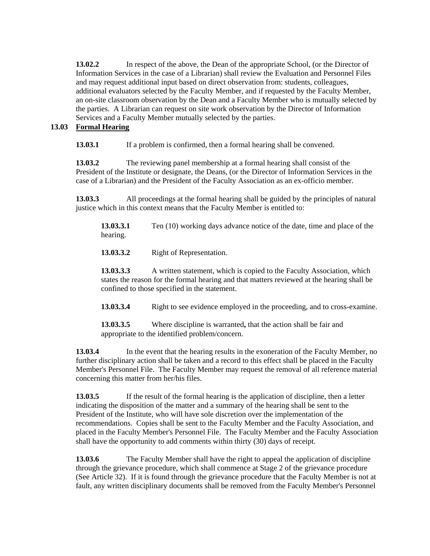**13.02.2** In respect of the above, the Dean of the appropriate School, (or the Director of Information Services in the case of a Librarian) shall review the Evaluation and Personnel Files and may request additional input based on direct observation from: students, colleagues, additional evaluators selected by the Faculty Member, and if requested by the Faculty Member, an on-site classroom observation by the Dean and a Faculty Member who is mutually selected by the parties. A Librarian can request on site work observation by the Director of Information Services and a Faculty Member mutually selected by the parties.

### **13.03 Formal Hearing**

**13.03.1** If a problem is confirmed, then a formal hearing shall be convened.

**13.03.2** The reviewing panel membership at a formal hearing shall consist of the President of the Institute or designate, the Deans, (or the Director of Information Services in the case of a Librarian) and the President of the Faculty Association as an ex-officio member.

**13.03.3** All proceedings at the formal hearing shall be guided by the principles of natural justice which in this context means that the Faculty Member is entitled to:

**13.03.3.1** Ten (10) working days advance notice of the date, time and place of the hearing.

13.03.3.2 Right of Representation.

**13.03.3.3** A written statement, which is copied to the Faculty Association, which states the reason for the formal hearing and that matters reviewed at the hearing shall be confined to those specified in the statement.

**13.03.3.4** Right to see evidence employed in the proceeding, and to cross-examine.

**13.03.3.5** Where discipline is warranted**,** that the action shall be fair and appropriate to the identified problem/concern.

**13.03.4** In the event that the hearing results in the exoneration of the Faculty Member, no further disciplinary action shall be taken and a record to this effect shall be placed in the Faculty Member's Personnel File. The Faculty Member may request the removal of all reference material concerning this matter from her/his files.

**13.03.5** If the result of the formal hearing is the application of discipline, then a letter indicating the disposition of the matter and a summary of the hearing shall be sent to the President of the Institute, who will have sole discretion over the implementation of the recommendations. Copies shall be sent to the Faculty Member and the Faculty Association, and placed in the Faculty Member's Personnel File. The Faculty Member and the Faculty Association shall have the opportunity to add comments within thirty (30) days of receipt.

**13.03.6** The Faculty Member shall have the right to appeal the application of discipline through the grievance procedure, which shall commence at Stage 2 of the grievance procedure (See Article 32). If it is found through the grievance procedure that the Faculty Member is not at fault, any written disciplinary documents shall be removed from the Faculty Member's Personnel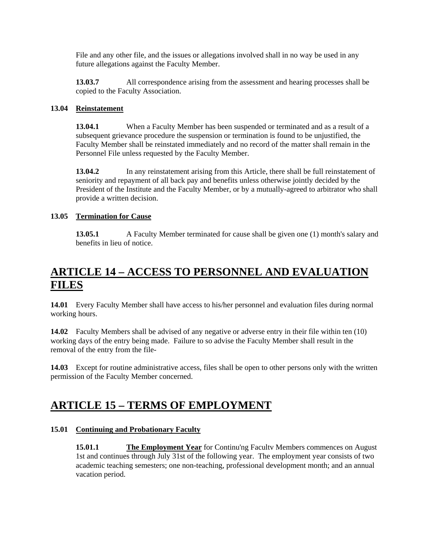File and any other file, and the issues or allegations involved shall in no way be used in any future allegations against the Faculty Member.

**13.03.7** All correspondence arising from the assessment and hearing processes shall be copied to the Faculty Association.

### **13.04 Reinstatement**

**13.04.1** When a Faculty Member has been suspended or terminated and as a result of a subsequent grievance procedure the suspension or termination is found to be unjustified, the Faculty Member shall be reinstated immediately and no record of the matter shall remain in the Personnel File unless requested by the Faculty Member.

**13.04.2** In any reinstatement arising from this Article, there shall be full reinstatement of seniority and repayment of all back pay and benefits unless otherwise jointly decided by the President of the Institute and the Faculty Member, or by a mutually-agreed to arbitrator who shall provide a written decision.

## **13.05 Termination for Cause**

**13.05.1** A Faculty Member terminated for cause shall be given one (1) month's salary and benefits in lieu of notice.

# **ARTICLE 14 – ACCESS TO PERSONNEL AND EVALUATION FILES**

**14.01** Every Faculty Member shall have access to his/her personnel and evaluation files during normal working hours.

**14.02** Faculty Members shall be advised of any negative or adverse entry in their file within ten (10) working days of the entry being made. Failure to so advise the Faculty Member shall result in the removal of the entry from the file-

**14.03** Except for routine administrative access, files shall be open to other persons only with the written permission of the Faculty Member concerned.

## **ARTICLE 15 – TERMS OF EMPLOYMENT**

### **15.01 Continuing and Probationary Faculty**

**15.01.1 The Employment Year** for Continu'ng Facultv Members commences on August 1st and continues through July 31st of the following year. The employment year consists of two academic teaching semesters; one non-teaching, professional development month; and an annual vacation period.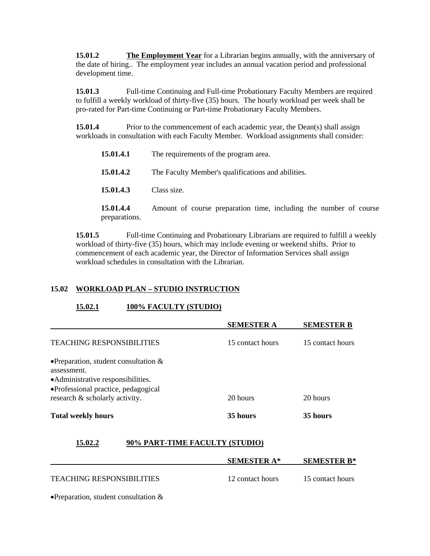**15.01.2 The Employment Year** for a Librarian begins annually, with the anniversary of the date of hiring.. The employment year includes an annual vacation period and professional development time.

**15.01.3** Full-time Continuing and Full-time Probationary Faculty Members are required to fulfill a weekly workload of thirty-five (35) hours. The hourly workload per week shall be pro-rated for Part-time Continuing or Part-time Probationary Faculty Members.

**15.01.4** Prior to the commencement of each academic year, the Dean(s) shall assign workloads in consultation with each Faculty Member. Workload assignments shall consider:

| 15.01.4.1                  | The requirements of the program area.                             |
|----------------------------|-------------------------------------------------------------------|
| 15.01.4.2                  | The Faculty Member's qualifications and abilities.                |
| 15.01.4.3                  | Class size.                                                       |
| 15.01.4.4<br>preparations. | Amount of course preparation time, including the number of course |

**15.01.5** Full-time Continuing and Probationary Librarians are required to fulfill a weekly workload of thirty-five (35) hours, which may include evening or weekend shifts. Prior to commencement of each academic year, the Director of Information Services shall assign workload schedules in consultation with the Librarian.

## **15.02 WORKLOAD PLAN – STUDIO INSTRUCTION**

### **15.02.1 100% FACULTY (STUDIO)**

|                                                                                                                                      | <b>SEMESTER A</b>  | <b>SEMESTER B</b>  |
|--------------------------------------------------------------------------------------------------------------------------------------|--------------------|--------------------|
| <b>TEACHING RESPONSIBILITIES</b>                                                                                                     | 15 contact hours   | 15 contact hours   |
| • Preparation, student consultation $\&$<br>assessment.<br>• Administrative responsibilities.<br>•Professional practice, pedagogical |                    |                    |
| research & scholarly activity.                                                                                                       | 20 hours           | 20 hours           |
| <b>Total weekly hours</b>                                                                                                            | 35 hours           | 35 hours           |
| 90% PART-TIME FACULTY (STUDIO)<br>15.02.2                                                                                            |                    |                    |
|                                                                                                                                      | <b>SEMESTER A*</b> | <b>SEMESTER B*</b> |
| <b>TEACHING RESPONSIBILITIES</b>                                                                                                     | 12 contact hours   | 15 contact hours   |

•Preparation, student consultation &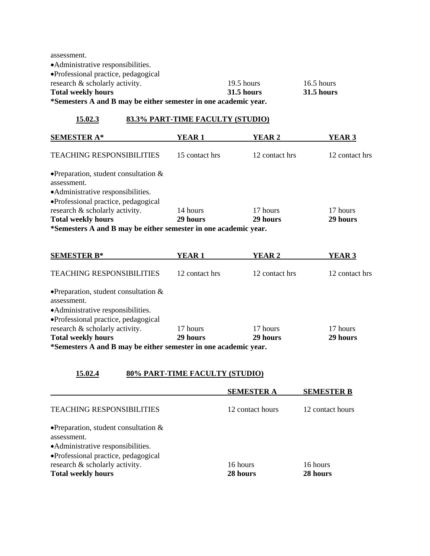assessment. •Administrative responsibilities. •Professional practice, pedagogical research & scholarly activity. 19.5 hours 16.5 hours 16.5 hours **Total weekly hours 31.5 hours 31.5 hours \*Semesters A and B may be either semester in one academic year.** 

### **15.02.3 83.3% PART-TIME FACULTY (STUDIO)**

| <b>SEMESTER A*</b>                                                                            | YEAR 1         | YEAR 2         | YEAR 3         |
|-----------------------------------------------------------------------------------------------|----------------|----------------|----------------|
| <b>TEACHING RESPONSIBILITIES</b>                                                              | 15 contact hrs | 12 contact hrs | 12 contact hrs |
| • Preparation, student consultation $\&$<br>assessment.<br>• Administrative responsibilities. |                |                |                |
| •Professional practice, pedagogical<br>research & scholarly activity.                         | 14 hours       | 17 hours       | 17 hours       |
| <b>Total weekly hours</b>                                                                     | 29 hours       | 29 hours       | 29 hours       |
| *Semesters A and B may be either semester in one academic year.                               |                |                |                |

| <b>SEMESTER B*</b>                                                                                                                   | YEAR 1         | YEAR 2         | <b>YEAR 3</b>  |
|--------------------------------------------------------------------------------------------------------------------------------------|----------------|----------------|----------------|
| <b>TEACHING RESPONSIBILITIES</b>                                                                                                     | 12 contact hrs | 12 contact hrs | 12 contact hrs |
| • Preparation, student consultation $\&$<br>assessment.<br>• Administrative responsibilities.<br>•Professional practice, pedagogical |                |                |                |
| research & scholarly activity.                                                                                                       | 17 hours       | 17 hours       | 17 hours       |
| <b>Total weekly hours</b>                                                                                                            | 29 hours       | 29 hours       | 29 hours       |
| *Semesters A and B may be either semester in one academic year.                                                                      |                |                |                |

### **15.02.4 80% PART-TIME FACULTY (STUDIO)**

|                                                                                                    | <b>SEMESTER A</b>    | <b>SEMESTER B</b>    |
|----------------------------------------------------------------------------------------------------|----------------------|----------------------|
| <b>TEACHING RESPONSIBILITIES</b>                                                                   | 12 contact hours     | 12 contact hours     |
| • Preparation, student consultation $\&$<br>assessment.<br>• Administrative responsibilities.      |                      |                      |
| •Professional practice, pedagogical<br>research & scholarly activity.<br><b>Total weekly hours</b> | 16 hours<br>28 hours | 16 hours<br>28 hours |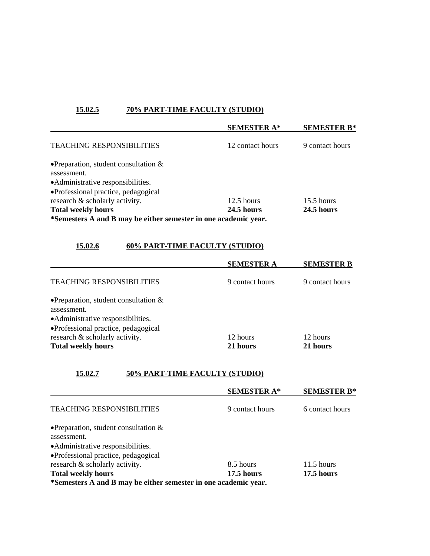## **15.02.5 70% PART-TIME FACULTY (STUDIO)**

|                                                                 | <b>SEMESTER A*</b> | <b>SEMESTER B*</b> |
|-----------------------------------------------------------------|--------------------|--------------------|
| <b>TEACHING RESPONSIBILITIES</b>                                | 12 contact hours   | 9 contact hours    |
| • Preparation, student consultation $\&$                        |                    |                    |
| assessment.                                                     |                    |                    |
| • Administrative responsibilities.                              |                    |                    |
| •Professional practice, pedagogical                             |                    |                    |
| research & scholarly activity.                                  | $12.5$ hours       | $15.5$ hours       |
| <b>Total weekly hours</b>                                       | 24.5 hours         | <b>24.5 hours</b>  |
| *Semesters A and B may be either semester in one academic year. |                    |                    |

## **15.02.6 60% PART-TIME FACULTY (STUDIO)**

|                                                         | <b>SEMESTER A</b> | <b>SEMESTER B</b> |
|---------------------------------------------------------|-------------------|-------------------|
| <b>TEACHING RESPONSIBILITIES</b>                        | 9 contact hours   | 9 contact hours   |
| • Preparation, student consultation $\&$<br>assessment. |                   |                   |
| • Administrative responsibilities.                      |                   |                   |
| •Professional practice, pedagogical                     |                   |                   |
| research & scholarly activity.                          | 12 hours          | 12 hours          |
| <b>Total weekly hours</b>                               | 21 hours          | 21 hours          |

## **15.02.7 50% PART-TIME FACULTY (STUDIO)**

|                                                                 | <b>SEMESTER A*</b> | <b>SEMESTER B*</b> |
|-----------------------------------------------------------------|--------------------|--------------------|
| <b>TEACHING RESPONSIBILITIES</b>                                | 9 contact hours    | 6 contact hours    |
| • Preparation, student consultation $\&$                        |                    |                    |
| assessment.                                                     |                    |                    |
| • Administrative responsibilities.                              |                    |                    |
| •Professional practice, pedagogical                             |                    |                    |
| research & scholarly activity.                                  | 8.5 hours          | $11.5$ hours       |
| <b>Total weekly hours</b>                                       | 17.5 hours         | 17.5 hours         |
| *Semesters A and B may be either semester in one academic year. |                    |                    |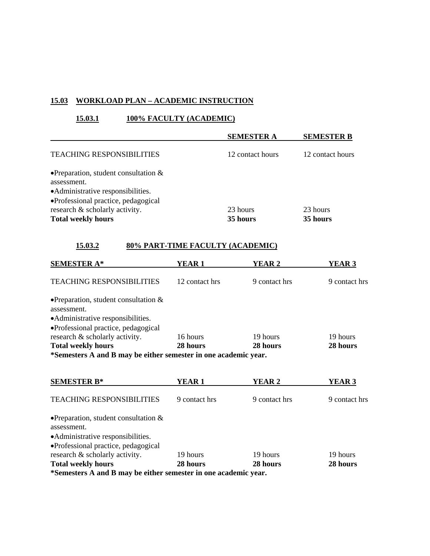### **15.03 WORKLOAD PLAN – ACADEMIC INSTRUCTION**

## **15.03.1 100% FACULTY (ACADEMIC)**

|                                                                                                                                      | <b>SEMESTER A</b> | <b>SEMESTER B</b> |
|--------------------------------------------------------------------------------------------------------------------------------------|-------------------|-------------------|
| <b>TEACHING RESPONSIBILITIES</b>                                                                                                     | 12 contact hours  | 12 contact hours  |
| • Preparation, student consultation $\&$<br>assessment.<br>• Administrative responsibilities.<br>•Professional practice, pedagogical |                   |                   |
| research & scholarly activity.                                                                                                       | 23 hours          | 23 hours          |
| <b>Total weekly hours</b>                                                                                                            | 35 hours          | 35 hours          |

### **15.03.2 80% PART-TIME FACULTY (ACADEMIC)**

| <b>SEMESTER A*</b>                                                                            | YEAR 1         | YEAR 2        | YEAR 3        |
|-----------------------------------------------------------------------------------------------|----------------|---------------|---------------|
| <b>TEACHING RESPONSIBILITIES</b>                                                              | 12 contact hrs | 9 contact hrs | 9 contact hrs |
| • Preparation, student consultation $\&$<br>assessment.<br>• Administrative responsibilities. |                |               |               |
| • Professional practice, pedagogical                                                          |                |               |               |
| research & scholarly activity.                                                                | 16 hours       | 19 hours      | 19 hours      |
| <b>Total weekly hours</b>                                                                     | 28 hours       | 28 hours      | 28 hours      |
| *Samesters A and R may be either semester in ane academic year                                |                |               |               |

**\*Semesters A and B may be either semester in one academic year.** 

| <b>SEMESTER B*</b>                                                                                                                   | YEAR 1        | YEAR 2        | YEAR 3        |
|--------------------------------------------------------------------------------------------------------------------------------------|---------------|---------------|---------------|
| <b>TEACHING RESPONSIBILITIES</b>                                                                                                     | 9 contact hrs | 9 contact hrs | 9 contact hrs |
| • Preparation, student consultation $\&$<br>assessment.<br>• Administrative responsibilities.<br>•Professional practice, pedagogical |               |               |               |
| research & scholarly activity.                                                                                                       | 19 hours      | 19 hours      | 19 hours      |
| <b>Total weekly hours</b>                                                                                                            | 28 hours      | 28 hours      | 28 hours      |
| *Semesters A and B may be either semester in one academic year.                                                                      |               |               |               |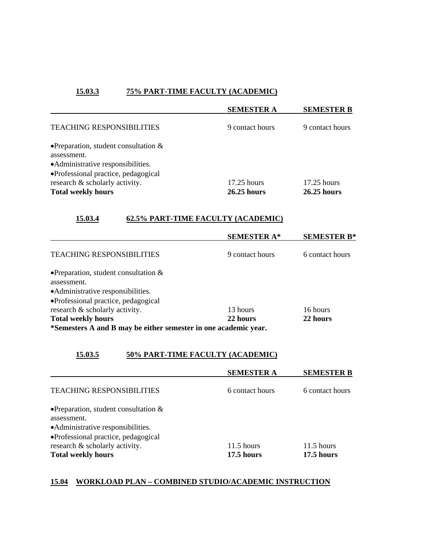## **15.03.3 75% PART-TIME FACULTY (ACADEMIC)**

|                                                                                                                                      | <b>SEMESTER A</b>              | <b>SEMESTER B</b>              |
|--------------------------------------------------------------------------------------------------------------------------------------|--------------------------------|--------------------------------|
| <b>TEACHING RESPONSIBILITIES</b>                                                                                                     | 9 contact hours                | 9 contact hours                |
| • Preparation, student consultation $\&$<br>assessment.<br>• Administrative responsibilities.<br>•Professional practice, pedagogical |                                |                                |
| research & scholarly activity.<br><b>Total weekly hours</b>                                                                          | $17.25$ hours<br>$26.25$ hours | $17.25$ hours<br>$26.25$ hours |

## **15.03.4 62.5% PART-TIME FACULTY (ACADEMIC)**

|                                                                 | <b>SEMESTER A*</b> | <b>SEMESTER B*</b> |
|-----------------------------------------------------------------|--------------------|--------------------|
| <b>TEACHING RESPONSIBILITIES</b>                                | 9 contact hours    | 6 contact hours    |
| • Preparation, student consultation $\&$                        |                    |                    |
| assessment.                                                     |                    |                    |
| • Administrative responsibilities.                              |                    |                    |
| •Professional practice, pedagogical                             |                    |                    |
| research & scholarly activity.                                  | 13 hours           | 16 hours           |
| <b>Total weekly hours</b>                                       | 22 hours           | 22 hours           |
| *Semesters A and B may be either semester in one academic year. |                    |                    |

## **15.03.5 50% PART-TIME FACULTY (ACADEMIC)**

|                                          | <b>SEMESTER A</b> | <b>SEMESTER B</b> |
|------------------------------------------|-------------------|-------------------|
| <b>TEACHING RESPONSIBILITIES</b>         | 6 contact hours   | 6 contact hours   |
| • Preparation, student consultation $\&$ |                   |                   |
| assessment.                              |                   |                   |
| • Administrative responsibilities.       |                   |                   |
| •Professional practice, pedagogical      |                   |                   |
| research & scholarly activity.           | $11.5$ hours      | $11.5$ hours      |
| <b>Total weekly hours</b>                | 17.5 hours        | 17.5 hours        |

## **15.04 WORKLOAD PLAN – COMBINED STUDIO/ACADEMIC INSTRUCTION**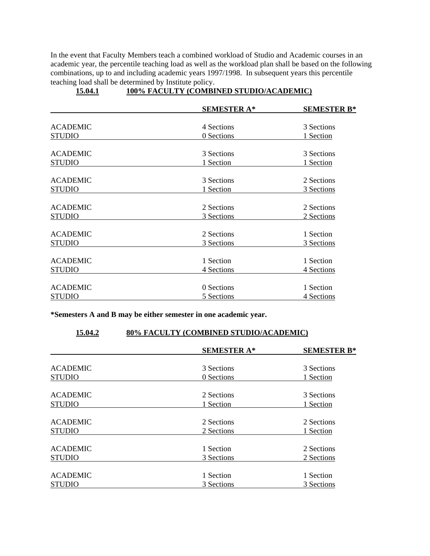In the event that Faculty Members teach a combined workload of Studio and Academic courses in an academic year, the percentile teaching load as well as the workload plan shall be based on the following combinations, up to and including academic years 1997/1998. In subsequent years this percentile teaching load shall be determined by Institute policy.

|                 | <b>SEMESTER A*</b> | <b>SEMESTER B*</b> |
|-----------------|--------------------|--------------------|
|                 |                    |                    |
| <b>ACADEMIC</b> | 4 Sections         | 3 Sections         |
| <b>STUDIO</b>   | 0 Sections         | 1 Section          |
| <b>ACADEMIC</b> | 3 Sections         | 3 Sections         |
| <b>STUDIO</b>   | 1 Section          | 1 Section          |
| <b>ACADEMIC</b> | 3 Sections         | 2 Sections         |
| <b>STUDIO</b>   | 1 Section          | 3 Sections         |
| <b>ACADEMIC</b> | 2 Sections         | 2 Sections         |
| <b>STUDIO</b>   | 3 Sections         | 2 Sections         |
| <b>ACADEMIC</b> | 2 Sections         | 1 Section          |
| <b>STUDIO</b>   | 3 Sections         | 3 Sections         |
| <b>ACADEMIC</b> | 1 Section          | 1 Section          |
| <b>STUDIO</b>   | 4 Sections         | 4 Sections         |
| <b>ACADEMIC</b> | 0 Sections         | 1 Section          |
| STUDIO          | 5 Sections         | 4 Sections         |

### **15.04.1 100% FACULTY (COMBINED STUDIO/ACADEMIC)**

**\*Semesters A and B may be either semester in one academic year.** 

### **15.04.2 80% FACULTY (COMBINED STUDIO/ACADEMIC)**

|                 | <b>SEMESTER A*</b> | <b>SEMESTER B*</b> |
|-----------------|--------------------|--------------------|
|                 |                    |                    |
| <b>ACADEMIC</b> | 3 Sections         | 3 Sections         |
| <b>STUDIO</b>   | 0 Sections         | 1 Section          |
| <b>ACADEMIC</b> | 2 Sections         | 3 Sections         |
| <b>STUDIO</b>   | 1 Section          | 1 Section          |
| <b>ACADEMIC</b> | 2 Sections         | 2 Sections         |
| <b>STUDIO</b>   | 2 Sections         | 1 Section          |
| <b>ACADEMIC</b> | 1 Section          | 2 Sections         |
| <b>STUDIO</b>   | 3 Sections         | 2 Sections         |
| <b>ACADEMIC</b> | 1 Section          | 1 Section          |
| <b>STUDIO</b>   | 3 Sections         | 3 Sections         |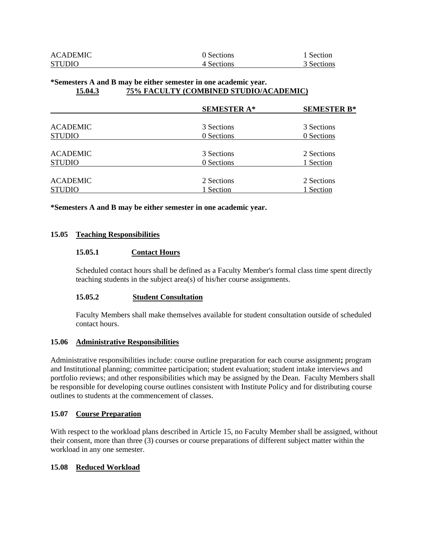| <b>ACADEMIC</b> | 0 Sections | 1 Section  |
|-----------------|------------|------------|
| <b>STUDIO</b>   | 4 Sections | 3 Sections |

#### **\*Semesters A and B may be either semester in one academic year. 15.04.3 75% FACULTY (COMBINED STUDIO/ACADEMIC)**

|                 | <b>SEMESTER A*</b> | <b>SEMESTER B*</b> |
|-----------------|--------------------|--------------------|
| <b>ACADEMIC</b> | 3 Sections         | 3 Sections         |
|                 |                    |                    |
| <b>STUDIO</b>   | 0 Sections         | 0 Sections         |
| <b>ACADEMIC</b> | 3 Sections         | 2 Sections         |
| <b>STUDIO</b>   | 0 Sections         | 1 Section          |
| <b>ACADEMIC</b> | 2 Sections         | 2 Sections         |
| <b>STUDIO</b>   | 1 Section          | 1 Section          |

**\*Semesters A and B may be either semester in one academic year.** 

#### **15.05 Teaching Responsibilities**

#### **15.05.1 Contact Hours**

Scheduled contact hours shall be defined as a Faculty Member's formal class time spent directly teaching students in the subject area(s) of his/her course assignments.

### **15.05.2 Student Consultation**

Faculty Members shall make themselves available for student consultation outside of scheduled contact hours.

### **15.06 Administrative Responsibilities**

Administrative responsibilities include: course outline preparation for each course assignment**;** program and Institutional planning; committee participation; student evaluation; student intake interviews and portfolio reviews; and other responsibilities which may be assigned by the Dean. Faculty Members shall be responsible for developing course outlines consistent with Institute Policy and for distributing course outlines to students at the commencement of classes.

#### **15.07 Course Preparation**

With respect to the workload plans described in Article 15, no Faculty Member shall be assigned, without their consent, more than three (3) courses or course preparations of different subject matter within the workload in any one semester.

#### **15.08 Reduced Workload**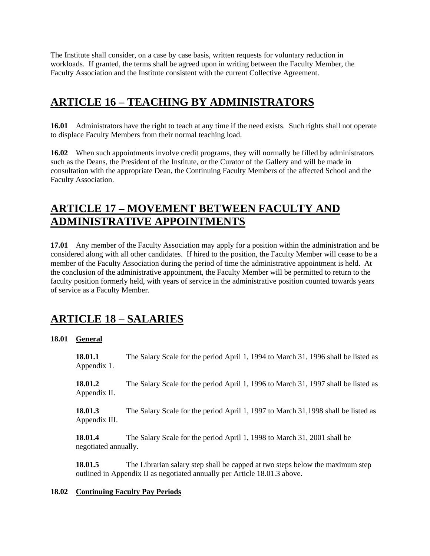The Institute shall consider, on a case by case basis, written requests for voluntary reduction in workloads. If granted, the terms shall be agreed upon in writing between the Faculty Member, the Faculty Association and the Institute consistent with the current Collective Agreement.

## **ARTICLE 16 – TEACHING BY ADMINISTRATORS**

**16.01** Administrators have the right to teach at any time if the need exists. Such rights shall not operate to displace Faculty Members from their normal teaching load.

**16.02** When such appointments involve credit programs, they will normally be filled by administrators such as the Deans, the President of the Institute, or the Curator of the Gallery and will be made in consultation with the appropriate Dean, the Continuing Faculty Members of the affected School and the Faculty Association.

## **ARTICLE 17 – MOVEMENT BETWEEN FACULTY AND ADMINISTRATIVE APPOINTMENTS**

**17.01** Any member of the Faculty Association may apply for a position within the administration and be considered along with all other candidates. If hired to the position, the Faculty Member will cease to be a member of the Faculty Association during the period of time the administrative appointment is held. At the conclusion of the administrative appointment, the Faculty Member will be permitted to return to the faculty position formerly held, with years of service in the administrative position counted towards years of service as a Faculty Member.

## **ARTICLE 18 – SALARIES**

## **18.01 General**

**18.01.1** The Salary Scale for the period April 1, 1994 to March 31, 1996 shall be listed as Appendix 1.

**18.01.2** The Salary Scale for the period April 1, 1996 to March 31, 1997 shall be listed as Appendix II.

**18.01.3** The Salary Scale for the period April 1, 1997 to March 31,1998 shall be listed as Appendix III.

**18.01.4** The Salary Scale for the period April 1, 1998 to March 31, 2001 shall be negotiated annually.

**18.01.5** The Librarian salary step shall be capped at two steps below the maximum step outlined in Appendix II as negotiated annually per Article 18.01.3 above.

## **18.02 Continuing Faculty Pay Periods**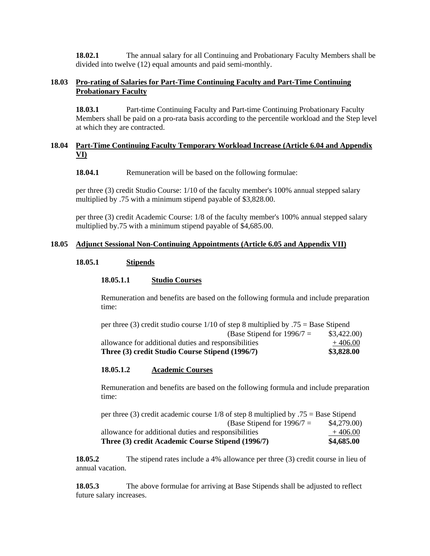**18.02.1 The annual salary for all Continuing and Probationary Faculty Members shall be** divided into twelve (12) equal amounts and paid semi-monthly.

### **18.03 Pro-rating of Salaries for Part-Time Continuing Faculty and Part-Time Continuing Probationary Faculty**

**18.03.1** Part-time Continuing Faculty and Part-time Continuing Probationary Faculty Members shall be paid on a pro-rata basis according to the percentile workload and the Step level at which they are contracted.

### **18.04 Part-Time Continuing Faculty Temporary Workload Increase (Article 6.04 and Appendix VI)**

**18.04.1** Remuneration will be based on the following formulae:

per three (3) credit Studio Course: 1/10 of the faculty member's 100% annual stepped salary multiplied by .75 with a minimum stipend payable of \$3,828.00.

per three (3) credit Academic Course: 1/8 of the faculty member's 100% annual stepped salary multiplied by.75 with a minimum stipend payable of \$4,685.00.

### **18.05 Adjunct Sessional Non-Continuing Appointments (Article 6.05 and Appendix VII)**

#### **18.05.1 Stipends**

#### **18.05.1.1 Studio Courses**

Remuneration and benefits are based on the following formula and include preparation time:

| per three (3) credit studio course $1/10$ of step 8 multiplied by .75 = Base Stipend |            |
|--------------------------------------------------------------------------------------|------------|
| (Base Stipend for $1996/7 =$                                                         | \$3,422.00 |
| allowance for additional duties and responsibilities                                 | $+406.00$  |
| Three (3) credit Studio Course Stipend (1996/7)                                      | \$3,828.00 |

#### **18.05.1.2 Academic Courses**

Remuneration and benefits are based on the following formula and include preparation time:

| per three (3) credit academic course $1/8$ of step 8 multiplied by $.75 =$ Base Stipend |            |
|-----------------------------------------------------------------------------------------|------------|
| (Base Stipend for $1996/7 =$                                                            | \$4,279.00 |
| allowance for additional duties and responsibilities                                    | $+406.00$  |
| Three (3) credit Academic Course Stipend (1996/7)                                       | \$4,685.00 |

**18.05.2** The stipend rates include a 4% allowance per three (3) credit course in lieu of annual vacation.

**18.05.3** The above formulae for arriving at Base Stipends shall be adjusted to reflect future salary increases.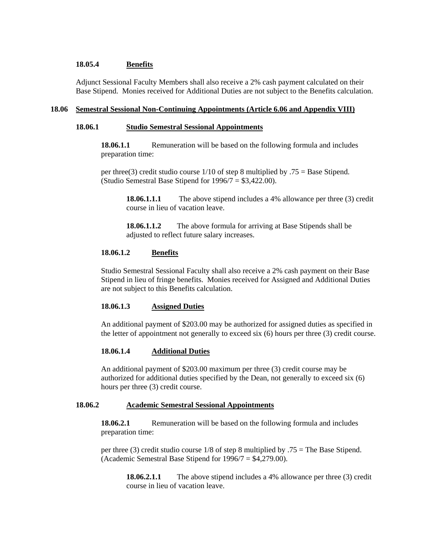### **18.05.4 Benefits**

Adjunct Sessional Faculty Members shall also receive a 2% cash payment calculated on their Base Stipend. Monies received for Additional Duties are not subject to the Benefits calculation.

#### **18.06 Semestral Sessional Non-Continuing Appointments (Article 6.06 and Appendix VIII)**

#### **18.06.1 Studio Semestral Sessional Appointments**

**18.06.1.1** Remuneration will be based on the following formula and includes preparation time:

per three(3) credit studio course  $1/10$  of step 8 multiplied by .75 = Base Stipend. (Studio Semestral Base Stipend for 1996/7 = \$3,422.00).

> **18.06.1.1.1** The above stipend includes a 4% allowance per three (3) credit course in lieu of vacation leave.

**18.06.1.1.2** The above formula for arriving at Base Stipends shall be adjusted to reflect future salary increases.

### **18.06.1.2 Benefits**

Studio Semestral Sessional Faculty shall also receive a 2% cash payment on their Base Stipend in lieu of fringe benefits. Monies received for Assigned and Additional Duties are not subject to this Benefits calculation.

#### **18.06.1.3 Assigned Duties**

An additional payment of \$203.00 may be authorized for assigned duties as specified in the letter of appointment not generally to exceed six (6) hours per three (3) credit course.

## **18.06.1.4 Additional Duties**

An additional payment of \$203.00 maximum per three (3) credit course may be authorized for additional duties specified by the Dean, not generally to exceed six (6) hours per three (3) credit course.

#### **18.06.2 Academic Semestral Sessional Appointments**

**18.06.2.1** Remuneration will be based on the following formula and includes preparation time:

per three (3) credit studio course 1/8 of step 8 multiplied by .75 = The Base Stipend. (Academic Semestral Base Stipend for 1996/7 = \$4,279.00).

**18.06.2.1.1** The above stipend includes a 4% allowance per three (3) credit course in lieu of vacation leave.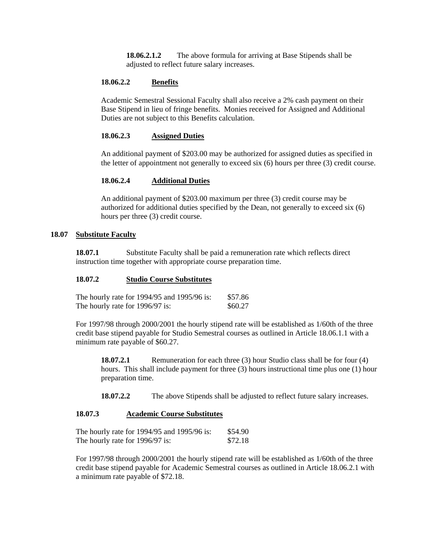**18.06.2.1.2** The above formula for arriving at Base Stipends shall be adjusted to reflect future salary increases.

#### **18.06.2.2 Benefits**

Academic Semestral Sessional Faculty shall also receive a 2% cash payment on their Base Stipend in lieu of fringe benefits. Monies received for Assigned and Additional Duties are not subject to this Benefits calculation.

#### **18.06.2.3 Assigned Duties**

An additional payment of \$203.00 may be authorized for assigned duties as specified in the letter of appointment not generally to exceed six (6) hours per three (3) credit course.

#### **18.06.2.4 Additional Duties**

An additional payment of \$203.00 maximum per three (3) credit course may be authorized for additional duties specified by the Dean, not generally to exceed six (6) hours per three (3) credit course.

#### **18.07 Substitute Faculty**

**18.07.1** Substitute Faculty shall be paid a remuneration rate which reflects direct instruction time together with appropriate course preparation time.

#### **18.07.2 Studio Course Substitutes**

| The hourly rate for 1994/95 and 1995/96 is: | \$57.86 |
|---------------------------------------------|---------|
| The hourly rate for 1996/97 is:             | \$60.27 |

For 1997/98 through 2000/2001 the hourly stipend rate will be established as 1/60th of the three credit base stipend payable for Studio Semestral courses as outlined in Article 18.06.1.1 with a minimum rate payable of \$60.27.

**18.07.2.1** Remuneration for each three (3) hour Studio class shall be for four (4) hours. This shall include payment for three (3) hours instructional time plus one (1) hour preparation time.

**18.07.2.2** The above Stipends shall be adjusted to reflect future salary increases.

#### **18.07.3 Academic Course Substitutes**

| The hourly rate for 1994/95 and 1995/96 is: | \$54.90 |
|---------------------------------------------|---------|
| The hourly rate for 1996/97 is:             | \$72.18 |

For 1997/98 through 2000/2001 the hourly stipend rate will be established as 1/60th of the three credit base stipend payable for Academic Semestral courses as outlined in Article 18.06.2.1 with a minimum rate payable of \$72.18.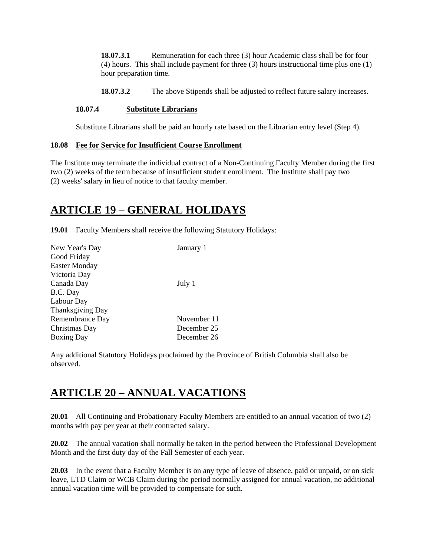**18.07.3.1** Remuneration for each three (3) hour Academic class shall be for four (4) hours. This shall include payment for three (3) hours instructional time plus one (1) hour preparation time.

**18.07.3.2** The above Stipends shall be adjusted to reflect future salary increases.

### **18.07.4 Substitute Librarians**

Substitute Librarians shall be paid an hourly rate based on the Librarian entry level (Step 4).

#### **18.08 Fee for Service for Insufficient Course Enrollment**

The Institute may terminate the individual contract of a Non-Continuing Faculty Member during the first two (2) weeks of the term because of insufficient student enrollment. The Institute shall pay two (2) weeks' salary in lieu of notice to that faculty member.

## **ARTICLE 19 – GENERAL HOLIDAYS**

**19.01** Faculty Members shall receive the following Statutory Holidays:

| New Year's Day          | January 1   |
|-------------------------|-------------|
| Good Friday             |             |
| <b>Easter Monday</b>    |             |
| Victoria Day            |             |
| Canada Day              | July 1      |
| B.C. Day                |             |
| Labour Day              |             |
| <b>Thanksgiving Day</b> |             |
| Remembrance Day         | November 11 |
| Christmas Day           | December 25 |
| <b>Boxing Day</b>       | December 26 |

Any additional Statutory Holidays proclaimed by the Province of British Columbia shall also be observed.

## **ARTICLE 20 – ANNUAL VACATIONS**

**20.01** All Continuing and Probationary Faculty Members are entitled to an annual vacation of two (2) months with pay per year at their contracted salary.

**20.02** The annual vacation shall normally be taken in the period between the Professional Development Month and the first duty day of the Fall Semester of each year.

**20.03** In the event that a Faculty Member is on any type of leave of absence, paid or unpaid, or on sick leave, LTD Claim or WCB Claim during the period normally assigned for annual vacation, no additional annual vacation time will be provided to compensate for such.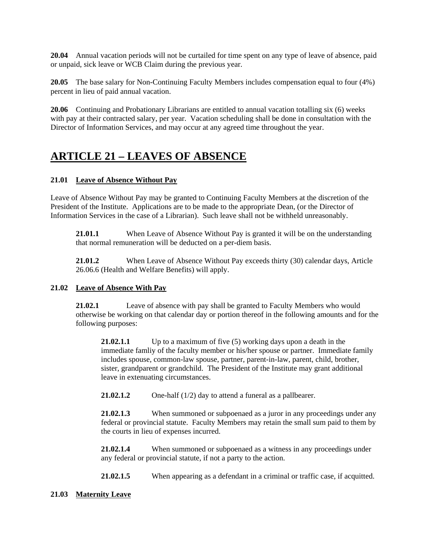**20.04** Annual vacation periods will not be curtailed for time spent on any type of leave of absence, paid or unpaid, sick leave or WCB Claim during the previous year.

**20.05** The base salary for Non-Continuing Faculty Members includes compensation equal to four (4%) percent in lieu of paid annual vacation.

**20.06** Continuing and Probationary Librarians are entitled to annual vacation totalling six (6) weeks with pay at their contracted salary, per year. Vacation scheduling shall be done in consultation with the Director of Information Services, and may occur at any agreed time throughout the year.

## **ARTICLE 21 – LEAVES OF ABSENCE**

## **21.01 Leave of Absence Without Pay**

Leave of Absence Without Pay may be granted to Continuing Faculty Members at the discretion of the President of the Institute. Applications are to be made to the appropriate Dean, (or the Director of Information Services in the case of a Librarian). Such leave shall not be withheld unreasonably.

**21.01.1** When Leave of Absence Without Pay is granted it will be on the understanding that normal remuneration will be deducted on a per-diem basis.

**21.01.2** When Leave of Absence Without Pay exceeds thirty (30) calendar days, Article 26.06.6 (Health and Welfare Benefits) will apply.

### **21.02 Leave of Absence With Pay**

**21.02.1** Leave of absence with pay shall be granted to Faculty Members who would otherwise be working on that calendar day or portion thereof in the following amounts and for the following purposes:

**21.02.1.1** Up to a maximum of five (5) working days upon a death in the immediate famliy of the faculty member or his/her spouse or partner. Immediate family includes spouse, common-law spouse, partner, parent-in-law, parent, child, brother, sister, grandparent or grandchild. The President of the Institute may grant additional leave in extenuating circumstances.

**21.02.1.2** One-half (1/2) day to attend a funeral as a pallbearer.

**21.02.1.3** When summoned or subpoenaed as a juror in any proceedings under any federal or provincial statute. Faculty Members may retain the small sum paid to them by the courts in lieu of expenses incurred.

**21.02.1.4** When summoned or subpoenaed as a witness in any proceedings under any federal or provincial statute, if not a party to the action.

**21.02.1.5** When appearing as a defendant in a criminal or traffic case, if acquitted.

### **21.03 Maternity Leave**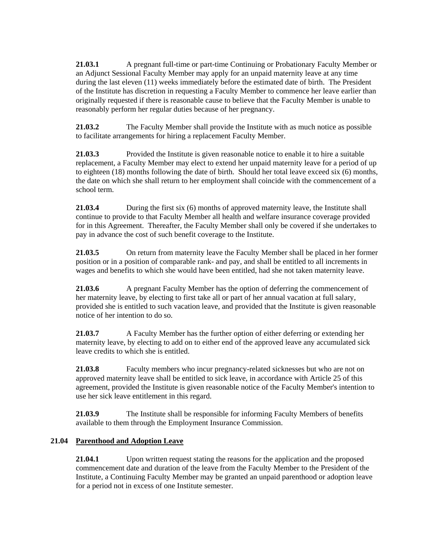**21.03.1** A pregnant full-time or part-time Continuing or Probationary Faculty Member or an Adjunct Sessional Faculty Member may apply for an unpaid maternity leave at any time during the last eleven (11) weeks immediately before the estimated date of birth. The President of the Institute has discretion in requesting a Faculty Member to commence her leave earlier than originally requested if there is reasonable cause to believe that the Faculty Member is unable to reasonably perform her regular duties because of her pregnancy.

**21.03.2** The Faculty Member shall provide the Institute with as much notice as possible to facilitate arrangements for hiring a replacement Faculty Member.

**21.03.3** Provided the Institute is given reasonable notice to enable it to hire a suitable replacement, a Faculty Member may elect to extend her unpaid maternity leave for a period of up to eighteen (18) months following the date of birth. Should her total leave exceed six (6) months, the date on which she shall return to her employment shall coincide with the commencement of a school term.

**21.03.4** During the first six (6) months of approved maternity leave, the Institute shall continue to provide to that Faculty Member all health and welfare insurance coverage provided for in this Agreement. Thereafter, the Faculty Member shall only be covered if she undertakes to pay in advance the cost of such benefit coverage to the Institute.

**21.03.5** On return from maternity leave the Faculty Member shall be placed in her former position or in a position of comparable rank- and pay, and shall be entitled to all increments in wages and benefits to which she would have been entitled, had she not taken maternity leave.

**21.03.6** A pregnant Faculty Member has the option of deferring the commencement of her maternity leave, by electing to first take all or part of her annual vacation at full salary, provided she is entitled to such vacation leave, and provided that the Institute is given reasonable notice of her intention to do so.

**21.03.7** A Faculty Member has the further option of either deferring or extending her maternity leave, by electing to add on to either end of the approved leave any accumulated sick leave credits to which she is entitled.

**21.03.8** Faculty members who incur pregnancy-related sicknesses but who are not on approved maternity leave shall be entitled to sick leave, in accordance with Article 25 of this agreement, provided the Institute is given reasonable notice of the Faculty Member's intention to use her sick leave entitlement in this regard.

**21.03.9** The Institute shall be responsible for informing Faculty Members of benefits available to them through the Employment Insurance Commission.

## **21.04 Parenthood and Adoption Leave**

**21.04.1** Upon written request stating the reasons for the application and the proposed commencement date and duration of the leave from the Faculty Member to the President of the Institute, a Continuing Faculty Member may be granted an unpaid parenthood or adoption leave for a period not in excess of one Institute semester.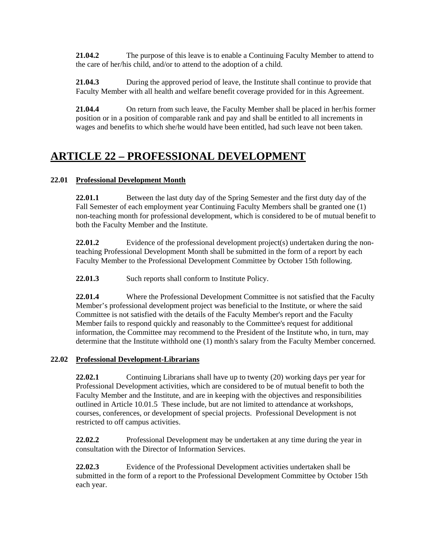**21.04.2** The purpose of this leave is to enable a Continuing Faculty Member to attend to the care of her/his child, and/or to attend to the adoption of a child.

**21.04.3** During the approved period of leave, the Institute shall continue to provide that Faculty Member with all health and welfare benefit coverage provided for in this Agreement.

**21.04.4** On return from such leave, the Faculty Member shall be placed in her/his former position or in a position of comparable rank and pay and shall be entitled to all increments in wages and benefits to which she/he would have been entitled, had such leave not been taken.

## **ARTICLE 22 – PROFESSIONAL DEVELOPMENT**

## **22.01 Professional Development Month**

**22.01.1** Between the last duty day of the Spring Semester and the first duty day of the Fall Semester of each employment year Continuing Faculty Members shall be granted one (1) non-teaching month for professional development, which is considered to be of mutual benefit to both the Faculty Member and the Institute.

**22.01.2** Evidence of the professional development project(s) undertaken during the nonteaching Professional Development Month shall be submitted in the form of a report by each Faculty Member to the Professional Development Committee by October 15th following.

**22.01.3** Such reports shall conform to Institute Policy.

**22.01.4** Where the Professional Development Committee is not satisfied that the Faculty Member's professional development project was beneficial to the Institute, or where the said Committee is not satisfied with the details of the Faculty Member's report and the Faculty Member fails to respond quickly and reasonably to the Committee's request for additional information, the Committee may recommend to the President of the Institute who, in turn, may determine that the Institute withhold one (1) month's salary from the Faculty Member concerned.

### **22.02 Professional Development-Librarians**

**22.02.1** Continuing Librarians shall have up to twenty (20) working days per year for Professional Development activities, which are considered to be of mutual benefit to both the Faculty Member and the Institute, and are in keeping with the objectives and responsibilities outlined in Article 10.01.5 These include, but are not limited to attendance at workshops, courses, conferences, or development of special projects. Professional Development is not restricted to off campus activities.

**22.02.2** Professional Development may be undertaken at any time during the year in consultation with the Director of Information Services.

**22.02.3** Evidence of the Professional Development activities undertaken shall be submitted in the form of a report to the Professional Development Committee by October 15th each year.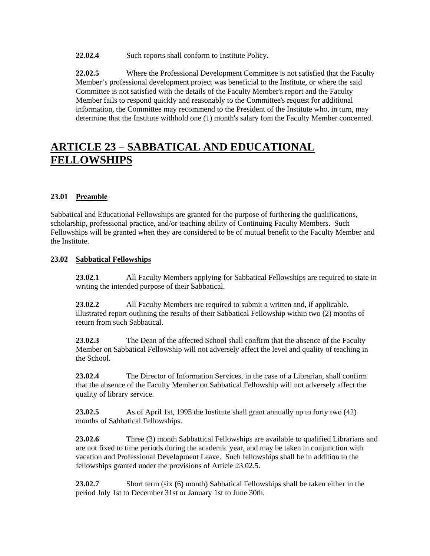22.02.4 Such reports shall conform to Institute Policy.

**22.02.5** Where the Professional Development Committee is not satisfied that the Faculty Member's professional development project was beneficial to the Institute, or where the said Committee is not satisfied with the details of the Faculty Member's report and the Faculty Member fails to respond quickly and reasonably to the Committee's request for additional information, the Committee may recommend to the President of the Institute who, in turn, may determine that the Institute withhold one (1) month's salary fom the Faculty Member concerned.

## **ARTICLE 23 – SABBATICAL AND EDUCATIONAL FELLOWSHIPS**

## **23.01 Preamble**

Sabbatical and Educational Fellowships are granted for the purpose of furthering the qualifications, scholarship, professional practice, and/or teaching ability of Continuing Faculty Members. Such Fellowships will be granted when they are considered to be of mutual benefit to the Faculty Member and the Institute.

### **23.02 Sabbatical Fellowships**

**23.02.1** All Faculty Members applying for Sabbatical Fellowships are required to state in writing the intended purpose of their Sabbatical.

**23.02.2** All Faculty Members are required to submit a written and, if applicable, illustrated report outlining the results of their Sabbatical Fellowship within two (2) months of return from such Sabbatical.

23.02.3 The Dean of the affected School shall confirm that the absence of the Faculty Member on Sabbatical Fellowship will not adversely affect the level and quality of teaching in the School.

**23.02.4** The Director of Information Services, in the case of a Librarian, shall confirm that the absence of the Faculty Member on Sabbatical Fellowship will not adversely affect the quality of library service.

**23.02.5** As of April 1st, 1995 the Institute shall grant annually up to forty two (42) months of Sabbatical Fellowships.

**23.02.6** Three (3) month Sabbattical Fellowships are available to qualified Librarians and are not fixed to time periods during the academic year, and may be taken in conjunction with vacation and Professional Development Leave. Such fellowships shall be in addition to the fellowships granted under the provisions of Article 23.02.5.

**23.02.7** Short term (six (6) month) Sabbatical Fellowships shall be taken either in the period July 1st to December 31st or January 1st to June 30th.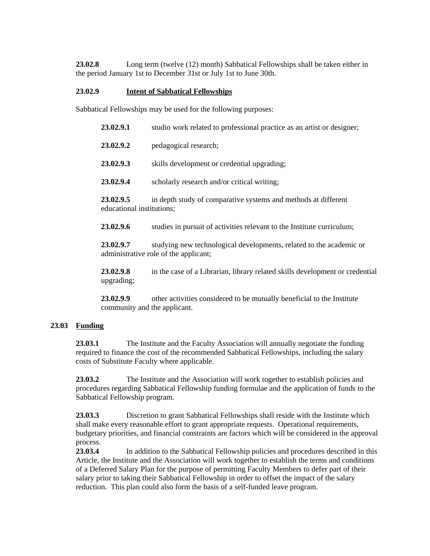**23.02.8** Long term (twelve (12) month) Sabbatical Fellowships shall be taken either in the period January 1st to December 31st or July 1st to June 30th.

### **23.02.9 Intent of Sabbatical Fellowships**

Sabbatical Fellowships may be used for the following purposes:

| 23.02.9.1                              | studio work related to professional practice as an artist or designer;                                       |
|----------------------------------------|--------------------------------------------------------------------------------------------------------------|
| 23.02.9.2                              | pedagogical research;                                                                                        |
| 23.02.9.3                              | skills development or credential upgrading;                                                                  |
| 23.02.9.4                              | scholarly research and/or critical writing;                                                                  |
| 23.02.9.5<br>educational institutions; | in depth study of comparative systems and methods at different                                               |
| 23.02.9.6                              | studies in pursuit of activities relevant to the Institute curriculum;                                       |
| 23.02.9.7                              | studying new technological developments, related to the academic or<br>administrative role of the applicant; |

**23.02.9.8** in the case of a Librarian, library related skills development or credential upgrading;

**23.02.9.9** other activities considered to be mutually beneficial to the Institute community and the applicant.

### **23.03 Funding**

**23.03.1** The Institute and the Faculty Association will annually negotiate the funding required to finance the cost of the recommended Sabbatical Fellowships, including the salary costs of Substitute Faculty where applicable.

23.03.2 The Institute and the Association will work together to establish policies and procedures regarding Sabbatical Fellowship funding formulae and the application of funds to the Sabbatical Fellowship program.

**23.03.3** Discretion to grant Sabbatical Fellowships shall reside with the Institute which shall make every reasonable effort to grant appropriate requests. Operational requirements, budgetary priorities, and financial constraints are factors which will be considered in the approval process.

**23.03.4** In addition to the Sabbatical Fellowship policies and procedures described in this Article, the Institute and the Association will work together to establish the terms and conditions of a Deferred Salary Plan for the purpose of permitting Faculty Members to defer part of their salary prior to taking their Sabbatical Fellowship in order to offset the impact of the salary reduction. This plan could also form the basis of a self-funded leave program.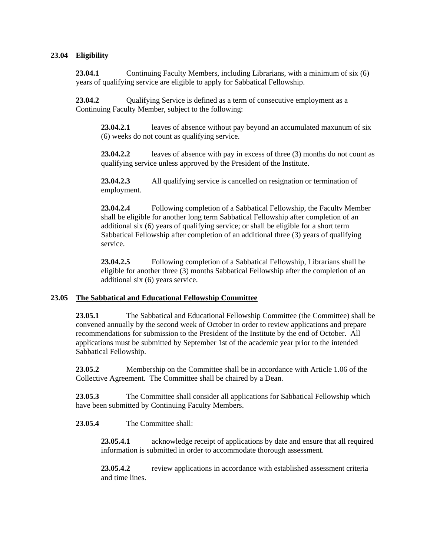### **23.04 Eligibility**

**23.04.1** Continuing Faculty Members, including Librarians, with a minimum of six (6) years of qualifying service are eligible to apply for Sabbatical Fellowship.

**23.04.2** Qualifying Service is defined as a term of consecutive employment as a Continuing Faculty Member, subject to the following:

**23.04.2.1** leaves of absence without pay beyond an accumulated maxunum of six (6) weeks do not count as qualifying service.

**23.04.2.2** leaves of absence with pay in excess of three (3) months do not count as qualifying service unless approved by the President of the Institute.

**23.04.2.3** All qualifying service is cancelled on resignation or termination of employment.

**23.04.2.4** Following completion of a Sabbatical Fellowship, the Facultv Member shall be eligible for another long term Sabbatical Fellowship after completion of an additional six (6) years of qualifying service; or shall be eligible for a short term Sabbatical Fellowship after completion of an additional three (3) years of qualifying service.

**23.04.2.5** Following completion of a Sabbatical Fellowship, Librarians shall be eligible for another three (3) months Sabbatical Fellowship after the completion of an additional six (6) years service.

#### **23.05 The Sabbatical and Educational Fellowship Committee**

**23.05.1** The Sabbatical and Educational Fellowship Committee (the Committee) shall be convened annually by the second week of October in order to review applications and prepare recommendations for submission to the President of the Institute by the end of October. All applications must be submitted by September 1st of the academic year prior to the intended Sabbatical Fellowship.

**23.05.2** Membership on the Committee shall be in accordance with Article 1.06 of the Collective Agreement. The Committee shall be chaired by a Dean.

**23.05.3** The Committee shall consider all applications for Sabbatical Fellowship which have been submitted by Continuing Faculty Members.

#### **23.05.4** The Committee shall:

**23.05.4.1** acknowledge receipt of applications by date and ensure that all required information is submitted in order to accommodate thorough assessment.

**23.05.4.2** review applications in accordance with established assessment criteria and time lines.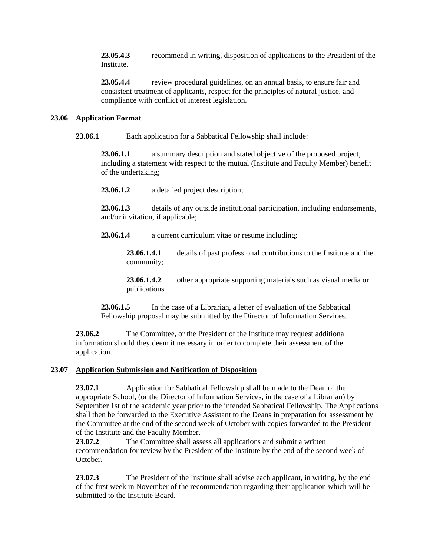**23.05.4.3** recommend in writing, disposition of applications to the President of the Institute.

**23.05.4.4** review procedural guidelines, on an annual basis, to ensure fair and consistent treatment of applicants, respect for the principles of natural justice, and compliance with conflict of interest legislation.

### **23.06 Application Format**

**23.06.1** Each application for a Sabbatical Fellowship shall include:

**23.06.1.1** a summary description and stated objective of the proposed project, including a statement with respect to the mutual (Institute and Faculty Member) benefit of the undertaking;

**23.06.1.2** a detailed project description;

**23.06.1.3** details of any outside institutional participation, including endorsements, and/or invitation, if applicable;

**23.06.1.4** a current curriculum vitae or resume including;

**23.06.1.4.1** details of past professional contributions to the Institute and the community;

**23.06.1.4.2** other appropriate supporting materials such as visual media or publications.

23.06.1.5 In the case of a Librarian, a letter of evaluation of the Sabbatical Fellowship proposal may be submitted by the Director of Information Services.

**23.06.2** The Committee, or the President of the Institute may request additional information should they deem it necessary in order to complete their assessment of the application.

### **23.07 Application Submission and Notification of Disposition**

**23.07.1** Application for Sabbatical Fellowship shall be made to the Dean of the appropriate School, (or the Director of Information Services, in the case of a Librarian) by September 1st of the academic year prior to the intended Sabbatical Fellowship. The Applications shall then be forwarded to the Executive Assistant to the Deans in preparation for assessment by the Committee at the end of the second week of October with copies forwarded to the President of the Institute and the Faculty Member.

**23.07.2** The Committee shall assess all applications and submit a written recommendation for review by the President of the Institute by the end of the second week of October.

**23.07.3** The President of the Institute shall advise each applicant, in writing, by the end of the first week in November of the recommendation regarding their application which will be submitted to the Institute Board.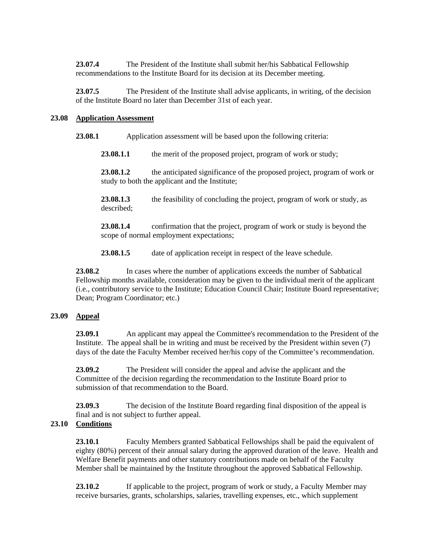**23.07.4** The President of the Institute shall submit her/his Sabbatical Fellowship recommendations to the Institute Board for its decision at its December meeting.

**23.07.5** The President of the Institute shall advise applicants, in writing, of the decision of the Institute Board no later than December 31st of each year.

### **23.08 Application Assessment**

**23.08.1** Application assessment will be based upon the following criteria:

23.08.1.1 the merit of the proposed project, program of work or study;

**23.08.1.2** the anticipated significance of the proposed project, program of work or study to both the applicant and the Institute;

**23.08.1.3** the feasibility of concluding the project, program of work or study, as described;

**23.08.1.4** confirmation that the project, program of work or study is beyond the scope of normal employment expectations;

**23.08.1.5** date of application receipt in respect of the leave schedule.

**23.08.2** In cases where the number of applications exceeds the number of Sabbatical Fellowship months available, consideration may be given to the individual merit of the applicant (i.e., contributory service to the Institute; Education Council Chair; Institute Board representative; Dean; Program Coordinator; etc.)

## **23.09 Appeal**

**23.09.1** An applicant may appeal the Committee's recommendation to the President of the Institute. The appeal shall be in writing and must be received by the President within seven (7) days of the date the Faculty Member received her/his copy of the Committee's recommendation.

**23.09.2** The President will consider the appeal and advise the applicant and the Committee of the decision regarding the recommendation to the Institute Board prior to submission of that recommendation to the Board.

**23.09.3** The decision of the Institute Board regarding final disposition of the appeal is final and is not subject to further appeal.

## **23.10 Conditions**

**23.10.1** Faculty Members granted Sabbatical Fellowships shall be paid the equivalent of eighty (80%) percent of their annual salary during the approved duration of the leave. Health and Welfare Benefit payments and other statutory contributions made on behalf of the Faculty Member shall be maintained by the Institute throughout the approved Sabbatical Fellowship.

23.10.2 If applicable to the project, program of work or study, a Faculty Member may receive bursaries, grants, scholarships, salaries, travelling expenses, etc., which supplement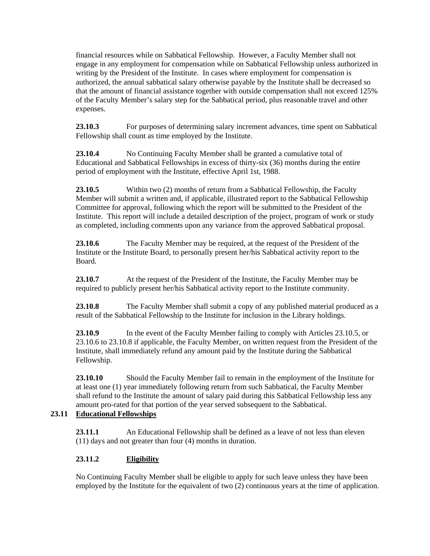financial resources while on Sabbatical Fellowship. However, a Faculty Member shall not engage in any employment for compensation while on Sabbatical Fellowship unless authorized in writing by the President of the Institute. In cases where employment for compensation is authorized, the annual sabbatical salary otherwise payable by the Institute shall be decreased so that the amount of financial assistance together with outside compensation shall not exceed 125% of the Faculty Member's salary step for the Sabbatical period, plus reasonable travel and other expenses.

**23.10.3** For purposes of determining salary increment advances, time spent on Sabbatical Fellowship shall count as time employed by the Institute.

**23.10.4** No Continuing Faculty Member shall be granted a cumulative total of Educational and Sabbatical Fellowships in excess of thirty-six (36) months during the entire period of employment with the Institute, effective April 1st, 1988.

**23.10.5** Within two (2) months of return from a Sabbatical Fellowship, the Faculty Member will submit a written and, if applicable, illustrated report to the Sabbatical Fellowship Committee for approval, following which the report will be submitted to the President of the Institute. This report will include a detailed description of the project, program of work or study as completed, including comments upon any variance from the approved Sabbatical proposal.

**23.10.6** The Faculty Member may be required, at the request of the President of the Institute or the Institute Board, to personally present her/his Sabbatical activity report to the Board.

**23.10.7** At the request of the President of the Institute, the Faculty Member may be required to publicly present her/his Sabbatical activity report to the Institute community.

**23.10.8** The Faculty Member shall submit a copy of any published material produced as a result of the Sabbatical Fellowship to the Institute for inclusion in the Library holdings.

**23.10.9** In the event of the Faculty Member failing to comply with Articles 23.10.5, or 23.10.6 to 23.10.8 if applicable, the Faculty Member, on written request from the President of the Institute, shall immediately refund any amount paid by the Institute during the Sabbatical Fellowship.

**23.10.10** Should the Faculty Member fail to remain in the employment of the Institute for at least one (1) year immediately following return from such Sabbatical, the Faculty Member shall refund to the Institute the amount of salary paid during this Sabbatical Fellowship less any amount pro-rated for that portion of the year served subsequent to the Sabbatical.

## **23.11 Educational Fellowships**

**23.11.1** An Educational Fellowship shall be defined as a leave of not less than eleven (11) days and not greater than four (4) months in duration.

## **23.11.2 Eligibility**

No Continuing Faculty Member shall be eligible to apply for such leave unless they have been employed by the Institute for the equivalent of two (2) continuous years at the time of application.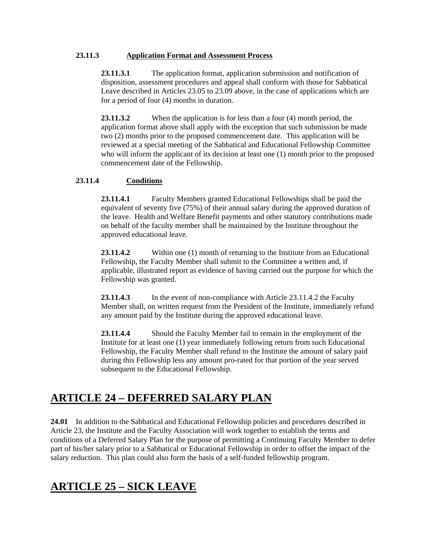### **23.11.3 Application Format and Assessment Process**

**23.11.3.1** The application format, application subrmission and notification of disposition, assessment procedures and appeal shall conform with those for Sabbatical Leave described in Articles 23.05 to 23.09 above, in the case of applications which are for a period of four (4) months in duration.

**23.11.3.2** When the application is for less than a four (4) month period, the application format above shall apply with the exception that such submission be made two (2) months prior to the proposed commencement date. This application will be reviewed at a special meeting of the Sabbatical and Educational Fellowship Committee who will inform the applicant of its decision at least one (1) month prior to the proposed commencement date of the Fellowship.

### **23.11.4 Conditions**

**23.11.4.1** Faculty Members granted Educational Fellowships shall be paid the equivalent of seventy five (75%) of their annual salary during the approved duration of the leave. Health and Welfare Benefit payments and other statutory contributions made on behalf of the faculty member shall be maintained by the Institute throughout the approved educational leave.

**23.11.4.2** Within one (1) month of returning to the Institute from an Educational Fellowship, the Faculty Member shall submit to the Committee a written and, if applicable, illustrated report as evidence of having carried out the purpose for which the Fellowship was granted.

23.11.4.3 In the event of non-compliance with Article 23.11.4.2 the Faculty Member shall, on written request from the President of the Institute, immediately refund any amount paid by the Institute during the approved educational leave.

**23.11.4.4** Should the Faculty Member fail to remain in the employment of the Institute for at least one (1) year immediately following return from such Educational Fellowship, the Faculty Member shall refund to the Institute the amount of salary paid during this Fellowship less any amount pro-rated for that portion of the year served subsequent to the Educational Fellowship.

## **ARTICLE 24 – DEFERRED SALARY PLAN**

**24.01** In addition to the Sabbatical and Educational Fellowship policies and procedures described in Article 23, the Institute and the Faculty Association will work together to establish the terms and conditions of a Deferred Salary Plan for the purpose of permitting a Continuing Faculty Member to defer part of his/her salary prior to a Sabbatical or Educational Fellowship in order to offset the impact of the salary reduction. This plan could also form the basis of a self-funded fellowship program.

## **ARTICLE 25 – SICK LEAVE**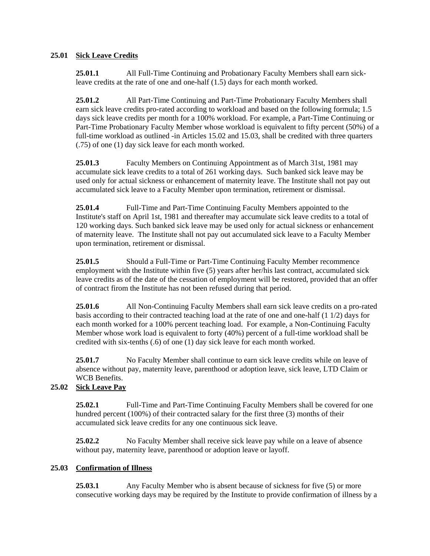## **25.01 Sick Leave Credits**

**25.01.1** All Full-Time Continuing and Probationary Faculty Members shall earn sickleave credits at the rate of one and one-half (1.5) days for each month worked.

**25.01.2** All Part-Time Continuing and Part-Time Probationary Faculty Members shall earn sick leave credits pro-rated according to workload and based on the following formula; 1.5 days sick leave credits per month for a 100% workload. For example, a Part-Time Continuing or Part-Time Probationary Faculty Member whose workload is equivalent to fifty percent (50%) of a full-time workload as outlined -in Articles 15.02 and 15.03, shall be credited with three quarters (.75) of one (1) day sick leave for each month worked.

**25.01.3** Faculty Members on Continuing Appointment as of March 31st, 1981 may accumulate sick leave credits to a total of 261 working days. Such banked sick leave may be used only for actual sickness or enhancement of maternity leave. The Institute shall not pay out accumulated sick leave to a Faculty Member upon termination, retirement or dismissal.

**25.01.4** Full-Time and Part-Time Continuing Faculty Members appointed to the Institute's staff on April 1st, 1981 and thereafter may accumulate sick leave credits to a total of 120 working days. Such banked sick leave may be used only for actual sickness or enhancement of maternity leave. The Institute shall not pay out accumulated sick leave to a Faculty Member upon termination, retirement or dismissal.

**25.01.5** Should a Full-Time or Part-Time Continuing Faculty Member recommence employment with the Institute within five (5) years after her/his last contract, accumulated sick leave credits as of the date of the cessation of employment will be restored, provided that an offer of contract firom the Institute has not been refused during that period.

**25.01.6** All Non-Continuing Faculty Members shall earn sick leave credits on a pro-rated basis according to their contracted teaching load at the rate of one and one-half (1 1/2) days for each month worked for a 100% percent teaching load. For example, a Non-Continuing Faculty Member whose work load is equivalent to forty (40%) percent of a full-time workload shall be credited with six-tenths (.6) of one (1) day sick leave for each month worked.

**25.01.7** No Faculty Member shall continue to earn sick leave credits while on leave of absence without pay, maternity leave, parenthood or adoption leave, sick leave, LTD Claim or WCB Benefits.

## **25.02 Sick Leave Pay**

**25.02.1** Full-Time and Part-Time Continuing Faculty Members shall be covered for one hundred percent (100%) of their contracted salary for the first three (3) months of their accumulated sick leave credits for any one continuous sick leave.

**25.02.2** No Faculty Member shall receive sick leave pay while on a leave of absence without pay, maternity leave, parenthood or adoption leave or layoff.

## **25.03 Confirmation of Illness**

**25.03.1** Any Faculty Member who is absent because of sickness for five (5) or more consecutive working days may be required by the Institute to provide confirmation of illness by a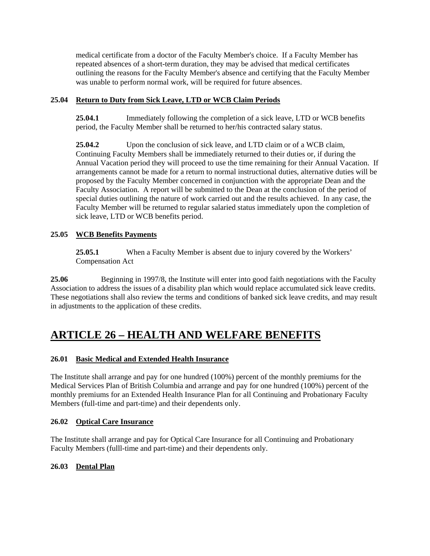medical certificate from a doctor of the Faculty Member's choice. If a Faculty Member has repeated absences of a short-term duration, they may be advised that medical certificates outlining the reasons for the Faculty Member's absence and certifying that the Faculty Member was unable to perform normal work, will be required for future absences.

## **25.04 Return to Duty from Sick Leave, LTD or WCB Claim Periods**

**25.04.1** Immediately following the completion of a sick leave, LTD or WCB benefits period, the Faculty Member shall be returned to her/his contracted salary status.

**25.04.2** Upon the conclusion of sick leave, and LTD claim or of a WCB claim, Continuing Faculty Members shall be immediately returned to their duties or, if during the Annual Vacation period they will proceed to use the time remaining for their Annual Vacation. If arrangements cannot be made for a return to normal instructional duties, alternative duties will be proposed by the Faculty Member concerned in conjunction with the appropriate Dean and the Faculty Association. A report will be submitted to the Dean at the conclusion of the period of special duties outlining the nature of work carried out and the results achieved. In any case, the Faculty Member will be returned to regular salaried status immediately upon the completion of sick leave, LTD or WCB benefits period.

### **25.05 WCB Benefits Payments**

**25.05.1** When a Faculty Member is absent due to injury covered by the Workers' Compensation Act

**25.06** Beginning in 1997/8, the Institute will enter into good faith negotiations with the Faculty Association to address the issues of a disability plan which would replace accumulated sick leave credits. These negotiations shall also review the terms and conditions of banked sick leave credits, and may result in adjustments to the application of these credits.

## **ARTICLE 26 – HEALTH AND WELFARE BENEFITS**

## **26.01 Basic Medical and Extended Health Insurance**

The Institute shall arrange and pay for one hundred (100%) percent of the monthly premiums for the Medical Services Plan of British Columbia and arrange and pay for one hundred (100%) percent of the monthly premiums for an Extended Health Insurance Plan for all Continuing and Probationary Faculty Members (full-time and part-time) and their dependents only.

### **26.02 Optical Care Insurance**

The Institute shall arrange and pay for Optical Care Insurance for all Continuing and Probationary Faculty Members (fulll-time and part-time) and their dependents only.

### **26.03 Dental Plan**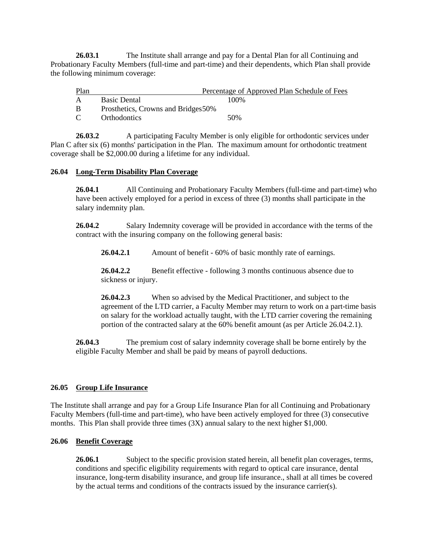**26.03.1** The Institute shall arrange and pay for a Dental Plan for all Continuing and Probationary Faculty Members (full-time and part-time) and their dependents, which Plan shall provide the following minimum coverage:

| Plan          |                                     | Percentage of Approved Plan Schedule of Fees |  |
|---------------|-------------------------------------|----------------------------------------------|--|
| $\mathsf{A}$  | <b>Basic Dental</b>                 | 100%                                         |  |
| B             | Prosthetics, Crowns and Bridges 50% |                                              |  |
| $\mathcal{C}$ | <b>Orthodontics</b>                 | 50%                                          |  |

**26.03.2** A participating Faculty Member is only eligible for orthodontic services under Plan C after six (6) months' participation in the Plan. The maximum amount for orthodontic treatment coverage shall be \$2,000.00 during a lifetime for any individual.

### **26.04 Long-Term Disability Plan Coverage**

**26.04.1** All Continuing and Probationary Faculty Members (full-time and part-time) who have been actively employed for a period in excess of three (3) months shall participate in the salary indemnity plan.

**26.04.2** Salary Indemnity coverage will be provided in accordance with the terms of the contract with the insuring company on the following general basis:

**26.04.2.1** Amount of benefit - 60% of basic monthly rate of earnings.

**26.04.2.2** Benefit effective - following 3 months continuous absence due to sickness or injury.

**26.04.2.3** When so advised by the Medical Practitioner, and subject to the agreement of the LTD carrier, a Faculty Member may return to work on a part-time basis on salary for the workload actually taught, with the LTD carrier covering the remaining portion of the contracted salary at the 60% benefit amount (as per Article 26.04.2.1).

**26.04.3** The premium cost of salary indemnity coverage shall be borne entirely by the eligible Faculty Member and shall be paid by means of payroll deductions.

### **26.05 Group Life Insurance**

The Institute shall arrange and pay for a Group Life Insurance Plan for all Continuing and Probationary Faculty Members (full-time and part-time), who have been actively employed for three (3) consecutive months. This Plan shall provide three times (3X) annual salary to the next higher \$1,000.

### **26.06 Benefit Coverage**

26.06.1 Subject to the specific provision stated herein, all benefit plan coverages, terms, conditions and specific eligibility requirements with regard to optical care insurance, dental insurance, long-term disability insurance, and group life insurance., shall at all times be covered by the actual terms and conditions of the contracts issued by the insurance carrier(s).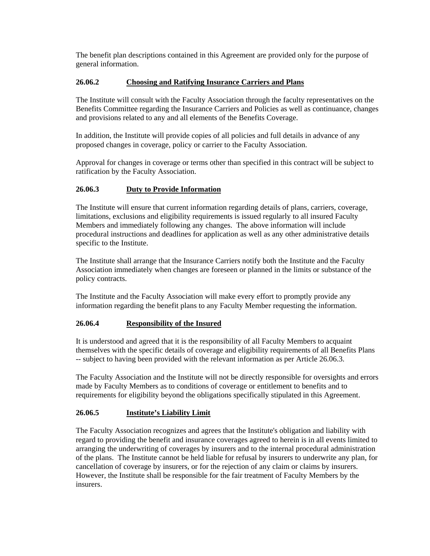The benefit plan descriptions contained in this Agreement are provided only for the purpose of general information.

### **26.06.2 Choosing and Ratifying Insurance Carriers and Plans**

The Institute will consult with the Faculty Association through the faculty representatives on the Benefits Committee regarding the Insurance Carriers and Policies as well as continuance, changes and provisions related to any and all elements of the Benefits Coverage.

In addition, the Institute will provide copies of all policies and full details in advance of any proposed changes in coverage, policy or carrier to the Faculty Association.

Approval for changes in coverage or terms other than specified in this contract will be subject to ratification by the Faculty Association.

### **26.06.3 Duty to Provide Information**

The Institute will ensure that current information regarding details of plans, carriers, coverage, limitations, exclusions and eligibility requirements is issued regularly to all insured Faculty Members and immediately following any changes. The above information will include procedural instructions and deadlines for application as well as any other administrative details specific to the Institute.

The Institute shall arrange that the Insurance Carriers notify both the Institute and the Faculty Association immediately when changes are foreseen or planned in the limits or substance of the policy contracts.

The Institute and the Faculty Association will make every effort to promptly provide any information regarding the benefit plans to any Faculty Member requesting the information.

### **26.06.4 Responsibility of the Insured**

It is understood and agreed that it is the responsibility of all Faculty Members to acquaint themselves with the specific details of coverage and eligibility requirements of all Benefits Plans -- subject to having been provided with the relevant information as per Article 26.06.3.

The Faculty Association and the Institute will not be directly responsible for oversights and errors made by Faculty Members as to conditions of coverage or entitlement to benefits and to requirements for eligibility beyond the obligations specifically stipulated in this Agreement.

## **26.06.5 Institute's Liability Limit**

The Faculty Association recognizes and agrees that the Institute's obligation and liability with regard to providing the benefit and insurance coverages agreed to herein is in all events limited to arranging the underwriting of coverages by insurers and to the internal procedural administration of the plans. The Institute cannot be held liable for refusal by insurers to underwrite any plan, for cancellation of coverage by insurers, or for the rejection of any claim or claims by insurers. However, the Institute shall be responsible for the fair treatment of Faculty Members by the insurers.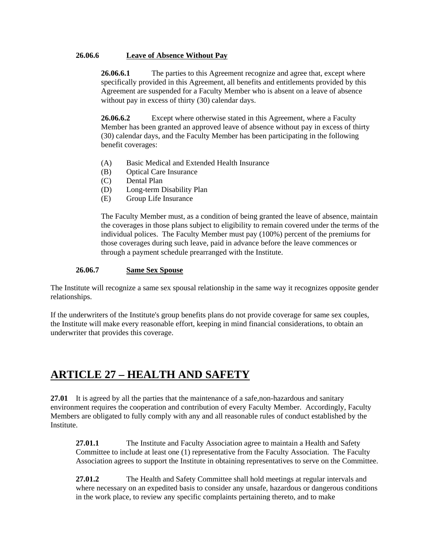### **26.06.6 Leave of Absence Without Pay**

**26.06.6.1** The parties to this Agreement recognize and agree that, except where specifically provided in this Agreement, all benefits and entitlements provided by this Agreement are suspended for a Faculty Member who is absent on a leave of absence without pay in excess of thirty (30) calendar days.

**26.06.6.2** Except where otherwise stated in this Agreement, where a Faculty Member has been granted an approved leave of absence without pay in excess of thirty (30) calendar days, and the Faculty Member has been participating in the following benefit coverages:

- (A) Basic Medical and Extended Health Insurance
- (B) Optical Care Insurance
- (C) Dental Plan
- (D) Long-term Disability Plan
- (E) Group Life Insurance

The Faculty Member must, as a condition of being granted the leave of absence, maintain the coverages in those plans subject to eligibility to remain covered under the terms of the individual polices. The Faculty Member must pay (100%) percent of the premiums for those coverages during such leave, paid in advance before the leave commences or through a payment schedule prearranged with the Institute.

### **26.06.7 Same Sex Spouse**

The Institute will recognize a same sex spousal relationship in the same way it recognizes opposite gender relationships.

If the underwriters of the Institute's group benefits plans do not provide coverage for same sex couples, the Institute will make every reasonable effort, keeping in mind financial considerations, to obtain an underwriter that provides this coverage.

## **ARTICLE 27 – HEALTH AND SAFETY**

**27.01** It is agreed by all the parties that the maintenance of a safe, non-hazardous and sanitary environment requires the cooperation and contribution of every Faculty Member. Accordingly, Faculty Members are obligated to fully comply with any and all reasonable rules of conduct established by the Institute.

**27.01.1** The Institute and Faculty Association agree to maintain a Health and Safety Committee to include at least one (1) representative from the Faculty Association.The Faculty Association agrees to support the Institute in obtaining representatives to serve on the Committee.

**27.01.2** The Health and Safety Committee shall hold meetings at regular intervals and where necessary on an expedited basis to consider any unsafe, hazardous or dangerous conditions in the work place, to review any specific complaints pertaining thereto, and to make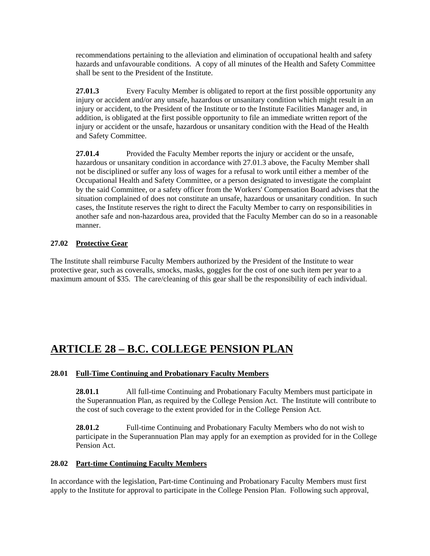recommendations pertaining to the alleviation and elimination of occupational health and safety hazards and unfavourable conditions. A copy of all minutes of the Health and Safety Committee shall be sent to the President of the Institute.

**27.01.3** Every Faculty Member is obligated to report at the first possible opportunity any injury or accident and/or any unsafe, hazardous or unsanitary condition which might result in an injury or accident, to the President of the Institute or to the Institute Facilities Manager and, in addition, is obligated at the first possible opportunity to file an immediate written report of the injury or accident or the unsafe, hazardous or unsanitary condition with the Head of the Health and Safety Committee.

**27.01.4** Provided the Faculty Member reports the injury or accident or the unsafe, hazardous or unsanitary condition in accordance with 27.01.3 above, the Faculty Member shall not be disciplined or suffer any loss of wages for a refusal to work until either a member of the Occupational Health and Safety Committee, or a person designated to investigate the complaint by the said Committee, or a safety officer from the Workers' Compensation Board advises that the situation complained of does not constitute an unsafe, hazardous or unsanitary condition. In such cases, the Institute reserves the right to direct the Faculty Member to carry on responsibilities in another safe and non-hazardous area, provided that the Faculty Member can do so in a reasonable manner.

## **27.02 Protective Gear**

The Institute shall reimburse Faculty Members authorized by the President of the Institute to wear protective gear, such as coveralls, smocks, masks, goggles for the cost of one such item per year to a maximum amount of \$35. The care/cleaning of this gear shall be the responsibility of each individual.

## **ARTICLE 28 – B.C. COLLEGE PENSION PLAN**

## **28.01 Full-Time Continuing and Probationary Faculty Members**

**28.01.1** All full-time Continuing and Probationary Faculty Members must participate in the Superannuation Plan, as required by the College Pension Act. The Institute will contribute to the cost of such coverage to the extent provided for in the College Pension Act.

**28.01.2** Full-time Continuing and Probationary Faculty Members who do not wish to participate in the Superannuation Plan may apply for an exemption as provided for in the College Pension Act.

## **28.02 Part-time Continuing Faculty Members**

In accordance with the legislation, Part-time Continuing and Probationary Faculty Members must first apply to the Institute for approval to participate in the College Pension Plan. Following such approval,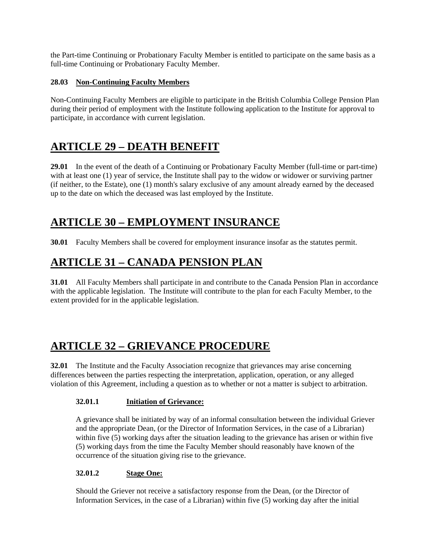the Part-time Continuing or Probationary Faculty Member is entitled to participate on the same basis as a full-time Continuing or Probationary Faculty Member.

## **28.03 Non-Continuing Faculty Members**

Non-Continuing Faculty Members are eligible to participate in the British Columbia College Pension Plan during their period of employment with the Institute following application to the Institute for approval to participate, in accordance with current legislation.

## **ARTICLE 29 – DEATH BENEFIT**

**29.01** In the event of the death of a Continuing or Probationary Faculty Member (full-time or part-time) with at least one (1) year of service, the Institute shall pay to the widow or widower or surviving partner (if neither, to the Estate), one (1) month's salary exclusive of any amount already earned by the deceased up to the date on which the deceased was last employed by the Institute.

## **ARTICLE 30 – EMPLOYMENT INSURANCE**

**30.01** Faculty Members shall be covered for employment insurance insofar as the statutes permit.

## **ARTICLE 31 – CANADA PENSION PLAN**

**31.01** All Faculty Members shall participate in and contribute to the Canada Pension Plan in accordance with the applicable legislation. The Institute will contribute to the plan for each Faculty Member, to the extent provided for in the applicable legislation.

## **ARTICLE 32 – GRIEVANCE PROCEDURE**

**32.01** The Institute and the Faculty Association recognize that grievances may arise concerning differences between the parties respecting the interpretation, application, operation, or any alleged violation of this Agreement, including a question as to whether or not a matter is subject to arbitration.

## **32.01.1 Initiation of Grievance:**

A grievance shall be initiated by way of an informal consultation between the individual Griever and the appropriate Dean, (or the Director of Information Services, in the case of a Librarian) within five (5) working days after the situation leading to the grievance has arisen or within five (5) working days from the time the Faculty Member should reasonably have known of the occurrence of the situation giving rise to the grievance.

## **32.01.2 Stage One:**

Should the Griever not receive a satisfactory response from the Dean, (or the Director of Information Services, in the case of a Librarian) within five (5) working day after the initial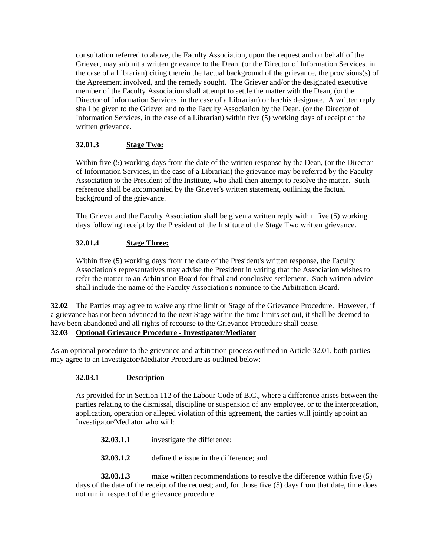consultation referred to above, the Faculty Association, upon the request and on behalf of the Griever, may submit a written grievance to the Dean, (or the Director of Information Services. in the case of a Librarian) citing therein the factual background of the grievance, the provisions(s) of the Agreement involved, and the remedy sought. The Griever and/or the designated executive member of the Faculty Association shall attempt to settle the matter with the Dean, (or the Director of Information Services, in the case of a Librarian) or her/his designate. A written reply shall be given to the Griever and to the Faculty Association by the Dean, (or the Director of Information Services, in the case of a Librarian) within five (5) working days of receipt of the written grievance.

## **32.01.3 Stage Two:**

Within five (5) working days from the date of the written response by the Dean, (or the Director of Information Services, in the case of a Librarian) the grievance may be referred by the Faculty Association to the President of the Institute, who shall then attempt to resolve the matter. Such reference shall be accompanied by the Griever's written statement, outlining the factual background of the grievance.

The Griever and the Faculty Association shall be given a written reply within five (5) working days following receipt by the President of the Institute of the Stage Two written grievance.

## **32.01.4 Stage Three:**

Within five (5) working days from the date of the President's written response, the Faculty Association's representatives may advise the President in writing that the Association wishes to refer the matter to an Arbitration Board for final and conclusive settlement. Such written advice shall include the name of the Faculty Association's nominee to the Arbitration Board.

**32.02** The Parties may agree to waive any time limit or Stage of the Grievance Procedure. However, if a grievance has not been advanced to the next Stage within the time limits set out, it shall be deemed to have been abandoned and all rights of recourse to the Grievance Procedure shall cease.

## **32.03 Optional Grievance Procedure - Investigator/Mediator**

As an optional procedure to the grievance and arbitration process outlined in Article 32.01, both parties may agree to an Investigator/Mediator Procedure as outlined below:

## **32.03.1 Description**

As provided for in Section 112 of the Labour Code of B.C., where a difference arises between the parties relating to the dismissal, discipline or suspension of any employee, or to the interpretation, application, operation or alleged violation of this agreement, the parties will jointly appoint an Investigator/Mediator who will:

- **32.03.1.1** investigate the difference;
- **32.03.1.2** define the issue in the difference; and

**32.03.1.3** make written recommendations to resolve the difference within five (5) days of the date of the receipt of the request; and, for those five (5) days from that date, time does not run in respect of the grievance procedure.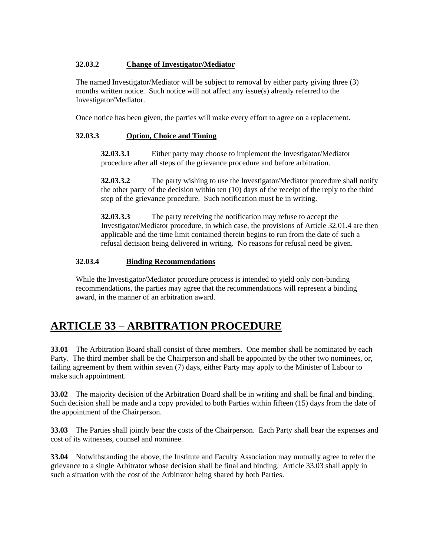## **32.03.2 Change of Investigator/Mediator**

The named Investigator/Mediator will be subject to removal by either party giving three (3) months written notice. Such notice will not affect any issue(s) already referred to the Investigator/Mediator.

Once notice has been given, the parties will make every effort to agree on a replacement.

### **32.03.3 Option, Choice and Timing**

**32.03.3.1** Either party may choose to implement the Investigator/Mediator procedure after all steps of the grievance procedure and before arbitration.

**32.03.3.2** The party wishing to use the lnvestigator/Mediator procedure shall notify the other party of the decision within ten (10) days of the receipt of the reply to the third step of the grievance procedure. Such notification must be in writing.

**32.03.3.3** The party receiving the notification may refuse to accept the Investigator/Mediator procedure, in which case, the provisions of Article 32.01.4 are then applicable and the time limit contained therein begins to run from the date of such a refusal decision being delivered in writing. No reasons for refusal need be given.

### **32.03.4 Binding Recommendations**

While the Investigator/Mediator procedure process is intended to yield only non-binding recommendations, the parties may agree that the recommendations will represent a binding award, in the manner of an arbitration award.

## **ARTICLE 33 – ARBITRATION PROCEDURE**

**33.01** The Arbitration Board shall consist of three members. One member shall be nominated by each Party. The third member shall be the Chairperson and shall be appointed by the other two nominees, or, failing agreement by them within seven (7) days, either Party may apply to the Minister of Labour to make such appointment.

**33.02** The majority decision of the Arbitration Board shall be in writing and shall be final and binding. Such decision shall be made and a copy provided to both Parties within fifteen (15) days from the date of the appointment of the Chairperson.

**33.03** The Parties shall jointly bear the costs of the Chairperson. Each Party shall bear the expenses and cost of its witnesses, counsel and nominee.

**33.04** Notwithstanding the above, the Institute and Faculty Association may mutually agree to refer the grievance to a single Arbitrator whose decision shall be final and binding. Article 33.03 shall apply in such a situation with the cost of the Arbitrator being shared by both Parties.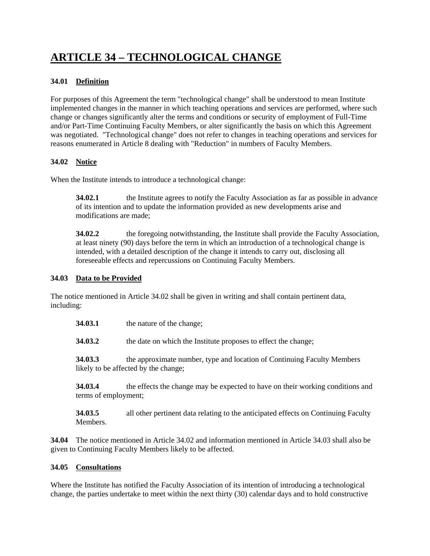# **ARTICLE 34 – TECHNOLOGICAL CHANGE**

## **34.01 Definition**

For purposes of this Agreement the term "technological change" shall be understood to mean Institute implemented changes in the manner in which teaching operations and services are performed, where such change or changes significantly alter the terms and conditions or security of employment of Full-Time and/or Part-Time Continuing Faculty Members, or alter significantly the basis on which this Agreement was negotiated. "Technological change" does not refer to changes in teaching operations and services for reasons enumerated in Article 8 dealing with "Reduction" in numbers of Faculty Members.

## **34.02 Notice**

When the Institute intends to introduce a technological change:

**34.02.1 the Institute agrees to notify the Faculty Association as far as possible in advance** of its intention and to update the information provided as new developments arise and modifications are made;

**34.02.2** the foregoing notwithstanding, the Institute shall provide the Faculty Association, at least ninety (90) days before the term in which an introduction of a technological change is intended, with a detailed description of the change it intends to carry out, disclosing all foreseeable effects and repercussions on Continuing Faculty Members.

### **34.03 Data to be Provided**

The notice mentioned in Article 34.02 shall be given in writing and shall contain pertinent data, including:

**34.03.1** the nature of the change;

**34.03.2** the date on which the Institute proposes to effect the change;

**34.03.3** the approximate number, type and location of Continuing Faculty Members likely to be affected by the change;

**34.03.4** the effects the change may be expected to have on their working conditions and terms of employment;

**34.03.5** all other pertinent data relating to the anticipated effects on Continuing Faculty Members.

**34.04** The notice mentioned in Article 34.02 and information mentioned in Article 34.03 shall also be given to Continuing Faculty Members likely to be affected.

## **34.05 Consultations**

Where the Institute has notified the Faculty Association of its intention of introducing a technological change, the parties undertake to meet within the next thirty (30) calendar days and to hold constructive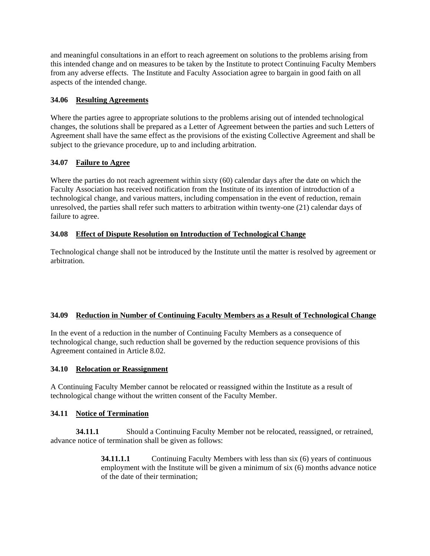and meaningful consultations in an effort to reach agreement on solutions to the problems arising from this intended change and on measures to be taken by the Institute to protect Continuing Faculty Members from any adverse effects. The Institute and Faculty Association agree to bargain in good faith on all aspects of the intended change.

### **34.06 Resulting Agreements**

Where the parties agree to appropriate solutions to the problems arising out of intended technological changes, the solutions shall be prepared as a Letter of Agreement between the parties and such Letters of Agreement shall have the same effect as the provisions of the existing Collective Agreement and shall be subject to the grievance procedure, up to and including arbitration.

### **34.07 Failure to Agree**

Where the parties do not reach agreement within sixty (60) calendar days after the date on which the Faculty Association has received notification from the Institute of its intention of introduction of a technological change, and various matters, including compensation in the event of reduction, remain unresolved, the parties shall refer such matters to arbitration within twenty-one (21) calendar days of failure to agree.

### **34.08 Effect of Dispute Resolution on Introduction of Technological Change**

Technological change shall not be introduced by the Institute until the matter is resolved by agreement or arbitration.

## **34.09 Reduction in Number of Continuing Faculty Members as a Result of Technological Change**

In the event of a reduction in the number of Continuing Faculty Members as a consequence of technological change, such reduction shall be governed by the reduction sequence provisions of this Agreement contained in Article 8.02.

### **34.10 Relocation or Reassignment**

A Continuing Faculty Member cannot be relocated or reassigned within the Institute as a result of technological change without the written consent of the Faculty Member.

### **34.11 Notice of Termination**

**34.11.1** Should a Continuing Faculty Member not be relocated, reassigned, or retrained, advance notice of termination shall be given as follows:

> **34.11.1.1** Continuing Faculty Members with less than six (6) years of continuous employment with the Institute will be given a minimum of six (6) months advance notice of the date of their termination;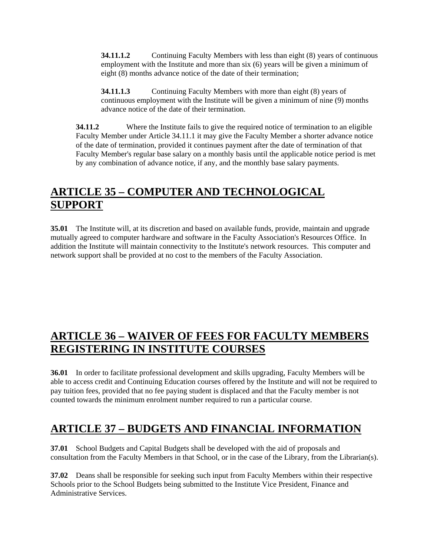**34.11.1.2** Continuing Faculty Members with less than eight (8) years of continuous employment with the Institute and more than six (6) years will be given a minimum of eight (8) months advance notice of the date of their termination;

**34.11.1.3** Continuing Faculty Members with more than eight (8) years of continuous employment with the Institute will be given a minimum of nine (9) months advance notice of the date of their termination.

**34.11.2** Where the Institute fails to give the required notice of termination to an eligible Faculty Member under Article 34.11.1 it may give the Faculty Member a shorter advance notice of the date of termination, provided it continues payment after the date of termination of that Faculty Member's regular base salary on a monthly basis until the applicable notice period is met by any combination of advance notice, if any, and the monthly base salary payments.

# **ARTICLE 35 – COMPUTER AND TECHNOLOGICAL SUPPORT**

**35.01** The Institute will, at its discretion and based on available funds, provide, maintain and upgrade mutually agreed to computer hardware and software in the Faculty Association's Resources Office. In addition the Institute will maintain connectivity to the Institute's network resources. This computer and network support shall be provided at no cost to the members of the Faculty Association.

## **ARTICLE 36 – WAIVER OF FEES FOR FACULTY MEMBERS REGISTERING IN INSTITUTE COURSES**

**36.01** In order to facilitate professional development and skills upgrading, Faculty Members will be able to access credit and Continuing Education courses offered by the Institute and will not be required to pay tuition fees, provided that no fee paying student is displaced and that the Faculty member is not counted towards the minimum enrolment number required to run a particular course.

## **ARTICLE 37 – BUDGETS AND FINANCIAL INFORMATION**

**37.01** School Budgets and Capital Budgets shall be developed with the aid of proposals and consultation from the Faculty Members in that School, or in the case of the Library, from the Librarian(s).

**37.02** Deans shall be responsible for seeking such input from Faculty Members within their respective Schools prior to the School Budgets being submitted to the Institute Vice President, Finance and Administrative Services.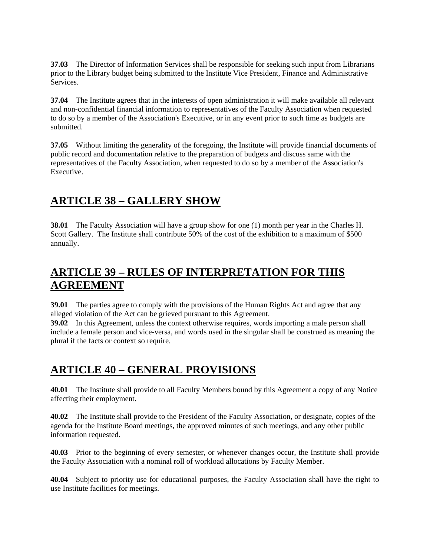**37.03** The Director of Information Services shall be responsible for seeking such input from Librarians prior to the Library budget being submitted to the Institute Vice President, Finance and Administrative Services.

**37.04** The Institute agrees that in the interests of open administration it will make available all relevant and non-confidential financial information to representatives of the Faculty Association when requested to do so by a member of the Association's Executive, or in any event prior to such time as budgets are submitted.

**37.05** Without limiting the generality of the foregoing, the Institute will provide financial documents of public record and documentation relative to the preparation of budgets and discuss same with the representatives of the Faculty Association, when requested to do so by a member of the Association's Executive.

## **ARTICLE 38 – GALLERY SHOW**

**38.01** The Faculty Association will have a group show for one (1) month per year in the Charles H. Scott Gallery. The Institute shall contribute 50% of the cost of the exhibition to a maximum of \$500 annually.

## **ARTICLE 39 – RULES OF INTERPRETATION FOR THIS AGREEMENT**

**39.01** The parties agree to comply with the provisions of the Human Rights Act and agree that any alleged violation of the Act can be grieved pursuant to this Agreement.

**39.02** In this Agreement, unless the context otherwise requires, words importing a male person shall include a female person and vice-versa, and words used in the singular shall be construed as meaning the plural if the facts or context so require.

## **ARTICLE 40 – GENERAL PROVISIONS**

**40.01** The Institute shall provide to all Faculty Members bound by this Agreement a copy of any Notice affecting their employment.

**40.02** The Institute shall provide to the President of the Faculty Association, or designate, copies of the agenda for the Institute Board meetings, the approved minutes of such meetings, and any other public information requested.

**40.03** Prior to the beginning of every semester, or whenever changes occur, the Institute shall provide the Faculty Association with a nominal roll of workload allocations by Faculty Member.

**40.04** Subject to priority use for educational purposes, the Faculty Association shall have the right to use Institute facilities for meetings.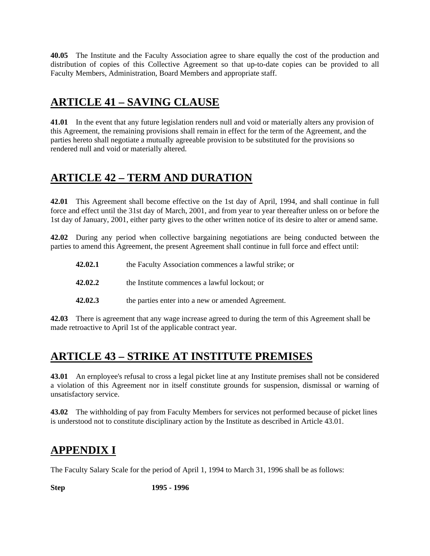**40.05** The Institute and the Faculty Association agree to share equally the cost of the production and distribution of copies of this Collective Agreement so that up-to-date copies can be provided to all Faculty Members, Administration, Board Members and appropriate staff.

## **ARTICLE 41 – SAVING CLAUSE**

**41.01** In the event that any future legislation renders null and void or materially alters any provision of this Agreement, the remaining provisions shall remain in effect for the term of the Agreement, and the parties hereto shall negotiate a mutually agreeable provision to be substituted for the provisions so rendered null and void or materially altered.

# **ARTICLE 42 – TERM AND DURATION**

**42.01** This Agreement shall become effective on the 1st day of April, 1994, and shall continue in full force and effect until the 31st day of March, 2001, and from year to year thereafter unless on or before the 1st day of January, 2001, either party gives to the other written notice of its desire to alter or amend same.

**42.02** During any period when collective bargaining negotiations are being conducted between the parties to amend this Agreement, the present Agreement shall continue in full force and effect until:

| 42.02.1 | the Faculty Association commences a lawful strike; or |
|---------|-------------------------------------------------------|
| 42.02.2 | the Institute commences a lawful lockout; or          |
| 42.02.3 | the parties enter into a new or amended Agreement.    |

**42.03** There is agreement that any wage increase agreed to during the term of this Agreement shall be made retroactive to April 1st of the applicable contract year.

# **ARTICLE 43 – STRIKE AT INSTITUTE PREMISES**

**43.01** An ernployee's refusal to cross a legal picket line at any Institute premises shall not be considered a violation of this Agreement nor in itself constitute grounds for suspension, dismissal or warning of unsatisfactory service.

**43.02** The withholding of pay from Faculty Members for services not performed because of picket lines is understood not to constitute disciplinary action by the Institute as described in Article 43.01.

# **APPENDIX I**

The Faculty Salary Scale for the period of April 1, 1994 to March 31, 1996 shall be as follows:

**Step 1995 - 1996**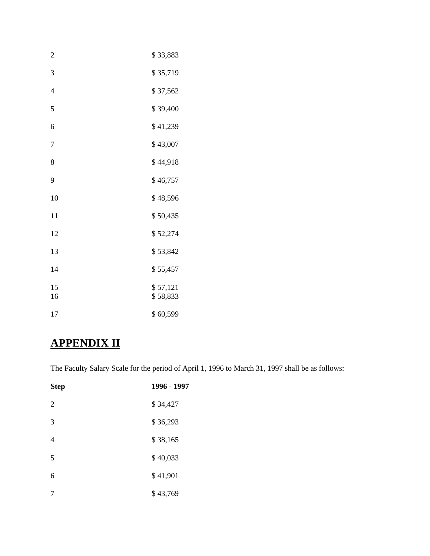| $\overline{c}$           | \$33,883             |
|--------------------------|----------------------|
| 3                        | \$35,719             |
| $\overline{\mathcal{L}}$ | \$37,562             |
| 5                        | \$39,400             |
| 6                        | \$41,239             |
| 7                        | \$43,007             |
| 8                        | \$44,918             |
| 9                        | \$46,757             |
| 10                       | \$48,596             |
| 11                       | \$50,435             |
| 12                       | \$52,274             |
| 13                       | \$53,842             |
| 14                       | \$55,457             |
| 15<br>16                 | \$57,121<br>\$58,833 |
| 17                       | \$60,599             |

# **APPENDIX II**

The Faculty Salary Scale for the period of April 1, 1996 to March 31, 1997 shall be as follows:

| <b>Step</b> | 1996 - 1997 |
|-------------|-------------|
| 2           | \$34,427    |
| 3           | \$36,293    |
| 4           | \$38,165    |
| 5           | \$40,033    |
| 6           | \$41,901    |
| 7           | \$43,769    |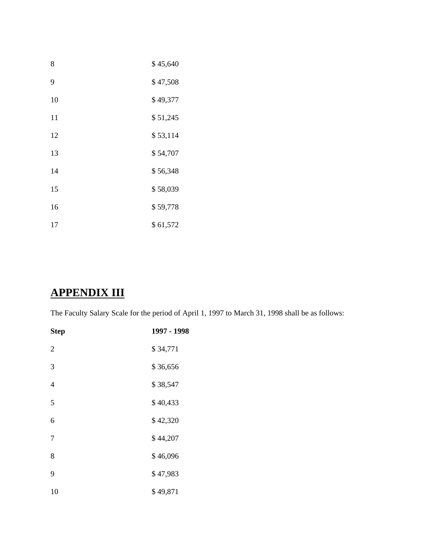| 8  | \$45,640 |
|----|----------|
| 9  | \$47,508 |
| 10 | \$49,377 |
| 11 | \$51,245 |
| 12 | \$53,114 |
| 13 | \$54,707 |
| 14 | \$56,348 |
| 15 | \$58,039 |
| 16 | \$59,778 |
| 17 | \$61,572 |

# **APPENDIX III**

The Faculty Salary Scale for the period of April 1, 1997 to March 31, 1998 shall be as follows:

| <b>Step</b>    | 1997 - 1998 |
|----------------|-------------|
| $\overline{2}$ | \$34,771    |
| 3              | \$36,656    |
| $\overline{4}$ | \$38,547    |
| 5              | \$40,433    |
| 6              | \$42,320    |
| 7              | \$44,207    |
| 8              | \$46,096    |
| 9              | \$47,983    |
| 10             | \$49,871    |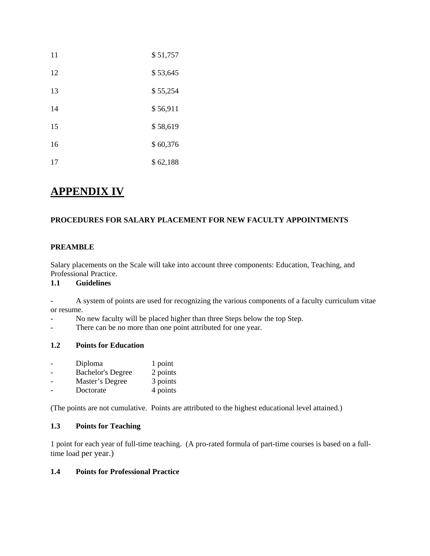| 11 | \$51,757 |
|----|----------|
| 12 | \$53,645 |
| 13 | \$55,254 |
| 14 | \$56,911 |
| 15 | \$58,619 |
| 16 | \$60,376 |
| 17 | \$62,188 |

## **APPENDIX IV**

## **PROCEDURES FOR SALARY PLACEMENT FOR NEW FACULTY APPOINTMENTS**

### **PREAMBLE**

Salary placements on the Scale will take into account three components: Education, Teaching, and Professional Practice.

### **1.1 Guidelines**

- A system of points are used for recognizing the various components of a faculty curriculum vitae or resume.

- No new faculty will be placed higher than three Steps below the top Step.
- There can be no more than one point attributed for one year.

### **1.2 Points for Education**

| Diploma                  | 1 point  |
|--------------------------|----------|
| <b>Bachelor's Degree</b> | 2 points |
| Master's Degree          | 3 points |
| Doctorate                | 4 points |

(The points are not cumulative. Points are attributed to the highest educational level attained.)

### **1.3 Points for Teaching**

1 point for each year of full-time teaching. (A pro-rated formula of part-time courses is based on a fulltime load per year.)

## **1.4 Points for Professional Practice**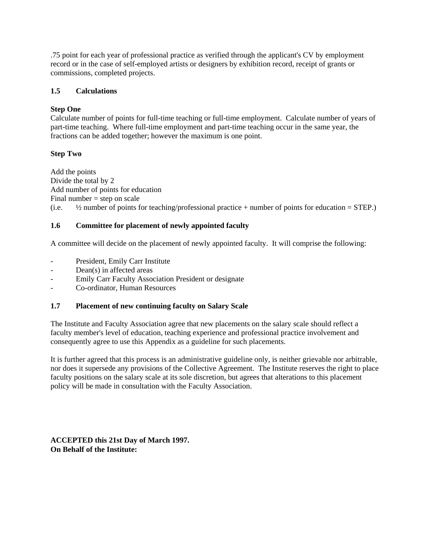.75 point for each year of professional practice as verified through the applicant's CV by employment record or in the case of self-employed artists or designers by exhibition record, receipt of grants or commissions, completed projects.

### **1.5 Calculations**

### **Step One**

Calculate number of points for full-time teaching or full-time employment. Calculate number of years of part-time teaching. Where full-time employment and part-time teaching occur in the same year, the fractions can be added together; however the maximum is one point.

### **Step Two**

Add the points Divide the total by 2 Add number of points for education Final number  $=$  step on scale (i.e.  $\frac{1}{2}$  number of points for teaching/professional practice + number of points for education = STEP.)

### **1.6 Committee for placement of newly appointed faculty**

A committee will decide on the placement of newly appointed faculty. It will comprise the following:

- President, Emily Carr Institute
- Dean(s) in affected areas
- Emily Carr Faculty Association President or designate
- Co-ordinator, Human Resources

#### **1.7 Placement of new continuing faculty on Salary Scale**

The Institute and Faculty Association agree that new placements on the salary scale should reflect a faculty member's level of education, teaching experience and professional practice involvement and consequently agree to use this Appendix as a guideline for such placements.

It is further agreed that this process is an administrative guideline only, is neither grievable nor arbitrable, nor does it supersede any provisions of the Collective Agreement. The Institute reserves the right to place faculty positions on the salary scale at its sole discretion, but agrees that alterations to this placement policy will be made in consultation with the Faculty Association.

**ACCEPTED this 21st Day of March 1997. On Behalf of the Institute:**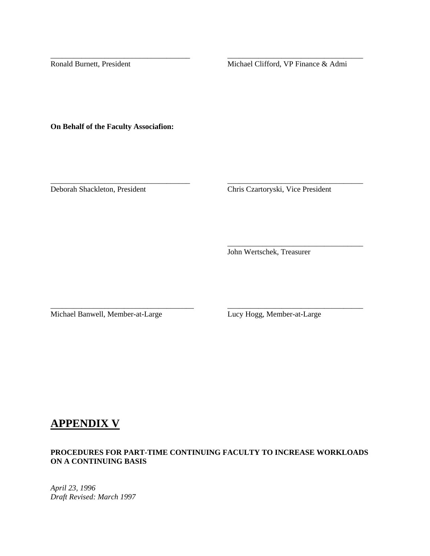Ronald Burnett, President Michael Clifford, VP Finance & Admi

\_\_\_\_\_\_\_\_\_\_\_\_\_\_\_\_\_\_\_\_\_\_\_\_\_\_\_\_\_\_\_\_\_\_\_\_ \_\_\_\_\_\_\_\_\_\_\_\_\_\_\_\_\_\_\_\_\_\_\_\_\_\_\_\_\_\_\_\_\_\_\_

\_\_\_\_\_\_\_\_\_\_\_\_\_\_\_\_\_\_\_\_\_\_\_\_\_\_\_\_\_\_\_\_\_\_\_\_ \_\_\_\_\_\_\_\_\_\_\_\_\_\_\_\_\_\_\_\_\_\_\_\_\_\_\_\_\_\_\_\_\_\_\_

 $\overline{\phantom{a}}$  , and the contract of the contract of the contract of the contract of the contract of the contract of the contract of the contract of the contract of the contract of the contract of the contract of the contrac

\_\_\_\_\_\_\_\_\_\_\_\_\_\_\_\_\_\_\_\_\_\_\_\_\_\_\_\_\_\_\_\_\_\_\_\_\_ \_\_\_\_\_\_\_\_\_\_\_\_\_\_\_\_\_\_\_\_\_\_\_\_\_\_\_\_\_\_\_\_\_\_\_

**On Behalf of the Faculty Associafion:**

Deborah Shackleton, President Chris Czartoryski, Vice President

John Wertschek, Treasurer

Michael Banwell, Member-at-Large Lucy Hogg, Member-at-Large

# **APPENDIX V**

## **PROCEDURES FOR PART-TIME CONTINUING FACULTY TO INCREASE WORKLOADS ON A CONTINUING BASIS**

*April 23, 1996 Draft Revised: March 1997*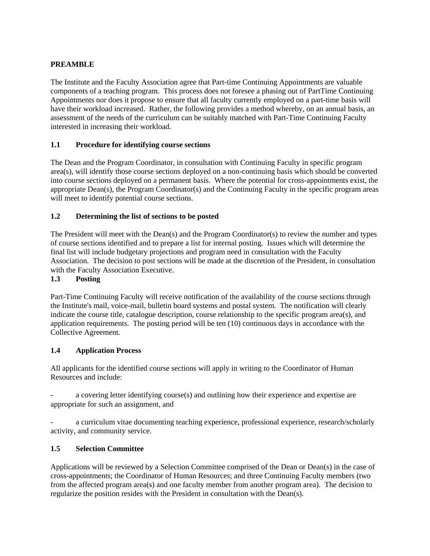## **PREAMBLE**

The Institute and the Faculty Association agree that Part-time Continuing Appointments are valuable components of a teaching program. This process does not foresee a phasing out of PartTime Continuing Appointments nor does it propose to ensure that all faculty currently employed on a part-time basis will have their workload increased. Rather, the following provides a method whereby, on an annual basis, an assessment of the needs of the curriculum can be suitably matched with Part-Time Continuing Faculty interested in increasing their workload.

### **1.1 Procedure for identifying course sections**

The Dean and the Program Coordinator, in consultation with Continuing Faculty in specific program area(s), will identify those course sections deployed on a non-continuing basis which should be converted into course sections deployed on a permanent basis. Where the potential for cross-appointments exist, the appropriate Dean(s), the Program Coordinator(s) and the Continuing Faculty in the specific program areas will meet to identify potential course sections.

### **1.2 Determining the list of sections to be posted**

The President will meet with the Dean(s) and the Program Coordinator(s) to review the number and types of course sections identified and to prepare a list for internal posting. Issues which will determine the final list will include budgetary projections and program need in consultation with the Faculty Association. The decision to post sections will be made at the discretion of the President, in consultation with the Faculty Association Executive.

#### **1.3 Posting**

Part-Time Continuing Faculty will receive notification of the availability of the course sections through the Institute's mail, voice-mail, bulletin board systems and postal system. The notification will clearly indicate the course title, catalogue description, course relationship to the specific program area(s), and application requirements. The posting period will be ten (10) continuous days in accordance with the Collective Agreement.

#### **1.4 Application Process**

All applicants for the identified course sections will apply in writing to the Coordinator of Human Resources and include:

a covering letter identifying course(s) and outlining how their experience and expertise are appropriate for such an assignment, and

a curriculum vitae documenting teaching experience, professional experience, research/scholarly activity, and community service.

#### **1.5 Selection Committee**

Applications will be reviewed by a Selection Committee comprised of the Dean or Dean(s) in the case of cross-appointments; the Coordinator of Human Resources; and three Continuing Faculty members (two from the affected program area(s) and one faculty member from another program area). The decision to regularize the position resides with the President in consultation with the Dean(s).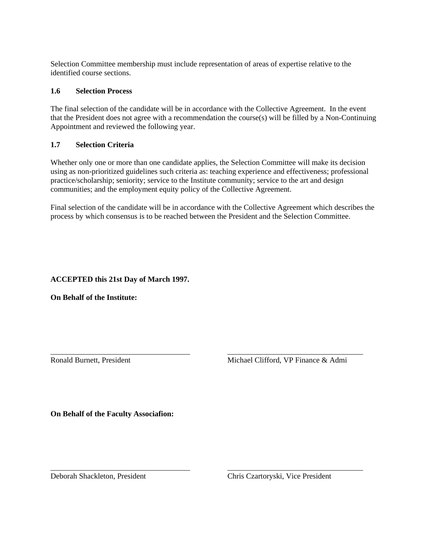Selection Committee membership must include representation of areas of expertise relative to the identified course sections.

#### **1.6 Selection Process**

The final selection of the candidate will be in accordance with the Collective Agreement. In the event that the President does not agree with a recommendation the course(s) will be filled by a Non-Continuing Appointment and reviewed the following year.

#### **1.7 Selection Criteria**

Whether only one or more than one candidate applies, the Selection Committee will make its decision using as non-prioritized guidelines such criteria as: teaching experience and effectiveness; professional practice/scholarship; seniority; service to the Institute community; service to the art and design communities; and the employment equity policy of the Collective Agreement.

Final selection of the candidate will be in accordance with the Collective Agreement which describes the process by which consensus is to be reached between the President and the Selection Committee.

\_\_\_\_\_\_\_\_\_\_\_\_\_\_\_\_\_\_\_\_\_\_\_\_\_\_\_\_\_\_\_\_\_\_\_\_ \_\_\_\_\_\_\_\_\_\_\_\_\_\_\_\_\_\_\_\_\_\_\_\_\_\_\_\_\_\_\_\_\_\_\_

\_\_\_\_\_\_\_\_\_\_\_\_\_\_\_\_\_\_\_\_\_\_\_\_\_\_\_\_\_\_\_\_\_\_\_\_ \_\_\_\_\_\_\_\_\_\_\_\_\_\_\_\_\_\_\_\_\_\_\_\_\_\_\_\_\_\_\_\_\_\_\_

#### **ACCEPTED this 21st Day of March 1997.**

**On Behalf of the Institute:**

Ronald Burnett, President Michael Clifford, VP Finance & Admi

**On Behalf of the Faculty Associafion:**

Deborah Shackleton, President Chris Czartoryski, Vice President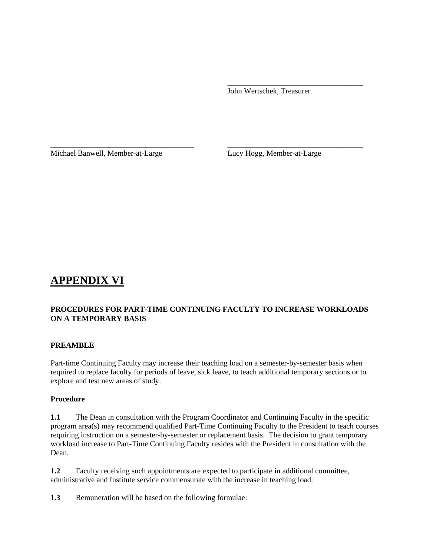John Wertschek, Treasurer

Michael Banwell, Member-at-Large Lucy Hogg, Member-at-Large

# **APPENDIX VI**

## **PROCEDURES FOR PART-TIME CONTINUING FACULTY TO INCREASE WORKLOADS ON A TEMPORARY BASIS**

 $\overline{\phantom{a}}$  , and the contract of the contract of the contract of the contract of the contract of the contract of the contract of the contract of the contract of the contract of the contract of the contract of the contrac

\_\_\_\_\_\_\_\_\_\_\_\_\_\_\_\_\_\_\_\_\_\_\_\_\_\_\_\_\_\_\_\_\_\_\_\_\_ \_\_\_\_\_\_\_\_\_\_\_\_\_\_\_\_\_\_\_\_\_\_\_\_\_\_\_\_\_\_\_\_\_\_\_

#### **PREAMBLE**

Part-time Continuing Faculty may increase their teaching load on a semester-by-semester basis when required to replace faculty for periods of leave, sick leave, to teach additional temporary sections or to explore and test new areas of study.

#### **Procedure**

**1.1** The Dean in consultation with the Program Coordinator and Continuing Faculty in the specific program area(s) may recommend qualified Part-Time Continuing Faculty to the President to teach courses requiring instruction on a semester-by-semester or replacement basis. The decision to grant temporary workload increase to Part-Time Continuing Faculty resides with the President in consultation with the Dean.

**1.2** Faculty receiving such appointments are expected to participate in additional committee, administrative and Institute service commensurate with the increase in teaching load.

**1.3** Remuneration will be based on the following formulae: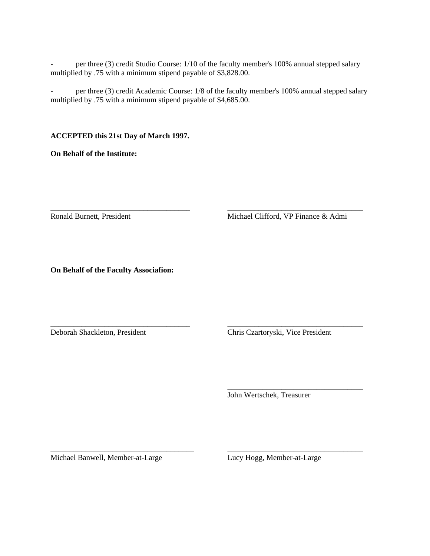per three (3) credit Studio Course: 1/10 of the faculty member's 100% annual stepped salary multiplied by .75 with a minimum stipend payable of \$3,828.00.

per three (3) credit Academic Course: 1/8 of the faculty member's 100% annual stepped salary multiplied by .75 with a minimum stipend payable of \$4,685.00.

\_\_\_\_\_\_\_\_\_\_\_\_\_\_\_\_\_\_\_\_\_\_\_\_\_\_\_\_\_\_\_\_\_\_\_\_ \_\_\_\_\_\_\_\_\_\_\_\_\_\_\_\_\_\_\_\_\_\_\_\_\_\_\_\_\_\_\_\_\_\_\_

\_\_\_\_\_\_\_\_\_\_\_\_\_\_\_\_\_\_\_\_\_\_\_\_\_\_\_\_\_\_\_\_\_\_\_\_ \_\_\_\_\_\_\_\_\_\_\_\_\_\_\_\_\_\_\_\_\_\_\_\_\_\_\_\_\_\_\_\_\_\_\_

 $\overline{\phantom{a}}$  , and the contract of the contract of the contract of the contract of the contract of the contract of the contract of the contract of the contract of the contract of the contract of the contract of the contrac

\_\_\_\_\_\_\_\_\_\_\_\_\_\_\_\_\_\_\_\_\_\_\_\_\_\_\_\_\_\_\_\_\_\_\_\_\_ \_\_\_\_\_\_\_\_\_\_\_\_\_\_\_\_\_\_\_\_\_\_\_\_\_\_\_\_\_\_\_\_\_\_\_

#### **ACCEPTED this 21st Day of March 1997.**

**On Behalf of the Institute:**

Ronald Burnett, President Michael Clifford, VP Finance & Admi

**On Behalf of the Faculty Associafion:**

Deborah Shackleton, President Chris Czartoryski, Vice President

John Wertschek, Treasurer

Michael Banwell, Member-at-Large Lucy Hogg, Member-at-Large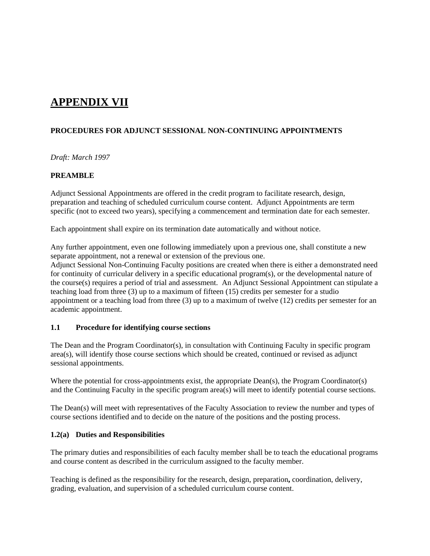# **APPENDIX VII**

## **PROCEDURES FOR ADJUNCT SESSIONAL NON-CONTINUING APPOINTMENTS**

*Draft: March 1997*

#### **PREAMBLE**

Adjunct Sessional Appointments are offered in the credit program to facilitate research, design, preparation and teaching of scheduled curriculum course content. Adjunct Appointments are term specific (not to exceed two years), specifying a commencement and termination date for each semester.

Each appointment shall expire on its termination date automatically and without notice.

Any further appointment, even one following immediately upon a previous one, shall constitute a new separate appointment, not a renewal or extension of the previous one.

Adjunct Sessional Non-Continuing Faculty positions are created when there is either a demonstrated need for continuity of curricular delivery in a specific educational program(s), or the developmental nature of the course(s) requires a period of trial and assessment. An Adjunct Sessional Appointment can stipulate a teaching load from three (3) up to a maximum of fifteen (15) credits per semester for a studio appointment or a teaching load from three (3) up to a maximum of twelve (12) credits per semester for an academic appointment.

#### **1.1 Procedure for identifying course sections**

The Dean and the Program Coordinator(s), in consultation with Continuing Faculty in specific program area(s), will identify those course sections which should be created, continued or revised as adjunct sessional appointments.

Where the potential for cross-appointments exist, the appropriate Dean(s), the Program Coordinator(s) and the Continuing Faculty in the specific program area(s) will meet to identify potential course sections.

The Dean(s) will meet with representatives of the Faculty Association to review the number and types of course sections identified and to decide on the nature of the positions and the posting process.

#### **1.2(a) Duties and Responsibilities**

The primary duties and responsibilities of each faculty member shall be to teach the educational programs and course content as described in the curriculum assigned to the faculty member.

Teaching is defined as the responsibility for the research, design, preparation**,** coordination, delivery, grading, evaluation, and supervision of a scheduled curriculum course content.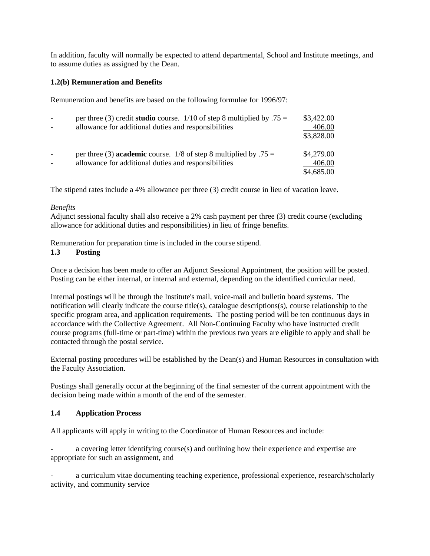In addition, faculty will normally be expected to attend departmental, School and Institute meetings, and to assume duties as assigned by the Dean.

#### **1.2(b) Remuneration and Benefits**

Remuneration and benefits are based on the following formulae for 1996/97:

| $\blacksquare$ | per three (3) credit <b>studio</b> course. $1/10$ of step 8 multiplied by .75 =<br>allowance for additional duties and responsibilities | \$3,422.00<br>406.00<br>\$3,828.00 |
|----------------|-----------------------------------------------------------------------------------------------------------------------------------------|------------------------------------|
| $\overline{a}$ | per three (3) <b>academic</b> course. 1/8 of step 8 multiplied by $.75 =$<br>allowance for additional duties and responsibilities       | \$4,279.00<br>406.00<br>\$4,685.00 |

The stipend rates include a 4% allowance per three (3) credit course in lieu of vacation leave.

#### *Benefits*

Adjunct sessional faculty shall also receive a 2% cash payment per three (3) credit course (excluding allowance for additional duties and responsibilities) in lieu of fringe benefits.

Remuneration for preparation time is included in the course stipend.

#### **1.3 Posting**

Once a decision has been made to offer an Adjunct Sessional Appointment, the position will be posted. Posting can be either internal, or internal and external, depending on the identified curricular need.

Internal postings will be through the Institute's mail, voice-mail and bulletin board systems. The notification will clearly indicate the course title(s), catalogue descriptions(s), course relationship to the specific program area, and application requirements. The posting period will be ten continuous days in accordance with the Collective Agreement. All Non-Continuing Faculty who have instructed credit course programs (full-time or part-time) within the previous two years are eligible to apply and shall be contacted through the postal service.

External posting procedures will be established by the Dean(s) and Human Resources in consultation with the Faculty Association.

Postings shall generally occur at the beginning of the final semester of the current appointment with the decision being made within a month of the end of the semester.

#### **1.4 Application Process**

All applicants will apply in writing to the Coordinator of Human Resources and include:

a covering letter identifying course(s) and outlining how their experience and expertise are appropriate for such an assignment, and

a curriculum vitae documenting teaching experience, professional experience, research/scholarly activity, and community service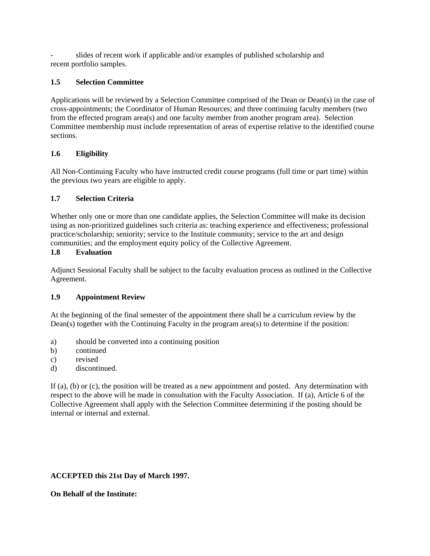slides of recent work if applicable and/or examples of published scholarship and recent portfolio samples.

## **1.5 Selection Committee**

Applications will be reviewed by a Selection Committee comprised of the Dean or Dean(s) in the case of cross-appointments; the Coordinator of Human Resources; and three continuing faculty members (two from the effected program area(s) and one faculty member from another program area). Selection Committee membership must include representation of areas of expertise relative to the identified course sections.

## **1.6 Eligibility**

All Non-Continuing Faculty who have instructed credit course programs (full time or part time) within the previous two years are eligible to apply.

### **1.7 Selection Criteria**

Whether only one or more than one candidate applies, the Selection Committee will make its decision using as non-prioritized guidelines such criteria as: teaching experience and effectiveness; professional practice/scholarship; seniority; service to the Institute community; service to the art and design communities; and the employment equity policy of the Collective Agreement.

#### **1.8 Evaluation**

Adjunct Sessional Faculty shall be subject to the faculty evaluation process as outlined in the Collective Agreement.

## **1.9 Appointment Review**

At the beginning of the final semester of the appointment there shall be a curriculum review by the Dean(s) together with the Continuing Faculty in the program area(s) to determine if the position:

- a) should be converted into a continuing position
- b) continued
- c) revised
- d) discontinued.

If (a), (b) or (c), the position will be treated as a new appointment and posted. Any determination with respect to the above will be made in consultation with the Faculty Association. If (a), Article 6 of the Collective Agreement shall apply with the Selection Committee determining if the posting should be internal or internal and external.

## **ACCEPTED this 21st Day of March 1997.**

#### **On Behalf of the Institute:**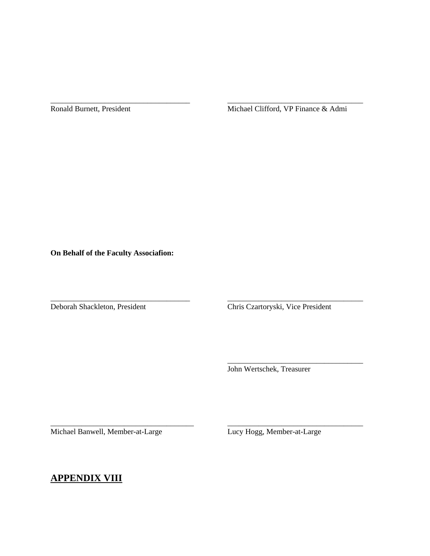Ronald Burnett, President Michael Clifford, VP Finance & Admi

\_\_\_\_\_\_\_\_\_\_\_\_\_\_\_\_\_\_\_\_\_\_\_\_\_\_\_\_\_\_\_\_\_\_\_\_ \_\_\_\_\_\_\_\_\_\_\_\_\_\_\_\_\_\_\_\_\_\_\_\_\_\_\_\_\_\_\_\_\_\_\_

\_\_\_\_\_\_\_\_\_\_\_\_\_\_\_\_\_\_\_\_\_\_\_\_\_\_\_\_\_\_\_\_\_\_\_\_ \_\_\_\_\_\_\_\_\_\_\_\_\_\_\_\_\_\_\_\_\_\_\_\_\_\_\_\_\_\_\_\_\_\_\_

 $\overline{\phantom{a}}$  , and the contract of the contract of the contract of the contract of the contract of the contract of the contract of the contract of the contract of the contract of the contract of the contract of the contrac

\_\_\_\_\_\_\_\_\_\_\_\_\_\_\_\_\_\_\_\_\_\_\_\_\_\_\_\_\_\_\_\_\_\_\_\_\_ \_\_\_\_\_\_\_\_\_\_\_\_\_\_\_\_\_\_\_\_\_\_\_\_\_\_\_\_\_\_\_\_\_\_\_

**On Behalf of the Faculty Associafion:**

Deborah Shackleton, President Chris Czartoryski, Vice President

John Wertschek, Treasurer

Michael Banwell, Member-at-Large Lucy Hogg, Member-at-Large

## **APPENDIX VIII**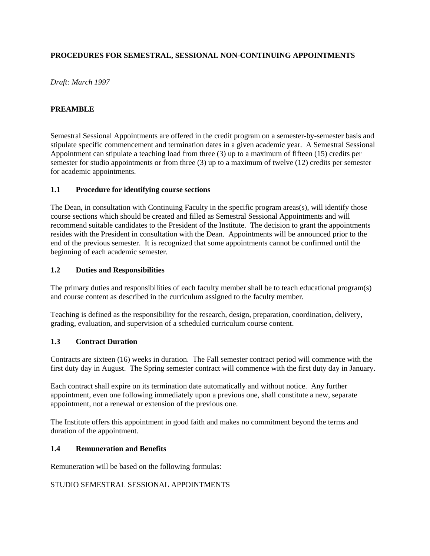## **PROCEDURES FOR SEMESTRAL, SESSIONAL NON-CONTINUING APPOINTMENTS**

*Draft: March 1997*

#### **PREAMBLE**

Semestral Sessional Appointments are offered in the credit program on a semester-by-semester basis and stipulate specific commencement and termination dates in a given academic year. A Semestral Sessional Appointment can stipulate a teaching load from three (3) up to a maximum of fifteen (15) credits per semester for studio appointments or from three (3) up to a maximum of twelve (12) credits per semester for academic appointments.

#### **1.1 Procedure for identifying course sections**

The Dean, in consultation with Continuing Faculty in the specific program areas(s), will identify those course sections which should be created and filled as Semestral Sessional Appointments and will recommend suitable candidates to the President of the Institute. The decision to grant the appointments resides with the President in consultation with the Dean. Appointments will be announced prior to the end of the previous semester. It is recognized that some appointments cannot be confirmed until the beginning of each academic semester.

### **1.2 Duties and Responsibilities**

The primary duties and responsibilities of each faculty member shall be to teach educational program(s) and course content as described in the curriculum assigned to the faculty member.

Teaching is defined as the responsibility for the research, design, preparation, coordination, delivery, grading, evaluation, and supervision of a scheduled curriculum course content.

#### **1.3 Contract Duration**

Contracts are sixteen (16) weeks in duration. The Fall semester contract period will commence with the first duty day in August. The Spring semester contract will commence with the first duty day in January.

Each contract shall expire on its termination date automatically and without notice. Any further appointment, even one following immediately upon a previous one, shall constitute a new, separate appointment, not a renewal or extension of the previous one.

The Institute offers this appointment in good faith and makes no commitment beyond the terms and duration of the appointment.

#### **1.4 Remuneration and Benefits**

Remuneration will be based on the following formulas:

## STUDIO SEMESTRAL SESSIONAL APPOINTMENTS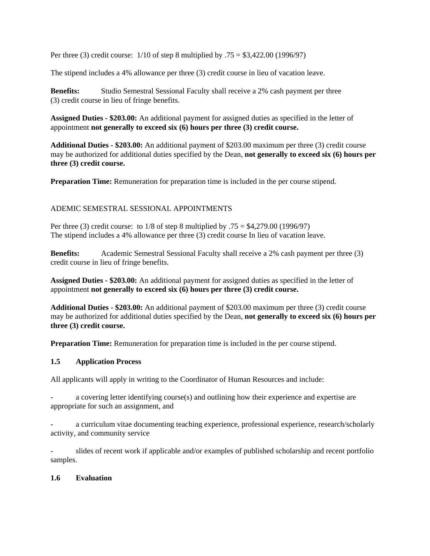Per three (3) credit course: 1/10 of step 8 multiplied by .75 = \$3,422.00 (1996/97)

The stipend includes a 4% allowance per three (3) credit course in lieu of vacation leave.

**Benefits:** Studio Semestral Sessional Faculty shall receive a 2% cash payment per three (3) credit course in lieu of fringe benefits.

**Assigned Duties - \$203.00:** An additional payment for assigned duties as specified in the letter of appointment **not generally to exceed six (6) hours per three (3) credit course.**

**Additional Duties - \$203.00:** An additional payment of \$203.00 maximum per three (3) credit course may be authorized for additional duties specified by the Dean, **not generally to exceed six (6) hours per three (3) credit course.**

**Preparation Time:** Remuneration for preparation time is included in the per course stipend.

## ADEMIC SEMESTRAL SESSIONAL APPOINTMENTS

Per three (3) credit course: to 1/8 of step 8 multiplied by .75 = \$4,279.00 (1996/97) The stipend includes a 4% allowance per three (3) credit course In lieu of vacation leave.

**Benefits:** Academic Semestral Sessional Faculty shall receive a 2% cash payment per three (3) credit course in lieu of fringe benefits.

**Assigned Duties - \$203.00:** An additional payment for assigned duties as specified in the letter of appointment **not generally to exceed six (6) hours per three (3) credit course.**

**Additional Duties - \$203.00:** An additional payment of \$203.00 maximum per three (3) credit course may be authorized for additional duties specified by the Dean, **not generally to exceed six (6) hours per three (3) credit course.**

**Preparation Time:** Remuneration for preparation time is included in the per course stipend.

#### **1.5 Application Process**

All applicants will apply in writing to the Coordinator of Human Resources and include:

a covering letter identifying course(s) and outlining how their experience and expertise are appropriate for such an assignment, and

a curriculum vitae documenting teaching experience, professional experience, research/scholarly activity, and community service

slides of recent work if applicable and/or examples of published scholarship and recent portfolio samples.

#### **1.6 Evaluation**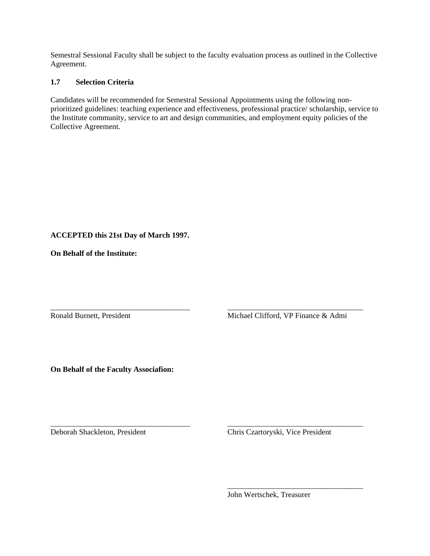Semestral Sessional Faculty shall be subject to the faculty evaluation process as outlined in the Collective Agreement.

#### **1.7 Selection Criteria**

Candidates will be recommended for Semestral Sessional Appointments using the following nonprioritized guidelines: teaching experience and effectiveness, professional practice/ scholarship, service to the Institute community, service to art and design communities, and employment equity policies of the Collective Agreement.

\_\_\_\_\_\_\_\_\_\_\_\_\_\_\_\_\_\_\_\_\_\_\_\_\_\_\_\_\_\_\_\_\_\_\_\_ \_\_\_\_\_\_\_\_\_\_\_\_\_\_\_\_\_\_\_\_\_\_\_\_\_\_\_\_\_\_\_\_\_\_\_

 $\overline{\phantom{a}}$  , which is a construction of the construction of the construction of the construction of the construction of the construction of the construction of the construction of the construction of the construction of

## **ACCEPTED this 21st Day of March 1997.**

**On Behalf of the Institute:**

Ronald Burnett, President Michael Clifford, VP Finance & Admi

**On Behalf of the Faculty Associafion:**

\_\_\_\_\_\_\_\_\_\_\_\_\_\_\_\_\_\_\_\_\_\_\_\_\_\_\_\_\_\_\_\_\_\_\_\_ \_\_\_\_\_\_\_\_\_\_\_\_\_\_\_\_\_\_\_\_\_\_\_\_\_\_\_\_\_\_\_\_\_\_\_

Deborah Shackleton, President Chris Czartoryski, Vice President

John Wertschek, Treasurer